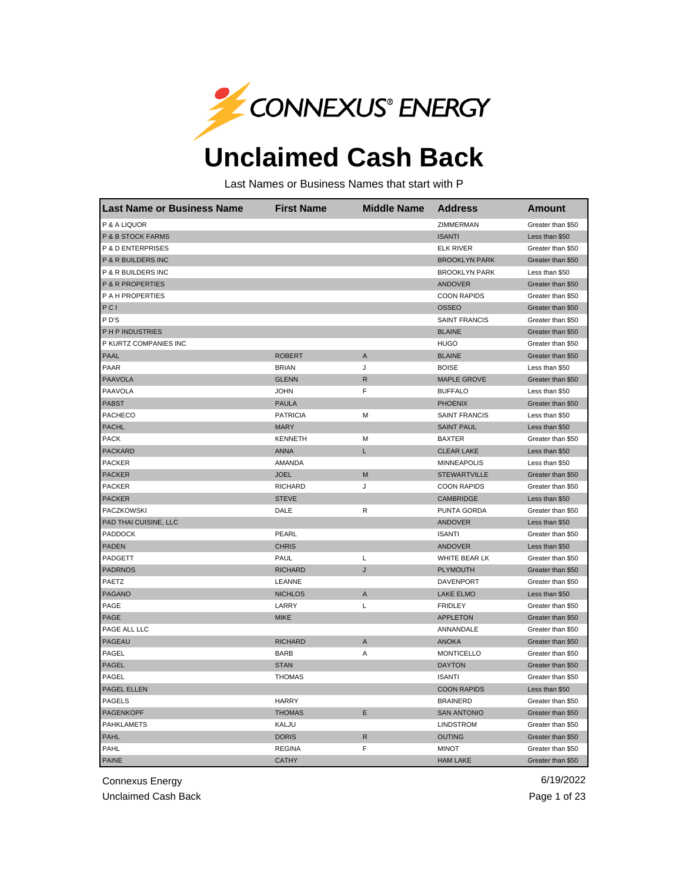

## **Unclaimed Cash Back**

Last Names or Business Names that start with P

| Last Name or Business Name  | <b>First Name</b> | <b>Middle Name</b> | <b>Address</b>       | Amount            |
|-----------------------------|-------------------|--------------------|----------------------|-------------------|
| P & A LIQUOR                |                   |                    | ZIMMERMAN            | Greater than \$50 |
| P & B STOCK FARMS           |                   |                    | <b>ISANTI</b>        | Less than \$50    |
| P & D ENTERPRISES           |                   |                    | <b>ELK RIVER</b>     | Greater than \$50 |
| P & R BUILDERS INC          |                   |                    | <b>BROOKLYN PARK</b> | Greater than \$50 |
| P & R BUILDERS INC          |                   |                    | <b>BROOKLYN PARK</b> | Less than \$50    |
| <b>P &amp; R PROPERTIES</b> |                   |                    | <b>ANDOVER</b>       | Greater than \$50 |
| P A H PROPERTIES            |                   |                    | <b>COON RAPIDS</b>   | Greater than \$50 |
| PCI                         |                   |                    | <b>OSSEO</b>         | Greater than \$50 |
| PD'S                        |                   |                    | <b>SAINT FRANCIS</b> | Greater than \$50 |
| PHP INDUSTRIES              |                   |                    | <b>BLAINE</b>        | Greater than \$50 |
| P KURTZ COMPANIES INC       |                   |                    | <b>HUGO</b>          | Greater than \$50 |
| <b>PAAL</b>                 | <b>ROBERT</b>     | A                  | <b>BLAINE</b>        | Greater than \$50 |
| PAAR                        | <b>BRIAN</b>      | J                  | <b>BOISE</b>         | Less than \$50    |
| <b>PAAVOLA</b>              | <b>GLENN</b>      | R                  | <b>MAPLE GROVE</b>   | Greater than \$50 |
| <b>PAAVOLA</b>              | <b>JOHN</b>       | F                  | <b>BUFFALO</b>       | Less than \$50    |
| <b>PABST</b>                | <b>PAULA</b>      |                    | <b>PHOENIX</b>       | Greater than \$50 |
| <b>PACHECO</b>              | <b>PATRICIA</b>   | M                  | <b>SAINT FRANCIS</b> | Less than \$50    |
| <b>PACHL</b>                | <b>MARY</b>       |                    | <b>SAINT PAUL</b>    | Less than \$50    |
| <b>PACK</b>                 | <b>KENNETH</b>    | М                  | <b>BAXTER</b>        | Greater than \$50 |
| <b>PACKARD</b>              | <b>ANNA</b>       | L                  | <b>CLEAR LAKE</b>    | Less than \$50    |
| <b>PACKER</b>               | AMANDA            |                    | <b>MINNEAPOLIS</b>   | Less than \$50    |
| <b>PACKER</b>               | <b>JOEL</b>       | M                  | <b>STEWARTVILLE</b>  | Greater than \$50 |
| <b>PACKER</b>               | <b>RICHARD</b>    | J                  | <b>COON RAPIDS</b>   | Greater than \$50 |
| <b>PACKER</b>               | <b>STEVE</b>      |                    | <b>CAMBRIDGE</b>     | Less than \$50    |
| PACZKOWSKI                  | DALE              | R                  | PUNTA GORDA          | Greater than \$50 |
| PAD THAI CUISINE, LLC       |                   |                    | <b>ANDOVER</b>       | Less than \$50    |
| PADDOCK                     | PEARL             |                    | <b>ISANTI</b>        | Greater than \$50 |
| <b>PADEN</b>                | <b>CHRIS</b>      |                    | <b>ANDOVER</b>       | Less than \$50    |
| PADGETT                     | PAUL              | L                  | WHITE BEAR LK        | Greater than \$50 |
| <b>PADRNOS</b>              | <b>RICHARD</b>    | J                  | <b>PLYMOUTH</b>      | Greater than \$50 |
| PAETZ                       | LEANNE            |                    | DAVENPORT            | Greater than \$50 |
| <b>PAGANO</b>               | <b>NICHLOS</b>    | $\mathsf A$        | <b>LAKE ELMO</b>     | Less than \$50    |
| PAGE                        | LARRY             | L                  | <b>FRIDLEY</b>       | Greater than \$50 |
| <b>PAGE</b>                 | <b>MIKE</b>       |                    | <b>APPLETON</b>      | Greater than \$50 |
| PAGE ALL LLC                |                   |                    | ANNANDALE            | Greater than \$50 |
| <b>PAGEAU</b>               | <b>RICHARD</b>    | A                  | <b>ANOKA</b>         | Greater than \$50 |
| PAGEL                       | <b>BARB</b>       | Α                  | <b>MONTICELLO</b>    | Greater than \$50 |
| <b>PAGEL</b>                | <b>STAN</b>       |                    | <b>DAYTON</b>        | Greater than \$50 |
| PAGEL                       | <b>THOMAS</b>     |                    | <b>ISANTI</b>        | Greater than \$50 |
| PAGEL ELLEN                 |                   |                    | <b>COON RAPIDS</b>   | Less than \$50    |
| <b>PAGELS</b>               | <b>HARRY</b>      |                    | <b>BRAINERD</b>      | Greater than \$50 |
| <b>PAGENKOPF</b>            | <b>THOMAS</b>     | E                  | <b>SAN ANTONIO</b>   | Greater than \$50 |
| <b>PAHKLAMETS</b>           | KALJU             |                    | <b>LINDSTROM</b>     | Greater than \$50 |
| <b>PAHL</b>                 | <b>DORIS</b>      | R                  | <b>OUTING</b>        | Greater than \$50 |
| PAHL                        | <b>REGINA</b>     | F                  | <b>MINOT</b>         | Greater than \$50 |
| <b>PAINE</b>                | <b>CATHY</b>      |                    | <b>HAM LAKE</b>      | Greater than \$50 |

Connexus Energy 6/19/2022

Unclaimed Cash Back **Page 1 of 23**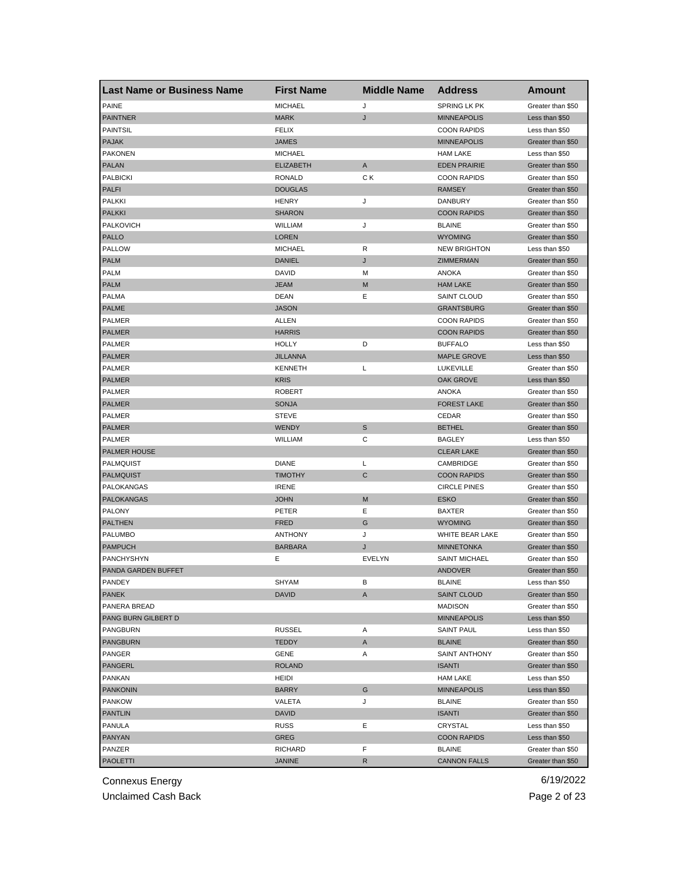| <b>PAINE</b><br><b>MICHAEL</b><br>SPRING LK PK<br>J<br>Greater than \$50<br><b>MARK</b><br>J<br><b>PAINTNER</b><br><b>MINNEAPOLIS</b><br>Less than \$50<br><b>PAINTSIL</b><br><b>FELIX</b><br><b>COON RAPIDS</b><br>Less than \$50<br><b>PAJAK</b><br><b>JAMES</b><br><b>MINNEAPOLIS</b><br>Greater than \$50<br><b>PAKONEN</b><br><b>MICHAEL</b><br><b>HAM LAKE</b><br>Less than \$50<br><b>PALAN</b><br><b>ELIZABETH</b><br>Α<br><b>EDEN PRAIRIE</b><br>Greater than \$50<br><b>PALBICKI</b><br><b>RONALD</b><br>СK<br><b>COON RAPIDS</b><br>Greater than \$50<br><b>PALFI</b><br><b>DOUGLAS</b><br><b>RAMSEY</b><br>Greater than \$50<br><b>PALKKI</b><br>J<br><b>DANBURY</b><br><b>HENRY</b><br>Greater than \$50<br><b>PALKKI</b><br><b>SHARON</b><br><b>COON RAPIDS</b><br>Greater than \$50<br><b>PALKOVICH</b><br>J<br>WILLIAM<br><b>BLAINE</b><br>Greater than \$50<br>PALLO<br><b>LOREN</b><br><b>WYOMING</b><br>Greater than \$50<br><b>PALLOW</b><br><b>MICHAEL</b><br>R<br><b>NEW BRIGHTON</b><br>Less than \$50<br><b>DANIEL</b><br>J<br><b>PALM</b><br>ZIMMERMAN<br>Greater than \$50<br><b>PALM</b><br>DAVID<br><b>ANOKA</b><br>M<br>Greater than \$50<br><b>PALM</b><br><b>JEAM</b><br>M<br><b>HAM LAKE</b><br>Greater than \$50<br>Ε<br><b>PALMA</b><br><b>DEAN</b><br><b>SAINT CLOUD</b><br>Greater than \$50<br><b>PALME</b><br><b>JASON</b><br><b>GRANTSBURG</b><br>Greater than \$50<br>PALMER<br>ALLEN<br><b>COON RAPIDS</b><br>Greater than \$50<br><b>PALMER</b><br><b>HARRIS</b><br><b>COON RAPIDS</b><br>Greater than \$50<br>PALMER<br><b>HOLLY</b><br>D<br><b>BUFFALO</b><br>Less than \$50<br><b>PALMER</b><br><b>JILLANNA</b><br><b>MAPLE GROVE</b><br>Less than \$50<br>PALMER<br>L<br><b>LUKEVILLE</b><br><b>KENNETH</b><br>Greater than \$50<br><b>PALMER</b><br><b>KRIS</b><br><b>OAK GROVE</b><br>Less than \$50<br>PALMER<br><b>ANOKA</b><br><b>ROBERT</b><br>Greater than \$50<br><b>PALMER</b><br><b>FOREST LAKE</b><br><b>SONJA</b><br>Greater than \$50<br>PALMER<br><b>STEVE</b><br>CEDAR<br>Greater than \$50<br><b>PALMER</b><br><b>WENDY</b><br>S<br><b>BETHEL</b><br>Greater than \$50<br>WILLIAM<br>С<br><b>BAGLEY</b><br>PALMER<br>Less than \$50<br><b>PALMER HOUSE</b><br><b>CLEAR LAKE</b><br>Greater than \$50<br>PALMQUIST<br><b>DIANE</b><br>L<br>CAMBRIDGE<br>Greater than \$50<br>$\mathsf{C}$<br><b>PALMQUIST</b><br><b>TIMOTHY</b><br><b>COON RAPIDS</b><br>Greater than \$50<br><b>IRENE</b><br><b>CIRCLE PINES</b><br>PALOKANGAS<br>Greater than \$50<br><b>PALOKANGAS</b><br><b>JOHN</b><br>M<br><b>ESKO</b><br>Greater than \$50<br><b>PALONY</b><br>PETER<br>Ε<br><b>BAXTER</b><br>Greater than \$50<br><b>PALTHEN</b><br><b>FRED</b><br>G<br><b>WYOMING</b><br>Greater than \$50<br>PALUMBO<br><b>ANTHONY</b><br>J<br>WHITE BEAR LAKE<br>Greater than \$50<br><b>PAMPUCH</b><br><b>BARBARA</b><br>J<br><b>MINNETONKA</b><br>Greater than \$50<br>EVELYN<br>PANCHYSHYN<br>Е<br><b>SAINT MICHAEL</b><br>Greater than \$50<br>PANDA GARDEN BUFFET<br>ANDOVER<br>Greater than \$50<br>PANDEY<br>SHYAM<br>В<br><b>BLAINE</b><br>Less than \$50<br><b>PANEK</b><br>DAVID<br><b>SAINT CLOUD</b><br>A<br>Greater than \$50<br>PANERA BREAD<br><b>MADISON</b><br>Greater than \$50<br>PANG BURN GILBERT D<br><b>MINNEAPOLIS</b><br>Less than \$50<br><b>PANGBURN</b><br><b>RUSSEL</b><br>Α<br><b>SAINT PAUL</b><br>Less than \$50<br><b>PANGBURN</b><br><b>TEDDY</b><br>A<br><b>BLAINE</b><br>Greater than \$50<br>PANGER<br>GENE<br>SAINT ANTHONY<br>Greater than \$50<br>Α<br><b>PANGERL</b><br><b>ROLAND</b><br><b>ISANTI</b><br>Greater than \$50<br>PANKAN<br><b>HAM LAKE</b><br>Less than \$50<br>HEIDI<br><b>PANKONIN</b><br><b>BARRY</b><br>G<br><b>MINNEAPOLIS</b><br>Less than \$50<br><b>PANKOW</b><br>VALETA<br>J<br><b>BLAINE</b><br>Greater than \$50<br><b>PANTLIN</b><br>DAVID<br><b>ISANTI</b><br>Greater than \$50<br>PANULA<br>RUSS<br>Ε<br>CRYSTAL<br>Less than \$50<br><b>PANYAN</b><br>GREG<br><b>COON RAPIDS</b><br>Less than \$50<br>PANZER<br>F<br>RICHARD<br><b>BLAINE</b><br>Greater than \$50 | <b>Last Name or Business Name</b> | <b>First Name</b> | <b>Middle Name</b> | <b>Address</b>      | Amount            |
|----------------------------------------------------------------------------------------------------------------------------------------------------------------------------------------------------------------------------------------------------------------------------------------------------------------------------------------------------------------------------------------------------------------------------------------------------------------------------------------------------------------------------------------------------------------------------------------------------------------------------------------------------------------------------------------------------------------------------------------------------------------------------------------------------------------------------------------------------------------------------------------------------------------------------------------------------------------------------------------------------------------------------------------------------------------------------------------------------------------------------------------------------------------------------------------------------------------------------------------------------------------------------------------------------------------------------------------------------------------------------------------------------------------------------------------------------------------------------------------------------------------------------------------------------------------------------------------------------------------------------------------------------------------------------------------------------------------------------------------------------------------------------------------------------------------------------------------------------------------------------------------------------------------------------------------------------------------------------------------------------------------------------------------------------------------------------------------------------------------------------------------------------------------------------------------------------------------------------------------------------------------------------------------------------------------------------------------------------------------------------------------------------------------------------------------------------------------------------------------------------------------------------------------------------------------------------------------------------------------------------------------------------------------------------------------------------------------------------------------------------------------------------------------------------------------------------------------------------------------------------------------------------------------------------------------------------------------------------------------------------------------------------------------------------------------------------------------------------------------------------------------------------------------------------------------------------------------------------------------------------------------------------------------------------------------------------------------------------------------------------------------------------------------------------------------------------------------------------------------------------------------------------------------------------------------------------------------------------------------------------------------------------------------------------------------------------------------------------------------------------------------------------------------------------------------------------------------------------------------------------------------------------------------------------------------------------------------------------------------------------------------------------------------------------------------------------------|-----------------------------------|-------------------|--------------------|---------------------|-------------------|
|                                                                                                                                                                                                                                                                                                                                                                                                                                                                                                                                                                                                                                                                                                                                                                                                                                                                                                                                                                                                                                                                                                                                                                                                                                                                                                                                                                                                                                                                                                                                                                                                                                                                                                                                                                                                                                                                                                                                                                                                                                                                                                                                                                                                                                                                                                                                                                                                                                                                                                                                                                                                                                                                                                                                                                                                                                                                                                                                                                                                                                                                                                                                                                                                                                                                                                                                                                                                                                                                                                                                                                                                                                                                                                                                                                                                                                                                                                                                                                                                                                                                                  |                                   |                   |                    |                     |                   |
|                                                                                                                                                                                                                                                                                                                                                                                                                                                                                                                                                                                                                                                                                                                                                                                                                                                                                                                                                                                                                                                                                                                                                                                                                                                                                                                                                                                                                                                                                                                                                                                                                                                                                                                                                                                                                                                                                                                                                                                                                                                                                                                                                                                                                                                                                                                                                                                                                                                                                                                                                                                                                                                                                                                                                                                                                                                                                                                                                                                                                                                                                                                                                                                                                                                                                                                                                                                                                                                                                                                                                                                                                                                                                                                                                                                                                                                                                                                                                                                                                                                                                  |                                   |                   |                    |                     |                   |
|                                                                                                                                                                                                                                                                                                                                                                                                                                                                                                                                                                                                                                                                                                                                                                                                                                                                                                                                                                                                                                                                                                                                                                                                                                                                                                                                                                                                                                                                                                                                                                                                                                                                                                                                                                                                                                                                                                                                                                                                                                                                                                                                                                                                                                                                                                                                                                                                                                                                                                                                                                                                                                                                                                                                                                                                                                                                                                                                                                                                                                                                                                                                                                                                                                                                                                                                                                                                                                                                                                                                                                                                                                                                                                                                                                                                                                                                                                                                                                                                                                                                                  |                                   |                   |                    |                     |                   |
|                                                                                                                                                                                                                                                                                                                                                                                                                                                                                                                                                                                                                                                                                                                                                                                                                                                                                                                                                                                                                                                                                                                                                                                                                                                                                                                                                                                                                                                                                                                                                                                                                                                                                                                                                                                                                                                                                                                                                                                                                                                                                                                                                                                                                                                                                                                                                                                                                                                                                                                                                                                                                                                                                                                                                                                                                                                                                                                                                                                                                                                                                                                                                                                                                                                                                                                                                                                                                                                                                                                                                                                                                                                                                                                                                                                                                                                                                                                                                                                                                                                                                  |                                   |                   |                    |                     |                   |
|                                                                                                                                                                                                                                                                                                                                                                                                                                                                                                                                                                                                                                                                                                                                                                                                                                                                                                                                                                                                                                                                                                                                                                                                                                                                                                                                                                                                                                                                                                                                                                                                                                                                                                                                                                                                                                                                                                                                                                                                                                                                                                                                                                                                                                                                                                                                                                                                                                                                                                                                                                                                                                                                                                                                                                                                                                                                                                                                                                                                                                                                                                                                                                                                                                                                                                                                                                                                                                                                                                                                                                                                                                                                                                                                                                                                                                                                                                                                                                                                                                                                                  |                                   |                   |                    |                     |                   |
|                                                                                                                                                                                                                                                                                                                                                                                                                                                                                                                                                                                                                                                                                                                                                                                                                                                                                                                                                                                                                                                                                                                                                                                                                                                                                                                                                                                                                                                                                                                                                                                                                                                                                                                                                                                                                                                                                                                                                                                                                                                                                                                                                                                                                                                                                                                                                                                                                                                                                                                                                                                                                                                                                                                                                                                                                                                                                                                                                                                                                                                                                                                                                                                                                                                                                                                                                                                                                                                                                                                                                                                                                                                                                                                                                                                                                                                                                                                                                                                                                                                                                  |                                   |                   |                    |                     |                   |
|                                                                                                                                                                                                                                                                                                                                                                                                                                                                                                                                                                                                                                                                                                                                                                                                                                                                                                                                                                                                                                                                                                                                                                                                                                                                                                                                                                                                                                                                                                                                                                                                                                                                                                                                                                                                                                                                                                                                                                                                                                                                                                                                                                                                                                                                                                                                                                                                                                                                                                                                                                                                                                                                                                                                                                                                                                                                                                                                                                                                                                                                                                                                                                                                                                                                                                                                                                                                                                                                                                                                                                                                                                                                                                                                                                                                                                                                                                                                                                                                                                                                                  |                                   |                   |                    |                     |                   |
|                                                                                                                                                                                                                                                                                                                                                                                                                                                                                                                                                                                                                                                                                                                                                                                                                                                                                                                                                                                                                                                                                                                                                                                                                                                                                                                                                                                                                                                                                                                                                                                                                                                                                                                                                                                                                                                                                                                                                                                                                                                                                                                                                                                                                                                                                                                                                                                                                                                                                                                                                                                                                                                                                                                                                                                                                                                                                                                                                                                                                                                                                                                                                                                                                                                                                                                                                                                                                                                                                                                                                                                                                                                                                                                                                                                                                                                                                                                                                                                                                                                                                  |                                   |                   |                    |                     |                   |
|                                                                                                                                                                                                                                                                                                                                                                                                                                                                                                                                                                                                                                                                                                                                                                                                                                                                                                                                                                                                                                                                                                                                                                                                                                                                                                                                                                                                                                                                                                                                                                                                                                                                                                                                                                                                                                                                                                                                                                                                                                                                                                                                                                                                                                                                                                                                                                                                                                                                                                                                                                                                                                                                                                                                                                                                                                                                                                                                                                                                                                                                                                                                                                                                                                                                                                                                                                                                                                                                                                                                                                                                                                                                                                                                                                                                                                                                                                                                                                                                                                                                                  |                                   |                   |                    |                     |                   |
|                                                                                                                                                                                                                                                                                                                                                                                                                                                                                                                                                                                                                                                                                                                                                                                                                                                                                                                                                                                                                                                                                                                                                                                                                                                                                                                                                                                                                                                                                                                                                                                                                                                                                                                                                                                                                                                                                                                                                                                                                                                                                                                                                                                                                                                                                                                                                                                                                                                                                                                                                                                                                                                                                                                                                                                                                                                                                                                                                                                                                                                                                                                                                                                                                                                                                                                                                                                                                                                                                                                                                                                                                                                                                                                                                                                                                                                                                                                                                                                                                                                                                  |                                   |                   |                    |                     |                   |
|                                                                                                                                                                                                                                                                                                                                                                                                                                                                                                                                                                                                                                                                                                                                                                                                                                                                                                                                                                                                                                                                                                                                                                                                                                                                                                                                                                                                                                                                                                                                                                                                                                                                                                                                                                                                                                                                                                                                                                                                                                                                                                                                                                                                                                                                                                                                                                                                                                                                                                                                                                                                                                                                                                                                                                                                                                                                                                                                                                                                                                                                                                                                                                                                                                                                                                                                                                                                                                                                                                                                                                                                                                                                                                                                                                                                                                                                                                                                                                                                                                                                                  |                                   |                   |                    |                     |                   |
|                                                                                                                                                                                                                                                                                                                                                                                                                                                                                                                                                                                                                                                                                                                                                                                                                                                                                                                                                                                                                                                                                                                                                                                                                                                                                                                                                                                                                                                                                                                                                                                                                                                                                                                                                                                                                                                                                                                                                                                                                                                                                                                                                                                                                                                                                                                                                                                                                                                                                                                                                                                                                                                                                                                                                                                                                                                                                                                                                                                                                                                                                                                                                                                                                                                                                                                                                                                                                                                                                                                                                                                                                                                                                                                                                                                                                                                                                                                                                                                                                                                                                  |                                   |                   |                    |                     |                   |
|                                                                                                                                                                                                                                                                                                                                                                                                                                                                                                                                                                                                                                                                                                                                                                                                                                                                                                                                                                                                                                                                                                                                                                                                                                                                                                                                                                                                                                                                                                                                                                                                                                                                                                                                                                                                                                                                                                                                                                                                                                                                                                                                                                                                                                                                                                                                                                                                                                                                                                                                                                                                                                                                                                                                                                                                                                                                                                                                                                                                                                                                                                                                                                                                                                                                                                                                                                                                                                                                                                                                                                                                                                                                                                                                                                                                                                                                                                                                                                                                                                                                                  |                                   |                   |                    |                     |                   |
|                                                                                                                                                                                                                                                                                                                                                                                                                                                                                                                                                                                                                                                                                                                                                                                                                                                                                                                                                                                                                                                                                                                                                                                                                                                                                                                                                                                                                                                                                                                                                                                                                                                                                                                                                                                                                                                                                                                                                                                                                                                                                                                                                                                                                                                                                                                                                                                                                                                                                                                                                                                                                                                                                                                                                                                                                                                                                                                                                                                                                                                                                                                                                                                                                                                                                                                                                                                                                                                                                                                                                                                                                                                                                                                                                                                                                                                                                                                                                                                                                                                                                  |                                   |                   |                    |                     |                   |
|                                                                                                                                                                                                                                                                                                                                                                                                                                                                                                                                                                                                                                                                                                                                                                                                                                                                                                                                                                                                                                                                                                                                                                                                                                                                                                                                                                                                                                                                                                                                                                                                                                                                                                                                                                                                                                                                                                                                                                                                                                                                                                                                                                                                                                                                                                                                                                                                                                                                                                                                                                                                                                                                                                                                                                                                                                                                                                                                                                                                                                                                                                                                                                                                                                                                                                                                                                                                                                                                                                                                                                                                                                                                                                                                                                                                                                                                                                                                                                                                                                                                                  |                                   |                   |                    |                     |                   |
|                                                                                                                                                                                                                                                                                                                                                                                                                                                                                                                                                                                                                                                                                                                                                                                                                                                                                                                                                                                                                                                                                                                                                                                                                                                                                                                                                                                                                                                                                                                                                                                                                                                                                                                                                                                                                                                                                                                                                                                                                                                                                                                                                                                                                                                                                                                                                                                                                                                                                                                                                                                                                                                                                                                                                                                                                                                                                                                                                                                                                                                                                                                                                                                                                                                                                                                                                                                                                                                                                                                                                                                                                                                                                                                                                                                                                                                                                                                                                                                                                                                                                  |                                   |                   |                    |                     |                   |
|                                                                                                                                                                                                                                                                                                                                                                                                                                                                                                                                                                                                                                                                                                                                                                                                                                                                                                                                                                                                                                                                                                                                                                                                                                                                                                                                                                                                                                                                                                                                                                                                                                                                                                                                                                                                                                                                                                                                                                                                                                                                                                                                                                                                                                                                                                                                                                                                                                                                                                                                                                                                                                                                                                                                                                                                                                                                                                                                                                                                                                                                                                                                                                                                                                                                                                                                                                                                                                                                                                                                                                                                                                                                                                                                                                                                                                                                                                                                                                                                                                                                                  |                                   |                   |                    |                     |                   |
|                                                                                                                                                                                                                                                                                                                                                                                                                                                                                                                                                                                                                                                                                                                                                                                                                                                                                                                                                                                                                                                                                                                                                                                                                                                                                                                                                                                                                                                                                                                                                                                                                                                                                                                                                                                                                                                                                                                                                                                                                                                                                                                                                                                                                                                                                                                                                                                                                                                                                                                                                                                                                                                                                                                                                                                                                                                                                                                                                                                                                                                                                                                                                                                                                                                                                                                                                                                                                                                                                                                                                                                                                                                                                                                                                                                                                                                                                                                                                                                                                                                                                  |                                   |                   |                    |                     |                   |
|                                                                                                                                                                                                                                                                                                                                                                                                                                                                                                                                                                                                                                                                                                                                                                                                                                                                                                                                                                                                                                                                                                                                                                                                                                                                                                                                                                                                                                                                                                                                                                                                                                                                                                                                                                                                                                                                                                                                                                                                                                                                                                                                                                                                                                                                                                                                                                                                                                                                                                                                                                                                                                                                                                                                                                                                                                                                                                                                                                                                                                                                                                                                                                                                                                                                                                                                                                                                                                                                                                                                                                                                                                                                                                                                                                                                                                                                                                                                                                                                                                                                                  |                                   |                   |                    |                     |                   |
|                                                                                                                                                                                                                                                                                                                                                                                                                                                                                                                                                                                                                                                                                                                                                                                                                                                                                                                                                                                                                                                                                                                                                                                                                                                                                                                                                                                                                                                                                                                                                                                                                                                                                                                                                                                                                                                                                                                                                                                                                                                                                                                                                                                                                                                                                                                                                                                                                                                                                                                                                                                                                                                                                                                                                                                                                                                                                                                                                                                                                                                                                                                                                                                                                                                                                                                                                                                                                                                                                                                                                                                                                                                                                                                                                                                                                                                                                                                                                                                                                                                                                  |                                   |                   |                    |                     |                   |
|                                                                                                                                                                                                                                                                                                                                                                                                                                                                                                                                                                                                                                                                                                                                                                                                                                                                                                                                                                                                                                                                                                                                                                                                                                                                                                                                                                                                                                                                                                                                                                                                                                                                                                                                                                                                                                                                                                                                                                                                                                                                                                                                                                                                                                                                                                                                                                                                                                                                                                                                                                                                                                                                                                                                                                                                                                                                                                                                                                                                                                                                                                                                                                                                                                                                                                                                                                                                                                                                                                                                                                                                                                                                                                                                                                                                                                                                                                                                                                                                                                                                                  |                                   |                   |                    |                     |                   |
|                                                                                                                                                                                                                                                                                                                                                                                                                                                                                                                                                                                                                                                                                                                                                                                                                                                                                                                                                                                                                                                                                                                                                                                                                                                                                                                                                                                                                                                                                                                                                                                                                                                                                                                                                                                                                                                                                                                                                                                                                                                                                                                                                                                                                                                                                                                                                                                                                                                                                                                                                                                                                                                                                                                                                                                                                                                                                                                                                                                                                                                                                                                                                                                                                                                                                                                                                                                                                                                                                                                                                                                                                                                                                                                                                                                                                                                                                                                                                                                                                                                                                  |                                   |                   |                    |                     |                   |
|                                                                                                                                                                                                                                                                                                                                                                                                                                                                                                                                                                                                                                                                                                                                                                                                                                                                                                                                                                                                                                                                                                                                                                                                                                                                                                                                                                                                                                                                                                                                                                                                                                                                                                                                                                                                                                                                                                                                                                                                                                                                                                                                                                                                                                                                                                                                                                                                                                                                                                                                                                                                                                                                                                                                                                                                                                                                                                                                                                                                                                                                                                                                                                                                                                                                                                                                                                                                                                                                                                                                                                                                                                                                                                                                                                                                                                                                                                                                                                                                                                                                                  |                                   |                   |                    |                     |                   |
|                                                                                                                                                                                                                                                                                                                                                                                                                                                                                                                                                                                                                                                                                                                                                                                                                                                                                                                                                                                                                                                                                                                                                                                                                                                                                                                                                                                                                                                                                                                                                                                                                                                                                                                                                                                                                                                                                                                                                                                                                                                                                                                                                                                                                                                                                                                                                                                                                                                                                                                                                                                                                                                                                                                                                                                                                                                                                                                                                                                                                                                                                                                                                                                                                                                                                                                                                                                                                                                                                                                                                                                                                                                                                                                                                                                                                                                                                                                                                                                                                                                                                  |                                   |                   |                    |                     |                   |
|                                                                                                                                                                                                                                                                                                                                                                                                                                                                                                                                                                                                                                                                                                                                                                                                                                                                                                                                                                                                                                                                                                                                                                                                                                                                                                                                                                                                                                                                                                                                                                                                                                                                                                                                                                                                                                                                                                                                                                                                                                                                                                                                                                                                                                                                                                                                                                                                                                                                                                                                                                                                                                                                                                                                                                                                                                                                                                                                                                                                                                                                                                                                                                                                                                                                                                                                                                                                                                                                                                                                                                                                                                                                                                                                                                                                                                                                                                                                                                                                                                                                                  |                                   |                   |                    |                     |                   |
|                                                                                                                                                                                                                                                                                                                                                                                                                                                                                                                                                                                                                                                                                                                                                                                                                                                                                                                                                                                                                                                                                                                                                                                                                                                                                                                                                                                                                                                                                                                                                                                                                                                                                                                                                                                                                                                                                                                                                                                                                                                                                                                                                                                                                                                                                                                                                                                                                                                                                                                                                                                                                                                                                                                                                                                                                                                                                                                                                                                                                                                                                                                                                                                                                                                                                                                                                                                                                                                                                                                                                                                                                                                                                                                                                                                                                                                                                                                                                                                                                                                                                  |                                   |                   |                    |                     |                   |
|                                                                                                                                                                                                                                                                                                                                                                                                                                                                                                                                                                                                                                                                                                                                                                                                                                                                                                                                                                                                                                                                                                                                                                                                                                                                                                                                                                                                                                                                                                                                                                                                                                                                                                                                                                                                                                                                                                                                                                                                                                                                                                                                                                                                                                                                                                                                                                                                                                                                                                                                                                                                                                                                                                                                                                                                                                                                                                                                                                                                                                                                                                                                                                                                                                                                                                                                                                                                                                                                                                                                                                                                                                                                                                                                                                                                                                                                                                                                                                                                                                                                                  |                                   |                   |                    |                     |                   |
|                                                                                                                                                                                                                                                                                                                                                                                                                                                                                                                                                                                                                                                                                                                                                                                                                                                                                                                                                                                                                                                                                                                                                                                                                                                                                                                                                                                                                                                                                                                                                                                                                                                                                                                                                                                                                                                                                                                                                                                                                                                                                                                                                                                                                                                                                                                                                                                                                                                                                                                                                                                                                                                                                                                                                                                                                                                                                                                                                                                                                                                                                                                                                                                                                                                                                                                                                                                                                                                                                                                                                                                                                                                                                                                                                                                                                                                                                                                                                                                                                                                                                  |                                   |                   |                    |                     |                   |
|                                                                                                                                                                                                                                                                                                                                                                                                                                                                                                                                                                                                                                                                                                                                                                                                                                                                                                                                                                                                                                                                                                                                                                                                                                                                                                                                                                                                                                                                                                                                                                                                                                                                                                                                                                                                                                                                                                                                                                                                                                                                                                                                                                                                                                                                                                                                                                                                                                                                                                                                                                                                                                                                                                                                                                                                                                                                                                                                                                                                                                                                                                                                                                                                                                                                                                                                                                                                                                                                                                                                                                                                                                                                                                                                                                                                                                                                                                                                                                                                                                                                                  |                                   |                   |                    |                     |                   |
|                                                                                                                                                                                                                                                                                                                                                                                                                                                                                                                                                                                                                                                                                                                                                                                                                                                                                                                                                                                                                                                                                                                                                                                                                                                                                                                                                                                                                                                                                                                                                                                                                                                                                                                                                                                                                                                                                                                                                                                                                                                                                                                                                                                                                                                                                                                                                                                                                                                                                                                                                                                                                                                                                                                                                                                                                                                                                                                                                                                                                                                                                                                                                                                                                                                                                                                                                                                                                                                                                                                                                                                                                                                                                                                                                                                                                                                                                                                                                                                                                                                                                  |                                   |                   |                    |                     |                   |
|                                                                                                                                                                                                                                                                                                                                                                                                                                                                                                                                                                                                                                                                                                                                                                                                                                                                                                                                                                                                                                                                                                                                                                                                                                                                                                                                                                                                                                                                                                                                                                                                                                                                                                                                                                                                                                                                                                                                                                                                                                                                                                                                                                                                                                                                                                                                                                                                                                                                                                                                                                                                                                                                                                                                                                                                                                                                                                                                                                                                                                                                                                                                                                                                                                                                                                                                                                                                                                                                                                                                                                                                                                                                                                                                                                                                                                                                                                                                                                                                                                                                                  |                                   |                   |                    |                     |                   |
|                                                                                                                                                                                                                                                                                                                                                                                                                                                                                                                                                                                                                                                                                                                                                                                                                                                                                                                                                                                                                                                                                                                                                                                                                                                                                                                                                                                                                                                                                                                                                                                                                                                                                                                                                                                                                                                                                                                                                                                                                                                                                                                                                                                                                                                                                                                                                                                                                                                                                                                                                                                                                                                                                                                                                                                                                                                                                                                                                                                                                                                                                                                                                                                                                                                                                                                                                                                                                                                                                                                                                                                                                                                                                                                                                                                                                                                                                                                                                                                                                                                                                  |                                   |                   |                    |                     |                   |
|                                                                                                                                                                                                                                                                                                                                                                                                                                                                                                                                                                                                                                                                                                                                                                                                                                                                                                                                                                                                                                                                                                                                                                                                                                                                                                                                                                                                                                                                                                                                                                                                                                                                                                                                                                                                                                                                                                                                                                                                                                                                                                                                                                                                                                                                                                                                                                                                                                                                                                                                                                                                                                                                                                                                                                                                                                                                                                                                                                                                                                                                                                                                                                                                                                                                                                                                                                                                                                                                                                                                                                                                                                                                                                                                                                                                                                                                                                                                                                                                                                                                                  |                                   |                   |                    |                     |                   |
|                                                                                                                                                                                                                                                                                                                                                                                                                                                                                                                                                                                                                                                                                                                                                                                                                                                                                                                                                                                                                                                                                                                                                                                                                                                                                                                                                                                                                                                                                                                                                                                                                                                                                                                                                                                                                                                                                                                                                                                                                                                                                                                                                                                                                                                                                                                                                                                                                                                                                                                                                                                                                                                                                                                                                                                                                                                                                                                                                                                                                                                                                                                                                                                                                                                                                                                                                                                                                                                                                                                                                                                                                                                                                                                                                                                                                                                                                                                                                                                                                                                                                  |                                   |                   |                    |                     |                   |
|                                                                                                                                                                                                                                                                                                                                                                                                                                                                                                                                                                                                                                                                                                                                                                                                                                                                                                                                                                                                                                                                                                                                                                                                                                                                                                                                                                                                                                                                                                                                                                                                                                                                                                                                                                                                                                                                                                                                                                                                                                                                                                                                                                                                                                                                                                                                                                                                                                                                                                                                                                                                                                                                                                                                                                                                                                                                                                                                                                                                                                                                                                                                                                                                                                                                                                                                                                                                                                                                                                                                                                                                                                                                                                                                                                                                                                                                                                                                                                                                                                                                                  |                                   |                   |                    |                     |                   |
|                                                                                                                                                                                                                                                                                                                                                                                                                                                                                                                                                                                                                                                                                                                                                                                                                                                                                                                                                                                                                                                                                                                                                                                                                                                                                                                                                                                                                                                                                                                                                                                                                                                                                                                                                                                                                                                                                                                                                                                                                                                                                                                                                                                                                                                                                                                                                                                                                                                                                                                                                                                                                                                                                                                                                                                                                                                                                                                                                                                                                                                                                                                                                                                                                                                                                                                                                                                                                                                                                                                                                                                                                                                                                                                                                                                                                                                                                                                                                                                                                                                                                  |                                   |                   |                    |                     |                   |
|                                                                                                                                                                                                                                                                                                                                                                                                                                                                                                                                                                                                                                                                                                                                                                                                                                                                                                                                                                                                                                                                                                                                                                                                                                                                                                                                                                                                                                                                                                                                                                                                                                                                                                                                                                                                                                                                                                                                                                                                                                                                                                                                                                                                                                                                                                                                                                                                                                                                                                                                                                                                                                                                                                                                                                                                                                                                                                                                                                                                                                                                                                                                                                                                                                                                                                                                                                                                                                                                                                                                                                                                                                                                                                                                                                                                                                                                                                                                                                                                                                                                                  |                                   |                   |                    |                     |                   |
|                                                                                                                                                                                                                                                                                                                                                                                                                                                                                                                                                                                                                                                                                                                                                                                                                                                                                                                                                                                                                                                                                                                                                                                                                                                                                                                                                                                                                                                                                                                                                                                                                                                                                                                                                                                                                                                                                                                                                                                                                                                                                                                                                                                                                                                                                                                                                                                                                                                                                                                                                                                                                                                                                                                                                                                                                                                                                                                                                                                                                                                                                                                                                                                                                                                                                                                                                                                                                                                                                                                                                                                                                                                                                                                                                                                                                                                                                                                                                                                                                                                                                  |                                   |                   |                    |                     |                   |
|                                                                                                                                                                                                                                                                                                                                                                                                                                                                                                                                                                                                                                                                                                                                                                                                                                                                                                                                                                                                                                                                                                                                                                                                                                                                                                                                                                                                                                                                                                                                                                                                                                                                                                                                                                                                                                                                                                                                                                                                                                                                                                                                                                                                                                                                                                                                                                                                                                                                                                                                                                                                                                                                                                                                                                                                                                                                                                                                                                                                                                                                                                                                                                                                                                                                                                                                                                                                                                                                                                                                                                                                                                                                                                                                                                                                                                                                                                                                                                                                                                                                                  |                                   |                   |                    |                     |                   |
|                                                                                                                                                                                                                                                                                                                                                                                                                                                                                                                                                                                                                                                                                                                                                                                                                                                                                                                                                                                                                                                                                                                                                                                                                                                                                                                                                                                                                                                                                                                                                                                                                                                                                                                                                                                                                                                                                                                                                                                                                                                                                                                                                                                                                                                                                                                                                                                                                                                                                                                                                                                                                                                                                                                                                                                                                                                                                                                                                                                                                                                                                                                                                                                                                                                                                                                                                                                                                                                                                                                                                                                                                                                                                                                                                                                                                                                                                                                                                                                                                                                                                  |                                   |                   |                    |                     |                   |
|                                                                                                                                                                                                                                                                                                                                                                                                                                                                                                                                                                                                                                                                                                                                                                                                                                                                                                                                                                                                                                                                                                                                                                                                                                                                                                                                                                                                                                                                                                                                                                                                                                                                                                                                                                                                                                                                                                                                                                                                                                                                                                                                                                                                                                                                                                                                                                                                                                                                                                                                                                                                                                                                                                                                                                                                                                                                                                                                                                                                                                                                                                                                                                                                                                                                                                                                                                                                                                                                                                                                                                                                                                                                                                                                                                                                                                                                                                                                                                                                                                                                                  |                                   |                   |                    |                     |                   |
|                                                                                                                                                                                                                                                                                                                                                                                                                                                                                                                                                                                                                                                                                                                                                                                                                                                                                                                                                                                                                                                                                                                                                                                                                                                                                                                                                                                                                                                                                                                                                                                                                                                                                                                                                                                                                                                                                                                                                                                                                                                                                                                                                                                                                                                                                                                                                                                                                                                                                                                                                                                                                                                                                                                                                                                                                                                                                                                                                                                                                                                                                                                                                                                                                                                                                                                                                                                                                                                                                                                                                                                                                                                                                                                                                                                                                                                                                                                                                                                                                                                                                  |                                   |                   |                    |                     |                   |
|                                                                                                                                                                                                                                                                                                                                                                                                                                                                                                                                                                                                                                                                                                                                                                                                                                                                                                                                                                                                                                                                                                                                                                                                                                                                                                                                                                                                                                                                                                                                                                                                                                                                                                                                                                                                                                                                                                                                                                                                                                                                                                                                                                                                                                                                                                                                                                                                                                                                                                                                                                                                                                                                                                                                                                                                                                                                                                                                                                                                                                                                                                                                                                                                                                                                                                                                                                                                                                                                                                                                                                                                                                                                                                                                                                                                                                                                                                                                                                                                                                                                                  |                                   |                   |                    |                     |                   |
|                                                                                                                                                                                                                                                                                                                                                                                                                                                                                                                                                                                                                                                                                                                                                                                                                                                                                                                                                                                                                                                                                                                                                                                                                                                                                                                                                                                                                                                                                                                                                                                                                                                                                                                                                                                                                                                                                                                                                                                                                                                                                                                                                                                                                                                                                                                                                                                                                                                                                                                                                                                                                                                                                                                                                                                                                                                                                                                                                                                                                                                                                                                                                                                                                                                                                                                                                                                                                                                                                                                                                                                                                                                                                                                                                                                                                                                                                                                                                                                                                                                                                  |                                   |                   |                    |                     |                   |
|                                                                                                                                                                                                                                                                                                                                                                                                                                                                                                                                                                                                                                                                                                                                                                                                                                                                                                                                                                                                                                                                                                                                                                                                                                                                                                                                                                                                                                                                                                                                                                                                                                                                                                                                                                                                                                                                                                                                                                                                                                                                                                                                                                                                                                                                                                                                                                                                                                                                                                                                                                                                                                                                                                                                                                                                                                                                                                                                                                                                                                                                                                                                                                                                                                                                                                                                                                                                                                                                                                                                                                                                                                                                                                                                                                                                                                                                                                                                                                                                                                                                                  |                                   |                   |                    |                     |                   |
|                                                                                                                                                                                                                                                                                                                                                                                                                                                                                                                                                                                                                                                                                                                                                                                                                                                                                                                                                                                                                                                                                                                                                                                                                                                                                                                                                                                                                                                                                                                                                                                                                                                                                                                                                                                                                                                                                                                                                                                                                                                                                                                                                                                                                                                                                                                                                                                                                                                                                                                                                                                                                                                                                                                                                                                                                                                                                                                                                                                                                                                                                                                                                                                                                                                                                                                                                                                                                                                                                                                                                                                                                                                                                                                                                                                                                                                                                                                                                                                                                                                                                  |                                   |                   |                    |                     |                   |
|                                                                                                                                                                                                                                                                                                                                                                                                                                                                                                                                                                                                                                                                                                                                                                                                                                                                                                                                                                                                                                                                                                                                                                                                                                                                                                                                                                                                                                                                                                                                                                                                                                                                                                                                                                                                                                                                                                                                                                                                                                                                                                                                                                                                                                                                                                                                                                                                                                                                                                                                                                                                                                                                                                                                                                                                                                                                                                                                                                                                                                                                                                                                                                                                                                                                                                                                                                                                                                                                                                                                                                                                                                                                                                                                                                                                                                                                                                                                                                                                                                                                                  |                                   |                   |                    |                     |                   |
|                                                                                                                                                                                                                                                                                                                                                                                                                                                                                                                                                                                                                                                                                                                                                                                                                                                                                                                                                                                                                                                                                                                                                                                                                                                                                                                                                                                                                                                                                                                                                                                                                                                                                                                                                                                                                                                                                                                                                                                                                                                                                                                                                                                                                                                                                                                                                                                                                                                                                                                                                                                                                                                                                                                                                                                                                                                                                                                                                                                                                                                                                                                                                                                                                                                                                                                                                                                                                                                                                                                                                                                                                                                                                                                                                                                                                                                                                                                                                                                                                                                                                  |                                   |                   |                    |                     |                   |
|                                                                                                                                                                                                                                                                                                                                                                                                                                                                                                                                                                                                                                                                                                                                                                                                                                                                                                                                                                                                                                                                                                                                                                                                                                                                                                                                                                                                                                                                                                                                                                                                                                                                                                                                                                                                                                                                                                                                                                                                                                                                                                                                                                                                                                                                                                                                                                                                                                                                                                                                                                                                                                                                                                                                                                                                                                                                                                                                                                                                                                                                                                                                                                                                                                                                                                                                                                                                                                                                                                                                                                                                                                                                                                                                                                                                                                                                                                                                                                                                                                                                                  |                                   |                   |                    |                     |                   |
|                                                                                                                                                                                                                                                                                                                                                                                                                                                                                                                                                                                                                                                                                                                                                                                                                                                                                                                                                                                                                                                                                                                                                                                                                                                                                                                                                                                                                                                                                                                                                                                                                                                                                                                                                                                                                                                                                                                                                                                                                                                                                                                                                                                                                                                                                                                                                                                                                                                                                                                                                                                                                                                                                                                                                                                                                                                                                                                                                                                                                                                                                                                                                                                                                                                                                                                                                                                                                                                                                                                                                                                                                                                                                                                                                                                                                                                                                                                                                                                                                                                                                  |                                   |                   |                    |                     |                   |
|                                                                                                                                                                                                                                                                                                                                                                                                                                                                                                                                                                                                                                                                                                                                                                                                                                                                                                                                                                                                                                                                                                                                                                                                                                                                                                                                                                                                                                                                                                                                                                                                                                                                                                                                                                                                                                                                                                                                                                                                                                                                                                                                                                                                                                                                                                                                                                                                                                                                                                                                                                                                                                                                                                                                                                                                                                                                                                                                                                                                                                                                                                                                                                                                                                                                                                                                                                                                                                                                                                                                                                                                                                                                                                                                                                                                                                                                                                                                                                                                                                                                                  |                                   |                   |                    |                     |                   |
|                                                                                                                                                                                                                                                                                                                                                                                                                                                                                                                                                                                                                                                                                                                                                                                                                                                                                                                                                                                                                                                                                                                                                                                                                                                                                                                                                                                                                                                                                                                                                                                                                                                                                                                                                                                                                                                                                                                                                                                                                                                                                                                                                                                                                                                                                                                                                                                                                                                                                                                                                                                                                                                                                                                                                                                                                                                                                                                                                                                                                                                                                                                                                                                                                                                                                                                                                                                                                                                                                                                                                                                                                                                                                                                                                                                                                                                                                                                                                                                                                                                                                  |                                   |                   |                    |                     |                   |
|                                                                                                                                                                                                                                                                                                                                                                                                                                                                                                                                                                                                                                                                                                                                                                                                                                                                                                                                                                                                                                                                                                                                                                                                                                                                                                                                                                                                                                                                                                                                                                                                                                                                                                                                                                                                                                                                                                                                                                                                                                                                                                                                                                                                                                                                                                                                                                                                                                                                                                                                                                                                                                                                                                                                                                                                                                                                                                                                                                                                                                                                                                                                                                                                                                                                                                                                                                                                                                                                                                                                                                                                                                                                                                                                                                                                                                                                                                                                                                                                                                                                                  |                                   |                   |                    |                     |                   |
|                                                                                                                                                                                                                                                                                                                                                                                                                                                                                                                                                                                                                                                                                                                                                                                                                                                                                                                                                                                                                                                                                                                                                                                                                                                                                                                                                                                                                                                                                                                                                                                                                                                                                                                                                                                                                                                                                                                                                                                                                                                                                                                                                                                                                                                                                                                                                                                                                                                                                                                                                                                                                                                                                                                                                                                                                                                                                                                                                                                                                                                                                                                                                                                                                                                                                                                                                                                                                                                                                                                                                                                                                                                                                                                                                                                                                                                                                                                                                                                                                                                                                  |                                   |                   |                    |                     |                   |
|                                                                                                                                                                                                                                                                                                                                                                                                                                                                                                                                                                                                                                                                                                                                                                                                                                                                                                                                                                                                                                                                                                                                                                                                                                                                                                                                                                                                                                                                                                                                                                                                                                                                                                                                                                                                                                                                                                                                                                                                                                                                                                                                                                                                                                                                                                                                                                                                                                                                                                                                                                                                                                                                                                                                                                                                                                                                                                                                                                                                                                                                                                                                                                                                                                                                                                                                                                                                                                                                                                                                                                                                                                                                                                                                                                                                                                                                                                                                                                                                                                                                                  |                                   |                   |                    |                     |                   |
|                                                                                                                                                                                                                                                                                                                                                                                                                                                                                                                                                                                                                                                                                                                                                                                                                                                                                                                                                                                                                                                                                                                                                                                                                                                                                                                                                                                                                                                                                                                                                                                                                                                                                                                                                                                                                                                                                                                                                                                                                                                                                                                                                                                                                                                                                                                                                                                                                                                                                                                                                                                                                                                                                                                                                                                                                                                                                                                                                                                                                                                                                                                                                                                                                                                                                                                                                                                                                                                                                                                                                                                                                                                                                                                                                                                                                                                                                                                                                                                                                                                                                  | <b>PAOLETTI</b>                   | JANINE            | R                  | <b>CANNON FALLS</b> | Greater than \$50 |

Unclaimed Cash Back **Page 2 of 23**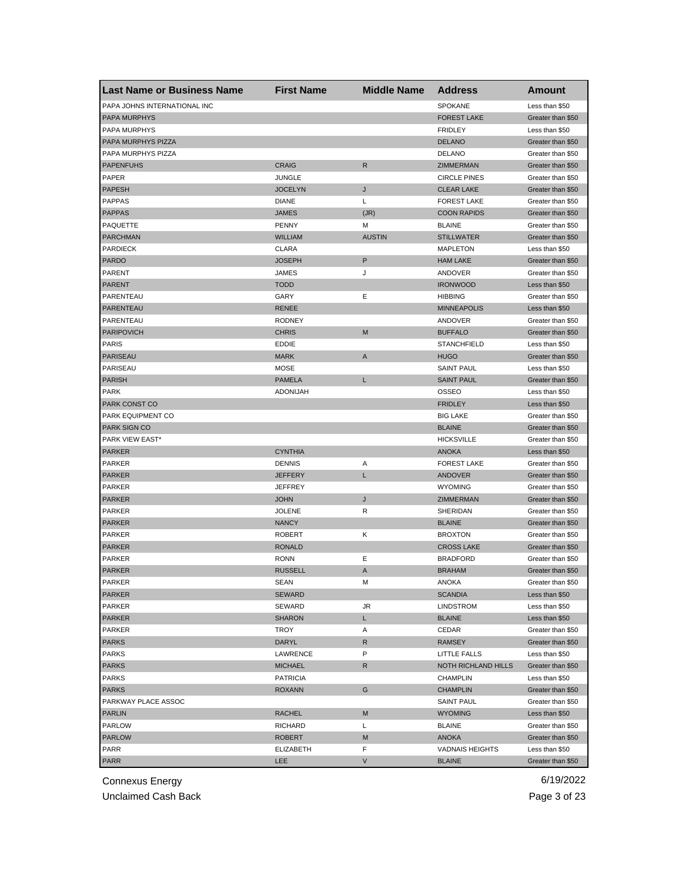| <b>Last Name or Business Name</b>  | <b>First Name</b> | <b>Middle Name</b> | <b>Address</b>                    | <b>Amount</b>     |
|------------------------------------|-------------------|--------------------|-----------------------------------|-------------------|
| PAPA JOHNS INTERNATIONAL INC       |                   |                    | SPOKANE                           | Less than \$50    |
| <b>PAPA MURPHYS</b>                |                   |                    | <b>FOREST LAKE</b>                | Greater than \$50 |
| PAPA MURPHYS                       |                   |                    | <b>FRIDLEY</b>                    | Less than \$50    |
| PAPA MURPHYS PIZZA                 |                   |                    | <b>DELANO</b>                     | Greater than \$50 |
| PAPA MURPHYS PIZZA                 |                   |                    | <b>DELANO</b>                     | Greater than \$50 |
| <b>PAPENFUHS</b>                   | <b>CRAIG</b>      | R                  | ZIMMERMAN                         | Greater than \$50 |
| PAPER                              | JUNGLE            |                    | <b>CIRCLE PINES</b>               | Greater than \$50 |
| <b>PAPESH</b>                      | <b>JOCELYN</b>    | J                  | <b>CLEAR LAKE</b>                 | Greater than \$50 |
| <b>PAPPAS</b>                      | <b>DIANE</b>      | L                  | <b>FOREST LAKE</b>                | Greater than \$50 |
| <b>PAPPAS</b>                      | <b>JAMES</b>      | (JR)               | <b>COON RAPIDS</b>                | Greater than \$50 |
| PAQUETTE                           | <b>PENNY</b>      | М                  | <b>BLAINE</b>                     | Greater than \$50 |
| <b>PARCHMAN</b>                    | WILLIAM           | <b>AUSTIN</b>      | <b>STILLWATER</b>                 | Greater than \$50 |
| <b>PARDIECK</b>                    | <b>CLARA</b>      |                    | <b>MAPLETON</b>                   | Less than \$50    |
| <b>PARDO</b>                       | JOSEPH            | P                  | <b>HAM LAKE</b>                   | Greater than \$50 |
| <b>PARENT</b>                      | JAMES             | J                  | ANDOVER                           | Greater than \$50 |
| <b>PARENT</b>                      | <b>TODD</b>       |                    | <b>IRONWOOD</b>                   | Less than \$50    |
| PARENTEAU                          | GARY              | Ε                  | <b>HIBBING</b>                    | Greater than \$50 |
| PARENTEAU                          | <b>RENEE</b>      |                    | <b>MINNEAPOLIS</b>                | Less than \$50    |
| PARENTEAU                          | <b>RODNEY</b>     |                    | ANDOVER                           | Greater than \$50 |
| <b>PARIPOVICH</b>                  | <b>CHRIS</b>      | M                  | <b>BUFFALO</b>                    | Greater than \$50 |
| <b>PARIS</b>                       | <b>EDDIE</b>      |                    | <b>STANCHFIELD</b>                | Less than \$50    |
| PARISEAU                           | <b>MARK</b>       | A                  | <b>HUGO</b>                       | Greater than \$50 |
| PARISEAU                           | <b>MOSE</b>       |                    | <b>SAINT PAUL</b>                 | Less than \$50    |
| <b>PARISH</b>                      | <b>PAMELA</b>     | L                  | <b>SAINT PAUL</b>                 | Greater than \$50 |
| <b>PARK</b>                        | <b>ADONIJAH</b>   |                    | OSSEO                             | Less than \$50    |
|                                    |                   |                    |                                   |                   |
| PARK CONST CO<br>PARK EQUIPMENT CO |                   |                    | <b>FRIDLEY</b><br><b>BIG LAKE</b> | Less than \$50    |
|                                    |                   |                    |                                   | Greater than \$50 |
| PARK SIGN CO                       |                   |                    | <b>BLAINE</b>                     | Greater than \$50 |
| PARK VIEW EAST*                    |                   |                    | <b>HICKSVILLE</b>                 | Greater than \$50 |
| <b>PARKER</b>                      | <b>CYNTHIA</b>    |                    | <b>ANOKA</b>                      | Less than \$50    |
| <b>PARKER</b>                      | <b>DENNIS</b>     | Α                  | <b>FOREST LAKE</b>                | Greater than \$50 |
| <b>PARKER</b>                      | JEFFERY           | Г                  | <b>ANDOVER</b>                    | Greater than \$50 |
| <b>PARKER</b>                      | JEFFREY           |                    | <b>WYOMING</b>                    | Greater than \$50 |
| <b>PARKER</b>                      | <b>JOHN</b>       | J                  | ZIMMERMAN                         | Greater than \$50 |
| PARKER                             | <b>JOLENE</b>     | R                  | SHERIDAN                          | Greater than \$50 |
| <b>PARKER</b>                      | <b>NANCY</b>      |                    | <b>BLAINE</b>                     | Greater than \$50 |
| PARKER                             | <b>ROBERT</b>     | Κ                  | <b>BROXTON</b>                    | Greater than \$50 |
| <b>PARKER</b>                      | <b>RONALD</b>     |                    | <b>CROSS LAKE</b>                 | Greater than \$50 |
| PARKER                             | <b>RONN</b>       | Ε                  | <b>BRADFORD</b>                   | Greater than \$50 |
| <b>PARKER</b>                      | <b>RUSSELL</b>    | A                  | <b>BRAHAM</b>                     | Greater than \$50 |
| PARKER                             | SEAN              | M                  | <b>ANOKA</b>                      | Greater than \$50 |
| <b>PARKER</b>                      | SEWARD            |                    | <b>SCANDIA</b>                    | Less than \$50    |
| PARKER                             | SEWARD            | JR                 | <b>LINDSTROM</b>                  | Less than \$50    |
| <b>PARKER</b>                      | SHARON            | L.                 | <b>BLAINE</b>                     | Less than \$50    |
| PARKER                             | TROY              | Α                  | CEDAR                             | Greater than \$50 |
| <b>PARKS</b>                       | DARYL             | R                  | <b>RAMSEY</b>                     | Greater than \$50 |
| <b>PARKS</b>                       | LAWRENCE          | P                  | LITTLE FALLS                      | Less than \$50    |
| <b>PARKS</b>                       | <b>MICHAEL</b>    | R                  | NOTH RICHLAND HILLS               | Greater than \$50 |
| <b>PARKS</b>                       | <b>PATRICIA</b>   |                    | <b>CHAMPLIN</b>                   | Less than \$50    |
| <b>PARKS</b>                       | <b>ROXANN</b>     | G                  | <b>CHAMPLIN</b>                   | Greater than \$50 |
| PARKWAY PLACE ASSOC                |                   |                    | <b>SAINT PAUL</b>                 | Greater than \$50 |
| <b>PARLIN</b>                      | RACHEL            | M                  | <b>WYOMING</b>                    | Less than \$50    |
| PARLOW                             | RICHARD           | L                  | <b>BLAINE</b>                     | Greater than \$50 |
| <b>PARLOW</b>                      | ROBERT            | M                  | ANOKA                             | Greater than \$50 |
| PARR                               | ELIZABETH         | F                  | <b>VADNAIS HEIGHTS</b>            | Less than \$50    |
| <b>PARR</b>                        | LEE               | V                  | <b>BLAINE</b>                     | Greater than \$50 |
|                                    |                   |                    |                                   |                   |

Unclaimed Cash Back **Page 3 of 23**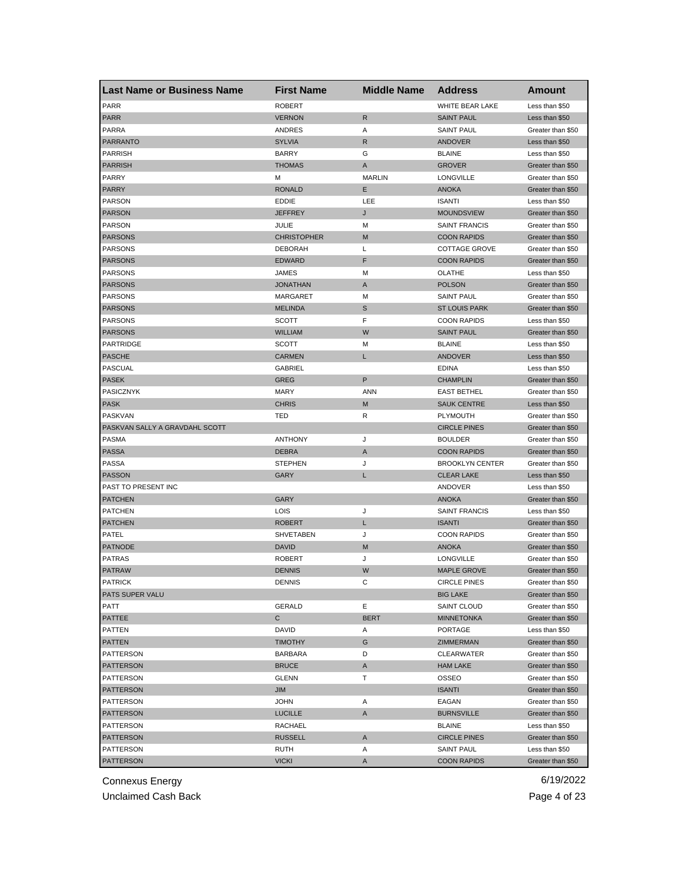| <b>Last Name or Business Name</b> | <b>First Name</b>  | <b>Middle Name</b> | <b>Address</b>         | Amount            |
|-----------------------------------|--------------------|--------------------|------------------------|-------------------|
| <b>PARR</b>                       | <b>ROBERT</b>      |                    | WHITE BEAR LAKE        | Less than \$50    |
| <b>PARR</b>                       | <b>VERNON</b>      | $\mathsf{R}$       | <b>SAINT PAUL</b>      | Less than \$50    |
| <b>PARRA</b>                      | ANDRES             | Α                  | <b>SAINT PAUL</b>      | Greater than \$50 |
| <b>PARRANTO</b>                   | <b>SYLVIA</b>      | R                  | <b>ANDOVER</b>         | Less than \$50    |
| <b>PARRISH</b>                    | <b>BARRY</b>       | G                  | <b>BLAINE</b>          | Less than \$50    |
| <b>PARRISH</b>                    | <b>THOMAS</b>      | Α                  | <b>GROVER</b>          | Greater than \$50 |
| PARRY                             | M                  | <b>MARLIN</b>      | LONGVILLE              | Greater than \$50 |
| <b>PARRY</b>                      | <b>RONALD</b>      | Ε                  | <b>ANOKA</b>           | Greater than \$50 |
| <b>PARSON</b>                     | <b>EDDIE</b>       | LEE                | <b>ISANTI</b>          | Less than \$50    |
| <b>PARSON</b>                     | <b>JEFFREY</b>     | J                  | <b>MOUNDSVIEW</b>      | Greater than \$50 |
| <b>PARSON</b>                     | JULIE              | М                  | <b>SAINT FRANCIS</b>   | Greater than \$50 |
| <b>PARSONS</b>                    | <b>CHRISTOPHER</b> | M                  | <b>COON RAPIDS</b>     | Greater than \$50 |
| <b>PARSONS</b>                    | <b>DEBORAH</b>     | L                  | <b>COTTAGE GROVE</b>   | Greater than \$50 |
| <b>PARSONS</b>                    | <b>EDWARD</b>      | F                  | <b>COON RAPIDS</b>     | Greater than \$50 |
| PARSONS                           | <b>JAMES</b>       | М                  | OLATHE                 | Less than \$50    |
| <b>PARSONS</b>                    | <b>JONATHAN</b>    | A                  | <b>POLSON</b>          | Greater than \$50 |
| <b>PARSONS</b>                    | <b>MARGARET</b>    | М                  | <b>SAINT PAUL</b>      | Greater than \$50 |
| <b>PARSONS</b>                    | <b>MELINDA</b>     | S                  | <b>ST LOUIS PARK</b>   | Greater than \$50 |
| <b>PARSONS</b>                    | SCOTT              | F                  | <b>COON RAPIDS</b>     | Less than \$50    |
| <b>PARSONS</b>                    | <b>WILLIAM</b>     | W                  | <b>SAINT PAUL</b>      | Greater than \$50 |
| <b>PARTRIDGE</b>                  | <b>SCOTT</b>       | M                  | <b>BLAINE</b>          | Less than \$50    |
| <b>PASCHE</b>                     | <b>CARMEN</b>      | L                  | <b>ANDOVER</b>         | Less than \$50    |
| <b>PASCUAL</b>                    | <b>GABRIEL</b>     |                    | <b>EDINA</b>           | Less than \$50    |
| <b>PASEK</b>                      | GREG               | P                  | <b>CHAMPLIN</b>        | Greater than \$50 |
| PASICZNYK                         | <b>MARY</b>        | <b>ANN</b>         | <b>EAST BETHEL</b>     | Greater than \$50 |
| <b>PASK</b>                       | <b>CHRIS</b>       | M                  | <b>SAUK CENTRE</b>     | Less than \$50    |
| PASKVAN                           | TED                | R                  | <b>PLYMOUTH</b>        | Greater than \$50 |
| PASKVAN SALLY A GRAVDAHL SCOTT    |                    |                    | <b>CIRCLE PINES</b>    | Greater than \$50 |
| <b>PASMA</b>                      | <b>ANTHONY</b>     | J                  | <b>BOULDER</b>         | Greater than \$50 |
| <b>PASSA</b>                      | <b>DEBRA</b>       | A                  | <b>COON RAPIDS</b>     | Greater than \$50 |
| <b>PASSA</b>                      | <b>STEPHEN</b>     | J                  | <b>BROOKLYN CENTER</b> | Greater than \$50 |
| <b>PASSON</b>                     | GARY               | L                  | <b>CLEAR LAKE</b>      | Less than \$50    |
| PAST TO PRESENT INC               |                    |                    | ANDOVER                | Less than \$50    |
| <b>PATCHEN</b>                    | GARY               |                    | <b>ANOKA</b>           | Greater than \$50 |
| <b>PATCHEN</b>                    | LOIS               | J                  | <b>SAINT FRANCIS</b>   | Less than \$50    |
| <b>PATCHEN</b>                    | <b>ROBERT</b>      | Г                  | <b>ISANTI</b>          | Greater than \$50 |
| PATEL                             | SHVETABEN          | J                  | <b>COON RAPIDS</b>     | Greater than \$50 |
| <b>PATNODE</b>                    | <b>DAVID</b>       | M                  | <b>ANOKA</b>           | Greater than \$50 |
| <b>PATRAS</b>                     | <b>ROBERT</b>      | J                  | LONGVILLE              | Greater than \$50 |
| <b>PATRAW</b>                     | <b>DENNIS</b>      | W                  | <b>MAPLE GROVE</b>     | Greater than \$50 |
| PATRICK                           | DENNIS             | С                  | <b>CIRCLE PINES</b>    | Greater than \$50 |
| PATS SUPER VALU                   |                    |                    | <b>BIG LAKE</b>        | Greater than \$50 |
| PATT                              | <b>GERALD</b>      | Е                  | SAINT CLOUD            | Greater than \$50 |
| PATTEE                            | C                  | <b>BERT</b>        | <b>MINNETONKA</b>      | Greater than \$50 |
| PATTEN                            | DAVID              | Α                  | <b>PORTAGE</b>         | Less than \$50    |
| <b>PATTEN</b>                     | <b>TIMOTHY</b>     | G                  | ZIMMERMAN              | Greater than \$50 |
| PATTERSON                         | <b>BARBARA</b>     | D                  | CLEARWATER             | Greater than \$50 |
| <b>PATTERSON</b>                  | <b>BRUCE</b>       | Α                  | <b>HAM LAKE</b>        | Greater than \$50 |
| PATTERSON                         | <b>GLENN</b>       | т                  | OSSEO                  | Greater than \$50 |
| <b>PATTERSON</b>                  | JIM                |                    | <b>ISANTI</b>          | Greater than \$50 |
| PATTERSON                         | <b>JOHN</b>        | Α                  | EAGAN                  | Greater than \$50 |
| <b>PATTERSON</b>                  | <b>LUCILLE</b>     | A                  | <b>BURNSVILLE</b>      | Greater than \$50 |
| PATTERSON                         | RACHAEL            |                    | <b>BLAINE</b>          | Less than \$50    |
| PATTERSON                         | RUSSELL            | A                  | <b>CIRCLE PINES</b>    | Greater than \$50 |
| PATTERSON                         | RUTH               | Α                  | SAINT PAUL             | Less than \$50    |
| <b>PATTERSON</b>                  | <b>VICKI</b>       | A                  | <b>COON RAPIDS</b>     | Greater than \$50 |

Unclaimed Cash Back **Page 4 of 23**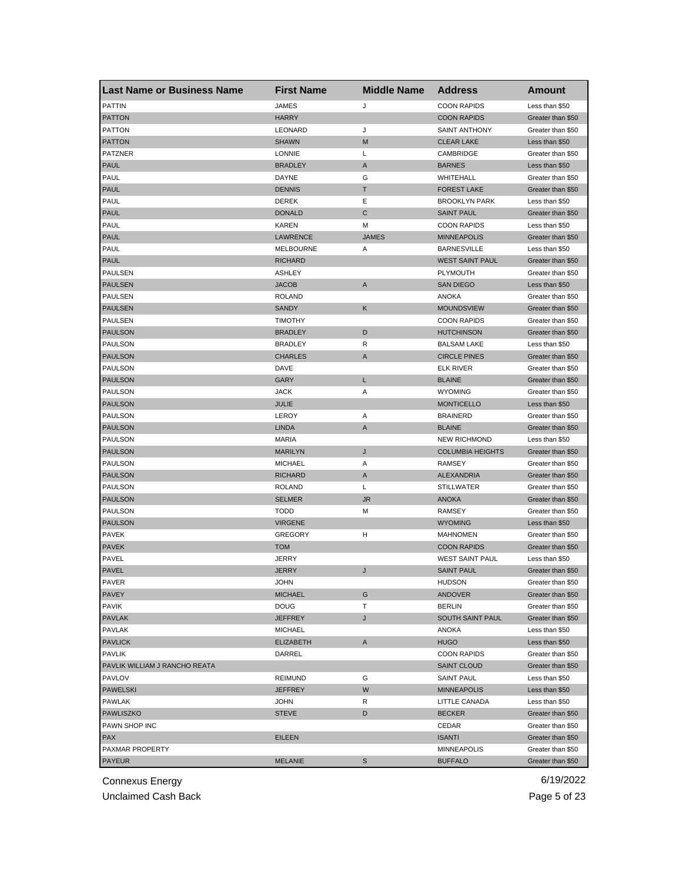| <b>Last Name or Business Name</b> | <b>First Name</b> | <b>Middle Name</b> | <b>Address</b>          | <b>Amount</b>     |
|-----------------------------------|-------------------|--------------------|-------------------------|-------------------|
| <b>PATTIN</b>                     | <b>JAMES</b>      | J                  | <b>COON RAPIDS</b>      | Less than \$50    |
| <b>PATTON</b>                     | <b>HARRY</b>      |                    | <b>COON RAPIDS</b>      | Greater than \$50 |
| <b>PATTON</b>                     | LEONARD           | J                  | <b>SAINT ANTHONY</b>    | Greater than \$50 |
| <b>PATTON</b>                     | <b>SHAWN</b>      | M                  | <b>CLEAR LAKE</b>       | Less than \$50    |
| <b>PATZNER</b>                    | <b>LONNIE</b>     | L                  | CAMBRIDGE               | Greater than \$50 |
| <b>PAUL</b>                       | <b>BRADLEY</b>    | Α                  | <b>BARNES</b>           | Less than \$50    |
| PAUL                              | DAYNE             | G                  | WHITEHALL               | Greater than \$50 |
| <b>PAUL</b>                       | <b>DENNIS</b>     | Τ                  | <b>FOREST LAKE</b>      | Greater than \$50 |
| PAUL                              | <b>DEREK</b>      | Ε                  | <b>BROOKLYN PARK</b>    | Less than \$50    |
| <b>PAUL</b>                       | <b>DONALD</b>     | C                  | <b>SAINT PAUL</b>       | Greater than \$50 |
| PAUL                              | <b>KAREN</b>      | M                  | <b>COON RAPIDS</b>      | Less than \$50    |
| <b>PAUL</b>                       | LAWRENCE          | <b>JAMES</b>       | <b>MINNEAPOLIS</b>      | Greater than \$50 |
| PAUL                              | <b>MELBOURNE</b>  | Α                  | <b>BARNESVILLE</b>      | Less than \$50    |
| <b>PAUL</b>                       | <b>RICHARD</b>    |                    | <b>WEST SAINT PAUL</b>  | Greater than \$50 |
| PAULSEN                           | <b>ASHLEY</b>     |                    | PLYMOUTH                | Greater than \$50 |
| <b>PAULSEN</b>                    | <b>JACOB</b>      | A                  | <b>SAN DIEGO</b>        | Less than \$50    |
| PAULSEN                           | <b>ROLAND</b>     |                    | <b>ANOKA</b>            | Greater than \$50 |
| <b>PAULSEN</b>                    | <b>SANDY</b>      | Κ                  | <b>MOUNDSVIEW</b>       | Greater than \$50 |
| <b>PAULSEN</b>                    | <b>TIMOTHY</b>    |                    | <b>COON RAPIDS</b>      | Greater than \$50 |
| <b>PAULSON</b>                    | <b>BRADLEY</b>    | D                  | <b>HUTCHINSON</b>       | Greater than \$50 |
| <b>PAULSON</b>                    | <b>BRADLEY</b>    | R                  | <b>BALSAM LAKE</b>      | Less than \$50    |
| <b>PAULSON</b>                    | <b>CHARLES</b>    | Α                  | <b>CIRCLE PINES</b>     | Greater than \$50 |
| <b>PAULSON</b>                    | DAVE              |                    | <b>ELK RIVER</b>        | Greater than \$50 |
| <b>PAULSON</b>                    | <b>GARY</b>       | L                  | <b>BLAINE</b>           | Greater than \$50 |
| PAULSON                           | JACK              | Α                  | <b>WYOMING</b>          | Greater than \$50 |
| <b>PAULSON</b>                    | JULIE             |                    | <b>MONTICELLO</b>       | Less than \$50    |
| PAULSON                           | LEROY             | Α                  | <b>BRAINERD</b>         | Greater than \$50 |
| <b>PAULSON</b>                    | <b>LINDA</b>      | A                  | <b>BLAINE</b>           | Greater than \$50 |
| <b>PAULSON</b>                    | <b>MARIA</b>      |                    | <b>NEW RICHMOND</b>     | Less than \$50    |
| <b>PAULSON</b>                    | <b>MARILYN</b>    | J                  | <b>COLUMBIA HEIGHTS</b> | Greater than \$50 |
| <b>PAULSON</b>                    | <b>MICHAEL</b>    | Α                  | <b>RAMSEY</b>           | Greater than \$50 |
| <b>PAULSON</b>                    | <b>RICHARD</b>    | A                  | <b>ALEXANDRIA</b>       | Greater than \$50 |
| <b>PAULSON</b>                    | <b>ROLAND</b>     | L                  | <b>STILLWATER</b>       | Greater than \$50 |
| <b>PAULSON</b>                    | <b>SELMER</b>     | <b>JR</b>          | <b>ANOKA</b>            | Greater than \$50 |
| <b>PAULSON</b>                    | <b>TODD</b>       | M                  | <b>RAMSEY</b>           | Greater than \$50 |
| <b>PAULSON</b>                    | <b>VIRGENE</b>    |                    | <b>WYOMING</b>          | Less than \$50    |
| PAVEK                             | <b>GREGORY</b>    | н                  | <b>MAHNOMEN</b>         | Greater than \$50 |
| <b>PAVEK</b>                      | <b>TOM</b>        |                    | <b>COON RAPIDS</b>      | Greater than \$50 |
| PAVEL                             | JERRY             |                    | <b>WEST SAINT PAUL</b>  | Less than \$50    |
| <b>PAVEL</b>                      | JERRY             | J                  | <b>SAINT PAUL</b>       | Greater than \$50 |
| PAVER                             | JOHN              |                    | <b>HUDSON</b>           | Greater than \$50 |
| <b>PAVEY</b>                      | <b>MICHAEL</b>    | G                  | ANDOVER                 | Greater than \$50 |
| <b>PAVIK</b>                      | <b>DOUG</b>       | т                  | <b>BERLIN</b>           | Greater than \$50 |
| <b>PAVLAK</b>                     | JEFFREY           | J                  | SOUTH SAINT PAUL        | Greater than \$50 |
| PAVLAK                            | <b>MICHAEL</b>    |                    | ANOKA                   | Less than \$50    |
| <b>PAVLICK</b>                    | <b>ELIZABETH</b>  | A                  | <b>HUGO</b>             | Less than \$50    |
| <b>PAVLIK</b>                     | DARREL            |                    | <b>COON RAPIDS</b>      | Greater than \$50 |
| PAVLIK WILLIAM J RANCHO REATA     |                   |                    | <b>SAINT CLOUD</b>      | Greater than \$50 |
| <b>PAVLOV</b>                     | <b>REIMUND</b>    | G                  | <b>SAINT PAUL</b>       | Less than \$50    |
| <b>PAWELSKI</b>                   | <b>JEFFREY</b>    | W                  | <b>MINNEAPOLIS</b>      | Less than \$50    |
| PAWLAK                            | JOHN              | R                  | LITTLE CANADA           | Less than \$50    |
| PAWLISZKO                         | <b>STEVE</b>      | D                  | <b>BECKER</b>           | Greater than \$50 |
| PAWN SHOP INC                     |                   |                    | CEDAR                   | Greater than \$50 |
| <b>PAX</b>                        | EILEEN            |                    | <b>ISANTI</b>           | Greater than \$50 |
| PAXMAR PROPERTY                   |                   |                    | MINNEAPOLIS             | Greater than \$50 |
|                                   |                   |                    |                         |                   |
| <b>PAYEUR</b>                     | <b>MELANIE</b>    | S                  | <b>BUFFALO</b>          | Greater than \$50 |

Unclaimed Cash Back **Page 5 of 23**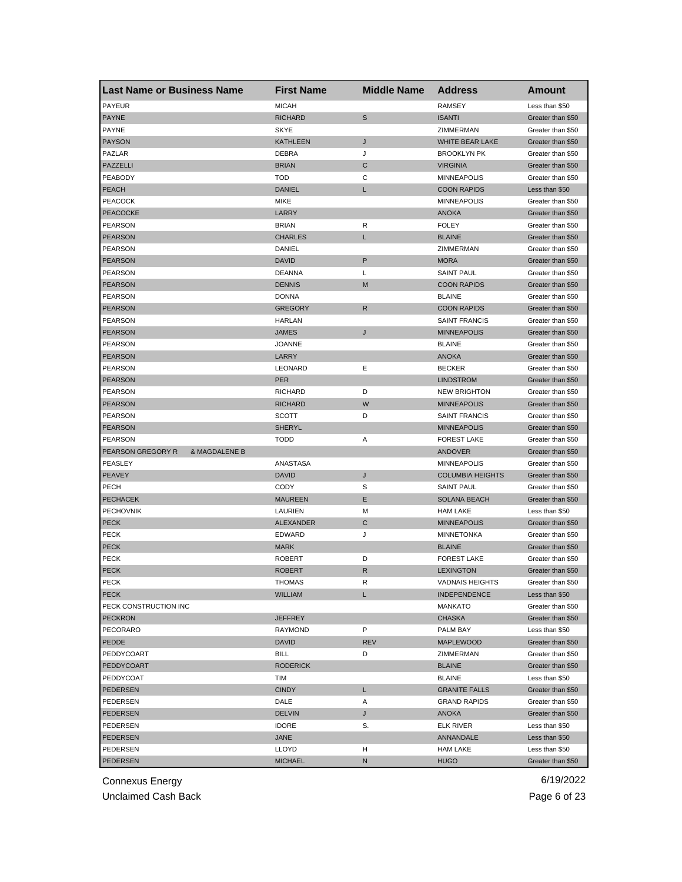| <b>Last Name or Business Name</b>  | <b>First Name</b> | <b>Middle Name</b> | <b>Address</b>          | <b>Amount</b>     |
|------------------------------------|-------------------|--------------------|-------------------------|-------------------|
| <b>PAYEUR</b>                      | <b>MICAH</b>      |                    | <b>RAMSEY</b>           | Less than \$50    |
| <b>PAYNE</b>                       | <b>RICHARD</b>    | S                  | <b>ISANTI</b>           | Greater than \$50 |
| <b>PAYNE</b>                       | <b>SKYE</b>       |                    | ZIMMERMAN               | Greater than \$50 |
| <b>PAYSON</b>                      | KATHLEEN          | J                  | WHITE BEAR LAKE         | Greater than \$50 |
| PAZLAR                             | <b>DEBRA</b>      | J                  | <b>BROOKLYN PK</b>      | Greater than \$50 |
| PAZZELLI                           | <b>BRIAN</b>      | C                  | <b>VIRGINIA</b>         | Greater than \$50 |
| PEABODY                            | <b>TOD</b>        | С                  | <b>MINNEAPOLIS</b>      | Greater than \$50 |
| <b>PEACH</b>                       | <b>DANIEL</b>     | L                  | <b>COON RAPIDS</b>      | Less than \$50    |
| <b>PEACOCK</b>                     | MIKE              |                    | <b>MINNEAPOLIS</b>      | Greater than \$50 |
| <b>PEACOCKE</b>                    | LARRY             |                    | <b>ANOKA</b>            | Greater than \$50 |
| <b>PEARSON</b>                     | <b>BRIAN</b>      | R                  | <b>FOLEY</b>            | Greater than \$50 |
| <b>PEARSON</b>                     | <b>CHARLES</b>    | L                  | <b>BLAINE</b>           | Greater than \$50 |
| <b>PEARSON</b>                     | DANIEL            |                    | ZIMMERMAN               | Greater than \$50 |
| <b>PEARSON</b>                     | <b>DAVID</b>      | P                  | <b>MORA</b>             | Greater than \$50 |
| <b>PEARSON</b>                     | <b>DEANNA</b>     | L                  | <b>SAINT PAUL</b>       | Greater than \$50 |
| <b>PEARSON</b>                     | <b>DENNIS</b>     | M                  | <b>COON RAPIDS</b>      | Greater than \$50 |
| <b>PEARSON</b>                     | <b>DONNA</b>      |                    | <b>BLAINE</b>           | Greater than \$50 |
| <b>PEARSON</b>                     | <b>GREGORY</b>    | $\mathsf{R}$       | <b>COON RAPIDS</b>      | Greater than \$50 |
| <b>PEARSON</b>                     | <b>HARLAN</b>     |                    | <b>SAINT FRANCIS</b>    | Greater than \$50 |
| <b>PEARSON</b>                     | JAMES             | J                  | <b>MINNEAPOLIS</b>      | Greater than \$50 |
| <b>PEARSON</b>                     | JOANNE            |                    | <b>BLAINE</b>           | Greater than \$50 |
| <b>PEARSON</b>                     | LARRY             |                    | <b>ANOKA</b>            | Greater than \$50 |
| <b>PEARSON</b>                     | LEONARD           | Е                  | <b>BECKER</b>           | Greater than \$50 |
| <b>PEARSON</b>                     | PER               |                    | <b>LINDSTROM</b>        | Greater than \$50 |
| PEARSON                            | <b>RICHARD</b>    | D                  | <b>NEW BRIGHTON</b>     | Greater than \$50 |
| <b>PEARSON</b>                     | RICHARD           | W                  | <b>MINNEAPOLIS</b>      | Greater than \$50 |
| PEARSON                            | SCOTT             | D                  | <b>SAINT FRANCIS</b>    | Greater than \$50 |
| <b>PEARSON</b>                     | SHERYL            |                    | <b>MINNEAPOLIS</b>      | Greater than \$50 |
| PEARSON                            | TODD              | Α                  | <b>FOREST LAKE</b>      | Greater than \$50 |
| PEARSON GREGORY R<br>& MAGDALENE B |                   |                    | ANDOVER                 | Greater than \$50 |
| PEASLEY                            | ANASTASA          |                    | <b>MINNEAPOLIS</b>      | Greater than \$50 |
| <b>PEAVEY</b>                      | <b>DAVID</b>      | J                  | <b>COLUMBIA HEIGHTS</b> | Greater than \$50 |
| <b>PECH</b>                        | CODY              | S                  | <b>SAINT PAUL</b>       | Greater than \$50 |
| <b>PECHACEK</b>                    | <b>MAUREEN</b>    | Е                  | <b>SOLANA BEACH</b>     | Greater than \$50 |
| <b>PECHOVNIK</b>                   | LAURIEN           | М                  | <b>HAM LAKE</b>         | Less than \$50    |
| <b>PECK</b>                        | <b>ALEXANDER</b>  | C                  | <b>MINNEAPOLIS</b>      | Greater than \$50 |
| <b>PECK</b>                        | <b>EDWARD</b>     | J                  | <b>MINNETONKA</b>       | Greater than \$50 |
| <b>PECK</b>                        | <b>MARK</b>       |                    | <b>BLAINE</b>           | Greater than \$50 |
| <b>PECK</b>                        | <b>ROBERT</b>     | D                  | <b>FOREST LAKE</b>      | Greater than \$50 |
| <b>PECK</b>                        | <b>ROBERT</b>     | R                  | <b>LEXINGTON</b>        | Greater than \$50 |
|                                    | <b>IHOMAS</b>     | к                  | VADNAIS HEIGHTS         | Greater than \$50 |
| <b>PECK</b><br><b>PECK</b>         | <b>WILLIAM</b>    | L                  | <b>INDEPENDENCE</b>     | Less than \$50    |
| PECK CONSTRUCTION INC              |                   |                    | <b>MANKATO</b>          | Greater than \$50 |
| <b>PECKRON</b>                     | JEFFREY           |                    | CHASKA                  | Greater than \$50 |
| PECORARO                           | RAYMOND           | P                  | PALM BAY                | Less than \$50    |
| PEDDE                              | DAVID             | <b>REV</b>         | <b>MAPLEWOOD</b>        | Greater than \$50 |
| PEDDYCOART                         | <b>BILL</b>       | D                  | ZIMMERMAN               | Greater than \$50 |
|                                    | <b>RODERICK</b>   |                    | <b>BLAINE</b>           |                   |
| PEDDYCOART                         |                   |                    |                         | Greater than \$50 |
| PEDDYCOAT                          | TIM               |                    | <b>BLAINE</b>           | Less than \$50    |
| <b>PEDERSEN</b>                    | <b>CINDY</b>      | L.                 | <b>GRANITE FALLS</b>    | Greater than \$50 |
| PEDERSEN                           | DALE              | Α                  | <b>GRAND RAPIDS</b>     | Greater than \$50 |
| PEDERSEN                           | <b>DELVIN</b>     | J                  | ANOKA                   | Greater than \$50 |
| PEDERSEN                           | <b>IDORE</b>      | S.                 | ELK RIVER               | Less than \$50    |
| PEDERSEN                           | JANE              |                    | ANNANDALE               | Less than \$50    |
| PEDERSEN                           | LLOYD             | н                  | <b>HAM LAKE</b>         | Less than \$50    |
| <b>PEDERSEN</b>                    | <b>MICHAEL</b>    | N                  | <b>HUGO</b>             | Greater than \$50 |

Unclaimed Cash Back **Page 6 of 23**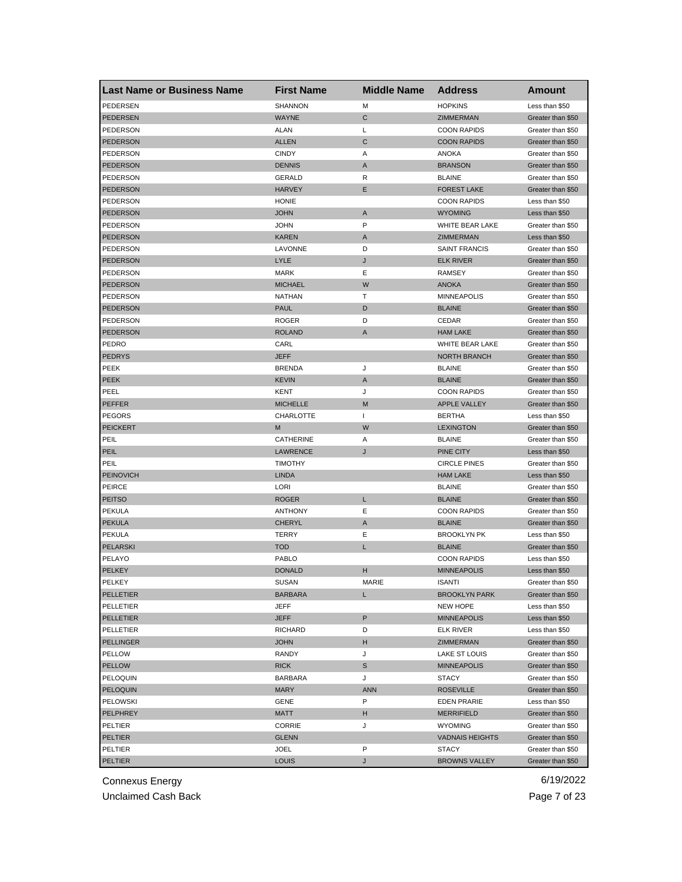| <b>Last Name or Business Name</b> | <b>First Name</b> | <b>Middle Name</b> | <b>Address</b>         | Amount                                 |
|-----------------------------------|-------------------|--------------------|------------------------|----------------------------------------|
| PEDERSEN                          | <b>SHANNON</b>    | M                  | <b>HOPKINS</b>         | Less than \$50                         |
| PEDERSEN                          | <b>WAYNE</b>      | C                  | ZIMMERMAN              | Greater than \$50                      |
| PEDERSON                          | <b>ALAN</b>       | L                  | <b>COON RAPIDS</b>     | Greater than \$50                      |
| <b>PEDERSON</b>                   | <b>ALLEN</b>      | C                  | <b>COON RAPIDS</b>     | Greater than \$50                      |
| PEDERSON                          | <b>CINDY</b>      | A                  | ANOKA                  | Greater than \$50                      |
| <b>PEDERSON</b>                   | <b>DENNIS</b>     | A                  | <b>BRANSON</b>         | Greater than \$50                      |
| PEDERSON                          | GERALD            | R                  | <b>BLAINE</b>          | Greater than \$50                      |
| <b>PEDERSON</b>                   | <b>HARVEY</b>     | Е                  | <b>FOREST LAKE</b>     | Greater than \$50                      |
| PEDERSON                          | <b>HONIE</b>      |                    | <b>COON RAPIDS</b>     | Less than \$50                         |
| <b>PEDERSON</b>                   | <b>JOHN</b>       | $\mathsf{A}$       | <b>WYOMING</b>         | Less than \$50                         |
| PEDERSON                          | <b>JOHN</b>       | P                  | WHITE BEAR LAKE        | Greater than \$50                      |
| <b>PEDERSON</b>                   | <b>KAREN</b>      | A                  | <b>ZIMMERMAN</b>       | Less than \$50                         |
| PEDERSON                          | LAVONNE           | D                  | <b>SAINT FRANCIS</b>   | Greater than \$50                      |
| <b>PEDERSON</b>                   | LYLE              | J                  | <b>ELK RIVER</b>       | Greater than \$50                      |
| PEDERSON                          | <b>MARK</b>       | Ε                  | RAMSEY                 | Greater than \$50                      |
| PEDERSON                          | <b>MICHAEL</b>    | W                  | <b>ANOKA</b>           | Greater than \$50                      |
| PEDERSON                          | <b>NATHAN</b>     | т                  | <b>MINNEAPOLIS</b>     | Greater than \$50                      |
| <b>PEDERSON</b>                   | <b>PAUL</b>       | D                  | <b>BLAINE</b>          | Greater than \$50                      |
| PEDERSON                          | <b>ROGER</b>      | D                  | CEDAR                  | Greater than \$50                      |
| <b>PEDERSON</b>                   | <b>ROLAND</b>     | A                  | <b>HAM LAKE</b>        | Greater than \$50                      |
| PEDRO                             | CARL              |                    | WHITE BEAR LAKE        | Greater than \$50                      |
| <b>PEDRYS</b>                     | <b>JEFF</b>       |                    | <b>NORTH BRANCH</b>    | Greater than \$50                      |
| PEEK                              | <b>BRENDA</b>     | J                  | <b>BLAINE</b>          | Greater than \$50                      |
| <b>PEEK</b>                       | <b>KEVIN</b>      | A                  | <b>BLAINE</b>          | Greater than \$50                      |
| PEEL                              | KENT              | J                  | <b>COON RAPIDS</b>     | Greater than \$50                      |
| <b>PEFFER</b>                     | <b>MICHELLE</b>   | M                  | <b>APPLE VALLEY</b>    | Greater than \$50                      |
| <b>PEGORS</b>                     | CHARLOTTE         | -1                 | <b>BERTHA</b>          | Less than \$50                         |
| <b>PEICKERT</b>                   | M                 | W                  | <b>LEXINGTON</b>       |                                        |
| PEIL                              | CATHERINE         | Α                  | <b>BLAINE</b>          | Greater than \$50<br>Greater than \$50 |
|                                   |                   |                    |                        |                                        |
| PEIL                              | <b>LAWRENCE</b>   | J                  | PINE CITY              | Less than \$50                         |
| PEIL                              | <b>TIMOTHY</b>    |                    | <b>CIRCLE PINES</b>    | Greater than \$50                      |
| <b>PEINOVICH</b>                  | <b>LINDA</b>      |                    | <b>HAM LAKE</b>        | Less than \$50                         |
| PEIRCE                            | LORI              |                    | <b>BLAINE</b>          | Greater than \$50                      |
| <b>PEITSO</b>                     | <b>ROGER</b>      | L                  | <b>BLAINE</b>          | Greater than \$50                      |
| PEKULA                            | <b>ANTHONY</b>    | Ε                  | <b>COON RAPIDS</b>     | Greater than \$50                      |
| <b>PEKULA</b>                     | <b>CHERYL</b>     | A                  | <b>BLAINE</b>          | Greater than \$50                      |
| <b>PEKULA</b>                     | TERRY             | Ε                  | <b>BROOKLYN PK</b>     | Less than \$50                         |
| <b>PELARSKI</b>                   | <b>TOD</b>        | L                  | <b>BLAINE</b>          | Greater than \$50                      |
| PELAYO                            | PABLO             |                    | <b>COON RAPIDS</b>     | Less than \$50                         |
| <b>PELKEY</b>                     | <b>DONALD</b>     | н                  | <b>MINNEAPOLIS</b>     | Less than \$50                         |
| PELKEY                            | SUSAN             | MARIE              | ISANII                 | Greater than \$50                      |
| PELLETIER                         | <b>BARBARA</b>    | L                  | <b>BROOKLYN PARK</b>   | Greater than \$50                      |
| PELLETIER                         | JEFF              |                    | <b>NEW HOPE</b>        | Less than \$50                         |
| <b>PELLETIER</b>                  | JEFF              | P                  | <b>MINNEAPOLIS</b>     | Less than \$50                         |
| PELLETIER                         | <b>RICHARD</b>    | D                  | <b>ELK RIVER</b>       | Less than \$50                         |
| <b>PELLINGER</b>                  | <b>JOHN</b>       | н                  | ZIMMERMAN              | Greater than \$50                      |
| PELLOW                            | RANDY             | J                  | LAKE ST LOUIS          | Greater than \$50                      |
| <b>PELLOW</b>                     | <b>RICK</b>       | S                  | <b>MINNEAPOLIS</b>     | Greater than \$50                      |
| PELOQUIN                          | <b>BARBARA</b>    | J                  | <b>STACY</b>           | Greater than \$50                      |
| PELOQUIN                          | <b>MARY</b>       | <b>ANN</b>         | <b>ROSEVILLE</b>       | Greater than \$50                      |
| <b>PELOWSKI</b>                   | GENE              | P                  | <b>EDEN PRARIE</b>     | Less than \$50                         |
| PELPHREY                          | MATT              | н                  | <b>MERRIFIELD</b>      | Greater than \$50                      |
| PELTIER                           | CORRIE            | J                  | <b>WYOMING</b>         | Greater than \$50                      |
| <b>PELTIER</b>                    | <b>GLENN</b>      |                    | <b>VADNAIS HEIGHTS</b> | Greater than \$50                      |
| PELTIER                           | JOEL              | P                  | <b>STACY</b>           | Greater than \$50                      |
| <b>PELTIER</b>                    | <b>LOUIS</b>      | J                  | <b>BROWNS VALLEY</b>   | Greater than \$50                      |

Unclaimed Cash Back **Page 7 of 23**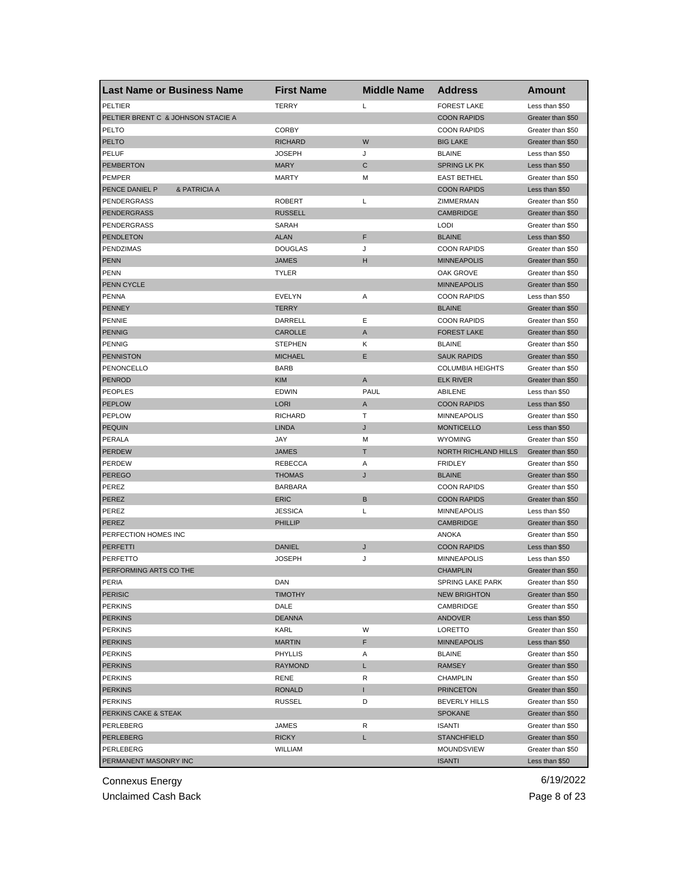| <b>Last Name or Business Name</b>  | <b>First Name</b> | <b>Middle Name</b> | <b>Address</b>          | Amount            |
|------------------------------------|-------------------|--------------------|-------------------------|-------------------|
| PELTIER                            | <b>TERRY</b>      | L                  | <b>FOREST LAKE</b>      | Less than \$50    |
| PELTIER BRENT C & JOHNSON STACIE A |                   |                    | <b>COON RAPIDS</b>      | Greater than \$50 |
| PELTO                              | <b>CORBY</b>      |                    | <b>COON RAPIDS</b>      | Greater than \$50 |
| <b>PELTO</b>                       | <b>RICHARD</b>    | W                  | <b>BIG LAKE</b>         | Greater than \$50 |
| <b>PELUF</b>                       | <b>JOSEPH</b>     | J                  | <b>BLAINE</b>           | Less than \$50    |
| <b>PEMBERTON</b>                   | <b>MARY</b>       | C                  | <b>SPRING LK PK</b>     | Less than \$50    |
| PEMPER                             | <b>MARTY</b>      | M                  | <b>EAST BETHEL</b>      | Greater than \$50 |
| PENCE DANIEL P<br>& PATRICIA A     |                   |                    | <b>COON RAPIDS</b>      | Less than \$50    |
| <b>PENDERGRASS</b>                 | <b>ROBERT</b>     | Г                  | ZIMMERMAN               | Greater than \$50 |
| <b>PENDERGRASS</b>                 | <b>RUSSELL</b>    |                    | <b>CAMBRIDGE</b>        | Greater than \$50 |
| <b>PENDERGRASS</b>                 | SARAH             |                    | LODI                    | Greater than \$50 |
| <b>PENDLETON</b>                   | <b>ALAN</b>       | F                  | <b>BLAINE</b>           | Less than \$50    |
| PENDZIMAS                          | <b>DOUGLAS</b>    | J                  | <b>COON RAPIDS</b>      | Greater than \$50 |
| <b>PENN</b>                        | <b>JAMES</b>      | н                  | <b>MINNEAPOLIS</b>      | Greater than \$50 |
| <b>PENN</b>                        | <b>TYLER</b>      |                    | OAK GROVE               | Greater than \$50 |
| PENN CYCLE                         |                   |                    | <b>MINNEAPOLIS</b>      | Greater than \$50 |
| <b>PENNA</b>                       | EVELYN            | Α                  | <b>COON RAPIDS</b>      | Less than \$50    |
| <b>PENNEY</b>                      | <b>TERRY</b>      |                    | <b>BLAINE</b>           | Greater than \$50 |
| <b>PENNIE</b>                      | DARRELL           | Ε                  | <b>COON RAPIDS</b>      | Greater than \$50 |
| <b>PENNIG</b>                      | CAROLLE           | A                  | <b>FOREST LAKE</b>      | Greater than \$50 |
| <b>PENNIG</b>                      | <b>STEPHEN</b>    | Κ                  | <b>BLAINE</b>           | Greater than \$50 |
| <b>PENNISTON</b>                   | <b>MICHAEL</b>    | Ε                  | <b>SAUK RAPIDS</b>      | Greater than \$50 |
| PENONCELLO                         | <b>BARB</b>       |                    | <b>COLUMBIA HEIGHTS</b> | Greater than \$50 |
| <b>PENROD</b>                      | <b>KIM</b>        | A                  | <b>ELK RIVER</b>        | Greater than \$50 |
| <b>PEOPLES</b>                     | <b>EDWIN</b>      | PAUL               | ABILENE                 | Less than \$50    |
| <b>PEPLOW</b>                      | <b>LORI</b>       | A                  | <b>COON RAPIDS</b>      | Less than \$50    |
| <b>PEPLOW</b>                      | <b>RICHARD</b>    | т                  | <b>MINNEAPOLIS</b>      | Greater than \$50 |
| <b>PEQUIN</b>                      | <b>LINDA</b>      | J                  | <b>MONTICELLO</b>       | Less than \$50    |
| PERALA                             | JAY               | М                  | <b>WYOMING</b>          | Greater than \$50 |
| <b>PERDEW</b>                      | <b>JAMES</b>      | т                  | NORTH RICHLAND HILLS    | Greater than \$50 |
| <b>PERDEW</b>                      | <b>REBECCA</b>    | Α                  | <b>FRIDLEY</b>          | Greater than \$50 |
| <b>PEREGO</b>                      | <b>THOMAS</b>     | J                  | <b>BLAINE</b>           | Greater than \$50 |
| PEREZ                              | <b>BARBARA</b>    |                    | <b>COON RAPIDS</b>      | Greater than \$50 |
| <b>PEREZ</b>                       | <b>ERIC</b>       | B                  | <b>COON RAPIDS</b>      | Greater than \$50 |
| PEREZ                              | <b>JESSICA</b>    | L                  | <b>MINNEAPOLIS</b>      | Less than \$50    |
| PEREZ                              | <b>PHILLIP</b>    |                    | <b>CAMBRIDGE</b>        | Greater than \$50 |
| PERFECTION HOMES INC               |                   |                    | <b>ANOKA</b>            | Greater than \$50 |
| <b>PERFETTI</b>                    | <b>DANIEL</b>     | J                  | <b>COON RAPIDS</b>      | Less than \$50    |
| PERFETTO                           | <b>JOSEPH</b>     | J                  | <b>MINNEAPOLIS</b>      | Less than \$50    |
| PERFORMING ARTS CO THE             |                   |                    | <b>CHAMPLIN</b>         | Greater than \$50 |
| PERIA                              | DAN               |                    | SPRING LAKE PARK        | Greater than \$50 |
| <b>PERISIC</b>                     | <b>TIMOTHY</b>    |                    | <b>NEW BRIGHTON</b>     | Greater than \$50 |
| <b>PERKINS</b>                     | DALE              |                    | CAMBRIDGE               | Greater than \$50 |
| <b>PERKINS</b>                     | <b>DEANNA</b>     |                    | ANDOVER                 | Less than \$50    |
| <b>PERKINS</b>                     | KARL              | W                  | LORETTO                 | Greater than \$50 |
| <b>PERKINS</b>                     | <b>MARTIN</b>     | F                  | <b>MINNEAPOLIS</b>      | Less than \$50    |
| <b>PERKINS</b>                     | <b>PHYLLIS</b>    | Α                  | <b>BLAINE</b>           | Greater than \$50 |
| <b>PERKINS</b>                     | <b>RAYMOND</b>    | L                  | RAMSEY                  | Greater than \$50 |
| <b>PERKINS</b>                     | RENE              | R                  | <b>CHAMPLIN</b>         | Greater than \$50 |
| <b>PERKINS</b>                     | <b>RONALD</b>     | T                  | <b>PRINCETON</b>        | Greater than \$50 |
| <b>PERKINS</b>                     | <b>RUSSEL</b>     | D                  | <b>BEVERLY HILLS</b>    | Greater than \$50 |
| PERKINS CAKE & STEAK               |                   |                    | <b>SPOKANE</b>          | Greater than \$50 |
| PERLEBERG                          | JAMES             | R                  | <b>ISANTI</b>           | Greater than \$50 |
| PERLEBERG                          | <b>RICKY</b>      | L                  | <b>STANCHFIELD</b>      | Greater than \$50 |
| PERLEBERG                          | <b>WILLIAM</b>    |                    | MOUNDSVIEW              | Greater than \$50 |
| PERMANENT MASONRY INC              |                   |                    | <b>ISANTI</b>           | Less than \$50    |
|                                    |                   |                    |                         |                   |

Unclaimed Cash Back **Page 8 of 23**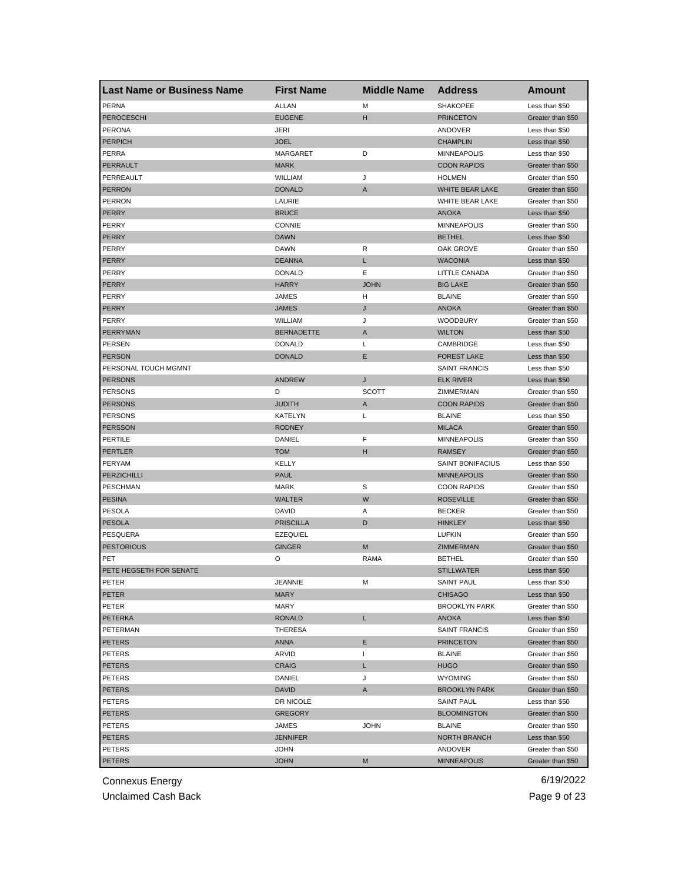| <b>Last Name or Business Name</b> | <b>First Name</b> | <b>Middle Name</b> | <b>Address</b>       | <b>Amount</b>     |
|-----------------------------------|-------------------|--------------------|----------------------|-------------------|
| <b>PERNA</b>                      | <b>ALLAN</b>      | М                  | SHAKOPEE             | Less than \$50    |
| <b>PEROCESCHI</b>                 | <b>EUGENE</b>     | н                  | <b>PRINCETON</b>     | Greater than \$50 |
| <b>PERONA</b>                     | JERI              |                    | ANDOVER              | Less than \$50    |
| <b>PERPICH</b>                    | <b>JOEL</b>       |                    | <b>CHAMPLIN</b>      | Less than \$50    |
| PERRA                             | <b>MARGARET</b>   | D                  | <b>MINNEAPOLIS</b>   | Less than \$50    |
| PERRAULT                          | <b>MARK</b>       |                    | <b>COON RAPIDS</b>   | Greater than \$50 |
| PERREAULT                         | <b>WILLIAM</b>    | J                  | <b>HOLMEN</b>        | Greater than \$50 |
| <b>PERRON</b>                     | <b>DONALD</b>     | Α                  | WHITE BEAR LAKE      | Greater than \$50 |
| <b>PERRON</b>                     | LAURIE            |                    | WHITE BEAR LAKE      | Greater than \$50 |
| <b>PERRY</b>                      | <b>BRUCE</b>      |                    | <b>ANOKA</b>         | Less than \$50    |
| PERRY                             | <b>CONNIE</b>     |                    | <b>MINNEAPOLIS</b>   | Greater than \$50 |
| <b>PERRY</b>                      | <b>DAWN</b>       |                    | <b>BETHEL</b>        | Less than \$50    |
| PERRY                             | DAWN              | R                  | OAK GROVE            | Greater than \$50 |
| <b>PERRY</b>                      | <b>DEANNA</b>     | Г                  | <b>WACONIA</b>       | Less than \$50    |
| PERRY                             | <b>DONALD</b>     | Ε                  | LITTLE CANADA        | Greater than \$50 |
| <b>PERRY</b>                      | <b>HARRY</b>      | <b>JOHN</b>        | <b>BIG LAKE</b>      | Greater than \$50 |
| PERRY                             | JAMES             | н                  | <b>BLAINE</b>        | Greater than \$50 |
| PERRY                             | <b>JAMES</b>      | J                  | <b>ANOKA</b>         | Greater than \$50 |
| PERRY                             | WILLIAM           | J                  | <b>WOODBURY</b>      | Greater than \$50 |
| PERRYMAN                          | <b>BERNADETTE</b> | A                  | <b>WILTON</b>        | Less than \$50    |
| <b>PERSEN</b>                     | <b>DONALD</b>     | Г                  | CAMBRIDGE            | Less than \$50    |
| <b>PERSON</b>                     | <b>DONALD</b>     | Ε                  | <b>FOREST LAKE</b>   | Less than \$50    |
| PERSONAL TOUCH MGMNT              |                   |                    | <b>SAINT FRANCIS</b> | Less than \$50    |
| <b>PERSONS</b>                    | <b>ANDREW</b>     | J                  | <b>ELK RIVER</b>     | Less than \$50    |
| PERSONS                           | D                 | <b>SCOTT</b>       | ZIMMERMAN            | Greater than \$50 |
| <b>PERSONS</b>                    | <b>JUDITH</b>     | A                  | <b>COON RAPIDS</b>   | Greater than \$50 |
| PERSONS                           | KATELYN           | L                  | <b>BLAINE</b>        | Less than \$50    |
| <b>PERSSON</b>                    | <b>RODNEY</b>     |                    | <b>MILACA</b>        | Greater than \$50 |
| <b>PERTILE</b>                    | DANIEL            | F                  | <b>MINNEAPOLIS</b>   | Greater than \$50 |
| <b>PERTLER</b>                    | <b>TOM</b>        | н                  | <b>RAMSEY</b>        | Greater than \$50 |
| PERYAM                            | KELLY             |                    | SAINT BONIFACIUS     | Less than \$50    |
| <b>PERZICHILLI</b>                | <b>PAUL</b>       |                    | <b>MINNEAPOLIS</b>   | Greater than \$50 |
| <b>PESCHMAN</b>                   | <b>MARK</b>       | S                  | <b>COON RAPIDS</b>   | Greater than \$50 |
| <b>PESINA</b>                     | <b>WALTER</b>     | W                  | <b>ROSEVILLE</b>     | Greater than \$50 |
| <b>PESOLA</b>                     | DAVID             | Α                  | <b>BECKER</b>        | Greater than \$50 |
| PESOLA                            | <b>PRISCILLA</b>  | D                  | <b>HINKLEY</b>       | Less than \$50    |
| PESQUERA                          | <b>EZEQUIEL</b>   |                    | <b>LUFKIN</b>        | Greater than \$50 |
| <b>PESTORIOUS</b>                 | <b>GINGER</b>     | M                  | ZIMMERMAN            | Greater than \$50 |
| PET                               | O                 | RAMA               | <b>BETHEL</b>        | Greater than \$50 |
| PETE HEGSETH FOR SENATE           |                   |                    | <b>STILLWATER</b>    | Less than \$50    |
| PEIER                             | JEANNIE           | м                  | SAINT PAUL           | Less than \$50    |
| PETER                             | <b>MARY</b>       |                    | <b>CHISAGO</b>       | Less than \$50    |
| PETER                             | <b>MARY</b>       |                    | <b>BROOKLYN PARK</b> | Greater than \$50 |
| PETERKA                           | <b>RONALD</b>     | L.                 | ANOKA                | Less than \$50    |
| PETERMAN                          | <b>THERESA</b>    |                    | <b>SAINT FRANCIS</b> | Greater than \$50 |
| <b>PETERS</b>                     | ANNA              | Е                  | <b>PRINCETON</b>     | Greater than \$50 |
| PETERS                            | ARVID             | L                  | <b>BLAINE</b>        | Greater than \$50 |
| PETERS                            | <b>CRAIG</b>      | L                  | <b>HUGO</b>          | Greater than \$50 |
| PETERS                            | DANIEL            | J                  | <b>WYOMING</b>       | Greater than \$50 |
| PETERS                            | <b>DAVID</b>      | A                  | <b>BROOKLYN PARK</b> | Greater than \$50 |
| <b>PETERS</b>                     | DR NICOLE         |                    | SAINT PAUL           | Less than \$50    |
| <b>PETERS</b>                     | <b>GREGORY</b>    |                    | <b>BLOOMINGTON</b>   | Greater than \$50 |
| PETERS                            | JAMES             | <b>JOHN</b>        | <b>BLAINE</b>        | Greater than \$50 |
| PETERS                            | <b>JENNIFER</b>   |                    | NORTH BRANCH         | Less than \$50    |
| PETERS                            | <b>JOHN</b>       |                    | ANDOVER              | Greater than \$50 |
| <b>PETERS</b>                     | <b>JOHN</b>       | М                  | <b>MINNEAPOLIS</b>   | Greater than \$50 |

Unclaimed Cash Back **Page 9 of 23**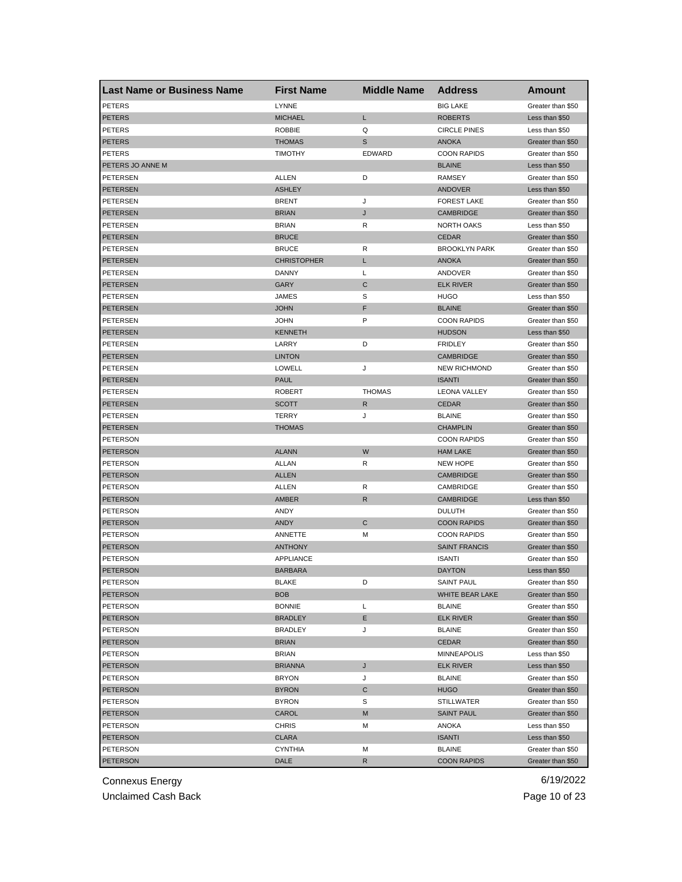| <b>Last Name or Business Name</b> | <b>First Name</b>  | <b>Middle Name</b> | <b>Address</b>       | Amount            |
|-----------------------------------|--------------------|--------------------|----------------------|-------------------|
| <b>PETERS</b>                     | <b>LYNNE</b>       |                    | <b>BIG LAKE</b>      | Greater than \$50 |
| <b>PETERS</b>                     | <b>MICHAEL</b>     | Г                  | <b>ROBERTS</b>       | Less than \$50    |
| <b>PETERS</b>                     | <b>ROBBIE</b>      | Q                  | <b>CIRCLE PINES</b>  | Less than \$50    |
| <b>PETERS</b>                     | <b>THOMAS</b>      | S                  | <b>ANOKA</b>         | Greater than \$50 |
| <b>PETERS</b>                     | <b>TIMOTHY</b>     | <b>EDWARD</b>      | <b>COON RAPIDS</b>   | Greater than \$50 |
| PETERS JO ANNE M                  |                    |                    | <b>BLAINE</b>        | Less than \$50    |
| PETERSEN                          | ALLEN              | D                  | <b>RAMSEY</b>        | Greater than \$50 |
| <b>PETERSEN</b>                   | <b>ASHLEY</b>      |                    | <b>ANDOVER</b>       | Less than \$50    |
| PETERSEN                          | <b>BRENT</b>       | J                  | <b>FOREST LAKE</b>   | Greater than \$50 |
| <b>PETERSEN</b>                   | <b>BRIAN</b>       | J                  | <b>CAMBRIDGE</b>     | Greater than \$50 |
| PETERSEN                          | <b>BRIAN</b>       | R                  | NORTH OAKS           | Less than \$50    |
| <b>PETERSEN</b>                   | <b>BRUCE</b>       |                    | <b>CEDAR</b>         | Greater than \$50 |
| PETERSEN                          | <b>BRUCE</b>       | R                  | <b>BROOKLYN PARK</b> | Greater than \$50 |
| <b>PETERSEN</b>                   | <b>CHRISTOPHER</b> | L                  | <b>ANOKA</b>         | Greater than \$50 |
| <b>PETERSEN</b>                   | DANNY              | L                  | ANDOVER              | Greater than \$50 |
| <b>PETERSEN</b>                   | GARY               | C                  | <b>ELK RIVER</b>     | Greater than \$50 |
| PETERSEN                          | <b>JAMES</b>       | S                  | <b>HUGO</b>          | Less than \$50    |
| <b>PETERSEN</b>                   | <b>JOHN</b>        | F                  | <b>BLAINE</b>        | Greater than \$50 |
| <b>PETERSEN</b>                   | JOHN               | P                  | <b>COON RAPIDS</b>   | Greater than \$50 |
| <b>PETERSEN</b>                   | <b>KENNETH</b>     |                    | <b>HUDSON</b>        | Less than \$50    |
| PETERSEN                          | LARRY              | D                  | <b>FRIDLEY</b>       | Greater than \$50 |
| <b>PETERSEN</b>                   | <b>LINTON</b>      |                    | <b>CAMBRIDGE</b>     | Greater than \$50 |
| PETERSEN                          | <b>LOWELL</b>      | J                  | <b>NEW RICHMOND</b>  | Greater than \$50 |
| <b>PETERSEN</b>                   | <b>PAUL</b>        |                    | <b>ISANTI</b>        | Greater than \$50 |
| PETERSEN                          | <b>ROBERT</b>      | <b>THOMAS</b>      | <b>LEONA VALLEY</b>  | Greater than \$50 |
| <b>PETERSEN</b>                   | <b>SCOTT</b>       | R                  | <b>CEDAR</b>         | Greater than \$50 |
| <b>PETERSEN</b>                   | TERRY              | J                  | <b>BLAINE</b>        | Greater than \$50 |
| <b>PETERSEN</b>                   | <b>THOMAS</b>      |                    | <b>CHAMPLIN</b>      | Greater than \$50 |
| PETERSON                          |                    |                    | <b>COON RAPIDS</b>   | Greater than \$50 |
| PETERSON                          | <b>ALANN</b>       | W                  | <b>HAM LAKE</b>      | Greater than \$50 |
| PETERSON                          | <b>ALLAN</b>       | R                  | <b>NEW HOPE</b>      | Greater than \$50 |
| PETERSON                          | <b>ALLEN</b>       |                    | <b>CAMBRIDGE</b>     | Greater than \$50 |
| <b>PETERSON</b>                   | ALLEN              | R                  | CAMBRIDGE            | Greater than \$50 |
| <b>PETERSON</b>                   | AMBER              | R                  | <b>CAMBRIDGE</b>     | Less than \$50    |
| PETERSON                          | ANDY               |                    | <b>DULUTH</b>        | Greater than \$50 |
| <b>PETERSON</b>                   | <b>ANDY</b>        | C                  | <b>COON RAPIDS</b>   | Greater than \$50 |
| PETERSON                          | ANNETTE            | M                  | <b>COON RAPIDS</b>   | Greater than \$50 |
| <b>PETERSON</b>                   | <b>ANTHONY</b>     |                    | <b>SAINT FRANCIS</b> | Greater than \$50 |
| PETERSON                          | APPLIANCE          |                    | <b>ISANTI</b>        | Greater than \$50 |
| <b>PETERSON</b>                   | <b>BARBARA</b>     |                    | <b>DAYTON</b>        | Less than \$50    |
| PETERSON                          | BLAKE              | D                  | SAINT PAUL           | Greater than \$50 |
| <b>PETERSON</b>                   | BOB                |                    | WHITE BEAR LAKE      | Greater than \$50 |
| PETERSON                          | <b>BONNIE</b>      | L                  | <b>BLAINE</b>        | Greater than \$50 |
| <b>PETERSON</b>                   | <b>BRADLEY</b>     | Е                  | <b>ELK RIVER</b>     | Greater than \$50 |
| PETERSON                          | <b>BRADLEY</b>     | J                  | <b>BLAINE</b>        | Greater than \$50 |
| <b>PETERSON</b>                   | <b>BRIAN</b>       |                    | <b>CEDAR</b>         | Greater than \$50 |
| PETERSON                          | <b>BRIAN</b>       |                    | <b>MINNEAPOLIS</b>   | Less than \$50    |
| <b>PETERSON</b>                   | <b>BRIANNA</b>     | J                  | <b>ELK RIVER</b>     | Less than \$50    |
| PETERSON                          | <b>BRYON</b>       | J                  | <b>BLAINE</b>        | Greater than \$50 |
| <b>PETERSON</b>                   | <b>BYRON</b>       | С                  | <b>HUGO</b>          | Greater than \$50 |
| PETERSON                          | <b>BYRON</b>       | S                  | <b>STILLWATER</b>    | Greater than \$50 |
| <b>PETERSON</b>                   | CAROL              | M                  | <b>SAINT PAUL</b>    | Greater than \$50 |
| PETERSON                          | CHRIS              | M                  | ANOKA                | Less than \$50    |
| <b>PETERSON</b>                   | CLARA              |                    | <b>ISANTI</b>        | Less than \$50    |
| PETERSON                          | <b>CYNTHIA</b>     | М                  | <b>BLAINE</b>        | Greater than \$50 |
| <b>PETERSON</b>                   | DALE               | R                  | <b>COON RAPIDS</b>   | Greater than \$50 |

Unclaimed Cash Back **Page 10 of 23**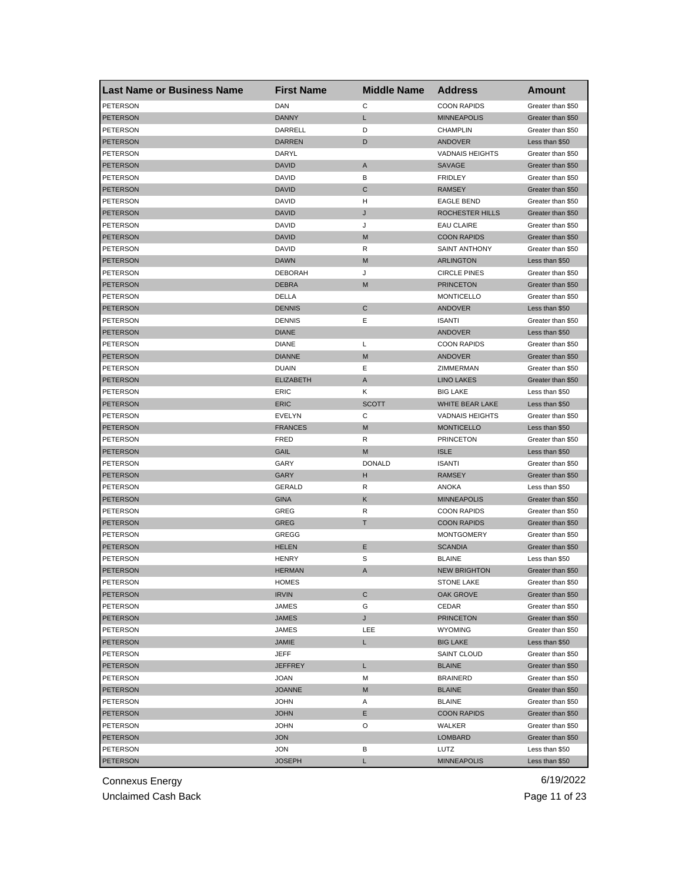| <b>Last Name or Business Name</b> | <b>First Name</b> | <b>Middle Name</b> | <b>Address</b>         | <b>Amount</b>     |
|-----------------------------------|-------------------|--------------------|------------------------|-------------------|
| <b>PETERSON</b>                   | DAN               | С                  | <b>COON RAPIDS</b>     | Greater than \$50 |
| <b>PETERSON</b>                   | <b>DANNY</b>      | L                  | <b>MINNEAPOLIS</b>     | Greater than \$50 |
| PETERSON                          | DARRELL           | D                  | <b>CHAMPLIN</b>        | Greater than \$50 |
| PETERSON                          | <b>DARREN</b>     | D                  | ANDOVER                | Less than \$50    |
| <b>PETERSON</b>                   | DARYL             |                    | <b>VADNAIS HEIGHTS</b> | Greater than \$50 |
| <b>PETERSON</b>                   | <b>DAVID</b>      | Α                  | SAVAGE                 | Greater than \$50 |
| PETERSON                          | DAVID             | в                  | <b>FRIDLEY</b>         | Greater than \$50 |
| <b>PETERSON</b>                   | <b>DAVID</b>      | C                  | <b>RAMSEY</b>          | Greater than \$50 |
| PETERSON                          | DAVID             | н                  | <b>EAGLE BEND</b>      | Greater than \$50 |
| <b>PETERSON</b>                   | <b>DAVID</b>      | J                  | <b>ROCHESTER HILLS</b> | Greater than \$50 |
| PETERSON                          | DAVID             | J                  | <b>EAU CLAIRE</b>      | Greater than \$50 |
| <b>PETERSON</b>                   | <b>DAVID</b>      | M                  | <b>COON RAPIDS</b>     | Greater than \$50 |
| PETERSON                          | DAVID             | R                  | SAINT ANTHONY          | Greater than \$50 |
| <b>PETERSON</b>                   | <b>DAWN</b>       | M                  | <b>ARLINGTON</b>       | Less than \$50    |
| PETERSON                          | <b>DEBORAH</b>    | J                  | <b>CIRCLE PINES</b>    | Greater than \$50 |
| PETERSON                          | <b>DEBRA</b>      | M                  | <b>PRINCETON</b>       | Greater than \$50 |
| PETERSON                          | DELLA             |                    | <b>MONTICELLO</b>      | Greater than \$50 |
| PETERSON                          | <b>DENNIS</b>     | C                  | <b>ANDOVER</b>         | Less than \$50    |
| PETERSON                          | <b>DENNIS</b>     | Ε                  | <b>ISANTI</b>          | Greater than \$50 |
| <b>PETERSON</b>                   | <b>DIANE</b>      |                    | ANDOVER                | Less than \$50    |
| PETERSON                          | <b>DIANE</b>      | L                  | <b>COON RAPIDS</b>     | Greater than \$50 |
| <b>PETERSON</b>                   | <b>DIANNE</b>     | M                  | <b>ANDOVER</b>         | Greater than \$50 |
| PETERSON                          | <b>DUAIN</b>      | Ε                  | ZIMMERMAN              | Greater than \$50 |
| <b>PETERSON</b>                   | <b>ELIZABETH</b>  | A                  | <b>LINO LAKES</b>      | Greater than \$50 |
| PETERSON                          | ERIC              | Κ                  | <b>BIG LAKE</b>        | Less than \$50    |
| PETERSON                          | <b>ERIC</b>       | <b>SCOTT</b>       | WHITE BEAR LAKE        | Less than \$50    |
| PETERSON                          | EVELYN            | С                  | <b>VADNAIS HEIGHTS</b> | Greater than \$50 |
| <b>PETERSON</b>                   | <b>FRANCES</b>    | M                  | <b>MONTICELLO</b>      | Less than \$50    |
| PETERSON                          | FRED              | R                  | <b>PRINCETON</b>       | Greater than \$50 |
| <b>PETERSON</b>                   | GAIL              | M                  | <b>ISLE</b>            | Less than \$50    |
| PETERSON                          | GARY              | <b>DONALD</b>      | <b>ISANTI</b>          | Greater than \$50 |
| <b>PETERSON</b>                   | GARY              | н                  | <b>RAMSEY</b>          | Greater than \$50 |
| PETERSON                          | <b>GERALD</b>     | R                  | ANOKA                  | Less than \$50    |
| <b>PETERSON</b>                   | <b>GINA</b>       | Κ                  | <b>MINNEAPOLIS</b>     | Greater than \$50 |
| PETERSON                          | GREG              | R                  | <b>COON RAPIDS</b>     | Greater than \$50 |
| <b>PETERSON</b>                   | <b>GREG</b>       | Τ                  | <b>COON RAPIDS</b>     | Greater than \$50 |
| <b>PETERSON</b>                   | GREGG             |                    | <b>MONTGOMERY</b>      | Greater than \$50 |
| <b>PETERSON</b>                   | <b>HELEN</b>      | Ε                  | <b>SCANDIA</b>         | Greater than \$50 |
| PETERSON                          | <b>HENRY</b>      | S                  | <b>BLAINE</b>          | Less than \$50    |
| <b>PETERSON</b>                   | <b>HERMAN</b>     | A                  | <b>NEW BRIGHTON</b>    | Greater than \$50 |
| <b>PETERSON</b>                   | HOMES             |                    | STONE LAKE             | Greater than \$50 |
| <b>PETERSON</b>                   | <b>IRVIN</b>      | С                  | OAK GROVE              | Greater than \$50 |
| PETERSON                          | JAMES             | G                  | CEDAR                  | Greater than \$50 |
| <b>PETERSON</b>                   | JAMES             | J                  | <b>PRINCETON</b>       | Greater than \$50 |
| PETERSON                          | JAMES             | LEE                | <b>WYOMING</b>         | Greater than \$50 |
| PETERSON                          | JAMIE             | L.                 | <b>BIG LAKE</b>        | Less than \$50    |
| PETERSON                          | JEFF              |                    | SAINT CLOUD            | Greater than \$50 |
| <b>PETERSON</b>                   | <b>JEFFREY</b>    | L                  | <b>BLAINE</b>          | Greater than \$50 |
| PETERSON                          | <b>JOAN</b>       | M                  | <b>BRAINERD</b>        | Greater than \$50 |
| <b>PETERSON</b>                   | <b>JOANNE</b>     | M                  | <b>BLAINE</b>          | Greater than \$50 |
| PETERSON                          | <b>JOHN</b>       | Α                  | <b>BLAINE</b>          | Greater than \$50 |
| <b>PETERSON</b>                   | <b>JOHN</b>       | Е                  | <b>COON RAPIDS</b>     | Greater than \$50 |
| PETERSON                          | <b>JOHN</b>       | O                  | WALKER                 | Greater than \$50 |
| <b>PETERSON</b>                   | <b>JON</b>        |                    | <b>LOMBARD</b>         | Greater than \$50 |
| PETERSON                          | JON               | В                  | LUTZ                   | Less than \$50    |
| <b>PETERSON</b>                   | <b>JOSEPH</b>     | L                  | <b>MINNEAPOLIS</b>     | Less than \$50    |
|                                   |                   |                    |                        |                   |

Unclaimed Cash Back **Page 11 of 23**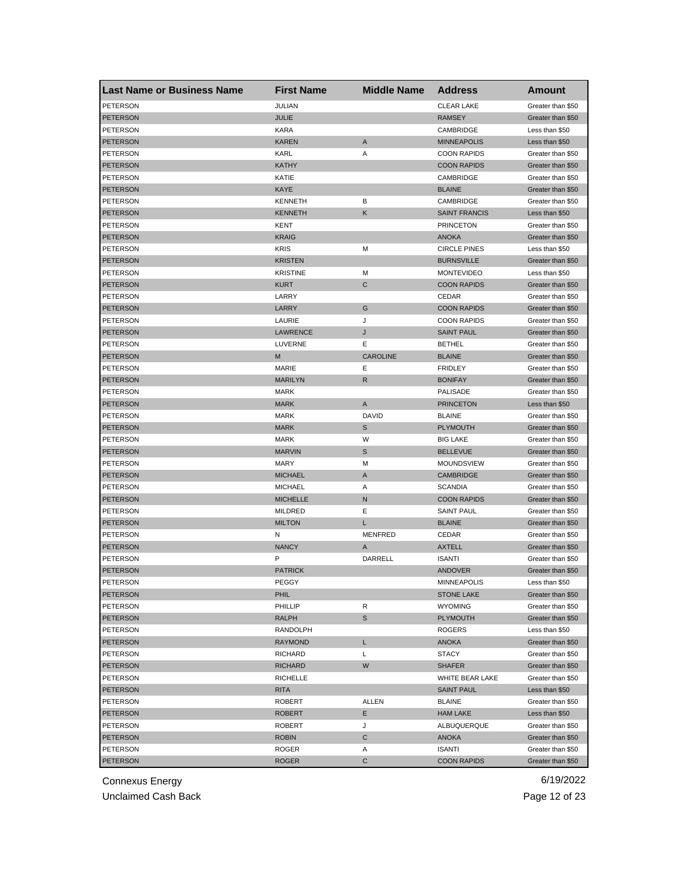| <b>Last Name or Business Name</b>  | <b>First Name</b> | <b>Middle Name</b> | <b>Address</b>       | Amount                              |
|------------------------------------|-------------------|--------------------|----------------------|-------------------------------------|
| <b>PETERSON</b>                    | JULIAN            |                    | <b>CLEAR LAKE</b>    | Greater than \$50                   |
| <b>PETERSON</b>                    | <b>JULIE</b>      |                    | <b>RAMSEY</b>        | Greater than \$50                   |
| PETERSON                           | <b>KARA</b>       |                    | CAMBRIDGE            | Less than \$50                      |
| <b>PETERSON</b>                    | <b>KAREN</b>      | $\mathsf{A}$       | <b>MINNEAPOLIS</b>   | Less than \$50                      |
| <b>PETERSON</b>                    | KARL              | Α                  | <b>COON RAPIDS</b>   | Greater than \$50                   |
| <b>PETERSON</b>                    | <b>KATHY</b>      |                    | <b>COON RAPIDS</b>   | Greater than \$50                   |
| PETERSON                           | KATIE             |                    | CAMBRIDGE            | Greater than \$50                   |
| <b>PETERSON</b>                    | KAYE              |                    | <b>BLAINE</b>        | Greater than \$50                   |
| PETERSON                           | <b>KENNETH</b>    | В                  | CAMBRIDGE            | Greater than \$50                   |
| <b>PETERSON</b>                    | <b>KENNETH</b>    | Κ                  | <b>SAINT FRANCIS</b> | Less than \$50                      |
| PETERSON                           | KENT              |                    | <b>PRINCETON</b>     | Greater than \$50                   |
| <b>PETERSON</b>                    | <b>KRAIG</b>      |                    | <b>ANOKA</b>         | Greater than \$50                   |
| <b>PETERSON</b>                    | <b>KRIS</b>       | M                  | <b>CIRCLE PINES</b>  | Less than \$50                      |
| PETERSON                           | <b>KRISTEN</b>    |                    | <b>BURNSVILLE</b>    | Greater than \$50                   |
| <b>PETERSON</b>                    | <b>KRISTINE</b>   | M                  | <b>MONTEVIDEO</b>    | Less than \$50                      |
| PETERSON                           | <b>KURT</b>       | C                  | <b>COON RAPIDS</b>   | Greater than \$50                   |
| PETERSON                           | LARRY             |                    | CEDAR                | Greater than \$50                   |
| <b>PETERSON</b>                    | LARRY             | G                  | <b>COON RAPIDS</b>   | Greater than \$50                   |
| PETERSON                           | LAURIE            | J                  | <b>COON RAPIDS</b>   | Greater than \$50                   |
| <b>PETERSON</b>                    | <b>LAWRENCE</b>   | J                  | <b>SAINT PAUL</b>    | Greater than \$50                   |
| PETERSON                           | LUVERNE           | Е                  | <b>BETHEL</b>        | Greater than \$50                   |
| <b>PETERSON</b>                    | M                 | <b>CAROLINE</b>    | <b>BLAINE</b>        | Greater than \$50                   |
| PETERSON                           | <b>MARIE</b>      | Е                  | <b>FRIDLEY</b>       | Greater than \$50                   |
| <b>PETERSON</b>                    | <b>MARILYN</b>    | R                  | <b>BONIFAY</b>       | Greater than \$50                   |
| PETERSON                           | <b>MARK</b>       |                    | PALISADE             | Greater than \$50                   |
| <b>PETERSON</b>                    | <b>MARK</b>       | A                  | <b>PRINCETON</b>     | Less than \$50                      |
| PETERSON                           | <b>MARK</b>       | <b>DAVID</b>       | <b>BLAINE</b>        | Greater than \$50                   |
| <b>PETERSON</b>                    | <b>MARK</b>       | S                  | <b>PLYMOUTH</b>      | Greater than \$50                   |
| PETERSON                           | <b>MARK</b>       | W                  | <b>BIG LAKE</b>      | Greater than \$50                   |
| <b>PETERSON</b>                    | <b>MARVIN</b>     | S                  | <b>BELLEVUE</b>      | Greater than \$50                   |
| PETERSON                           | <b>MARY</b>       | M                  | MOUNDSVIEW           | Greater than \$50                   |
| <b>PETERSON</b>                    | <b>MICHAEL</b>    | A                  | <b>CAMBRIDGE</b>     | Greater than \$50                   |
| <b>PETERSON</b>                    | <b>MICHAEL</b>    | Α                  | <b>SCANDIA</b>       | Greater than \$50                   |
| <b>PETERSON</b>                    | <b>MICHELLE</b>   | N                  | <b>COON RAPIDS</b>   | Greater than \$50                   |
| PETERSON                           | <b>MILDRED</b>    | Ε                  | <b>SAINT PAUL</b>    | Greater than \$50                   |
| PETERSON                           | <b>MILTON</b>     | L.                 | <b>BLAINE</b>        | Greater than \$50                   |
| <b>PETERSON</b>                    | N                 | <b>MENFRED</b>     | CEDAR                | Greater than \$50                   |
| <b>PETERSON</b>                    | <b>NANCY</b>      | A                  | <b>AXTELL</b>        | Greater than \$50                   |
| PETERSON                           | Ρ                 | DARRELL            | <b>ISANTI</b>        | Greater than \$50                   |
| PETERSON                           | <b>PATRICK</b>    |                    | <b>ANDOVER</b>       | Greater than \$50                   |
|                                    |                   |                    |                      |                                     |
| <b>PETERSON</b><br><b>PETERSON</b> | PEGGY             |                    | <b>MINNEAPOLIS</b>   | Less than \$50<br>Greater than \$50 |
|                                    | PHIL              |                    | <b>STONE LAKE</b>    |                                     |
| PETERSON                           | PHILLIP           | R                  | <b>WYOMING</b>       | Greater than \$50                   |
| PETERSON                           | RALPH             | S                  | <b>PLYMOUTH</b>      | Greater than \$50                   |
| PETERSON                           | RANDOLPH          |                    | ROGERS               | Less than \$50                      |
| <b>PETERSON</b>                    | <b>RAYMOND</b>    | L.                 | <b>ANOKA</b>         | Greater than \$50                   |
| PETERSON                           | RICHARD           | L                  | <b>STACY</b>         | Greater than \$50                   |
| <b>PETERSON</b>                    | <b>RICHARD</b>    | W                  | <b>SHAFER</b>        | Greater than \$50                   |
| PETERSON                           | RICHELLE          |                    | WHITE BEAR LAKE      | Greater than \$50                   |
| <b>PETERSON</b>                    | RITA              |                    | <b>SAINT PAUL</b>    | Less than \$50                      |
| PETERSON                           | ROBERT            | ALLEN              | <b>BLAINE</b>        | Greater than \$50                   |
| PETERSON                           | <b>ROBERT</b>     | Е                  | <b>HAM LAKE</b>      | Less than \$50                      |
| PETERSON                           | ROBERT            | J                  | ALBUQUERQUE          | Greater than \$50                   |
| PETERSON                           | <b>ROBIN</b>      | С                  | ANOKA                | Greater than \$50                   |
| PETERSON                           | ROGER             | Α                  | ISANTI               | Greater than \$50                   |
| <b>PETERSON</b>                    | <b>ROGER</b>      | C                  | <b>COON RAPIDS</b>   | Greater than \$50                   |

Unclaimed Cash Back **Page 12 of 23**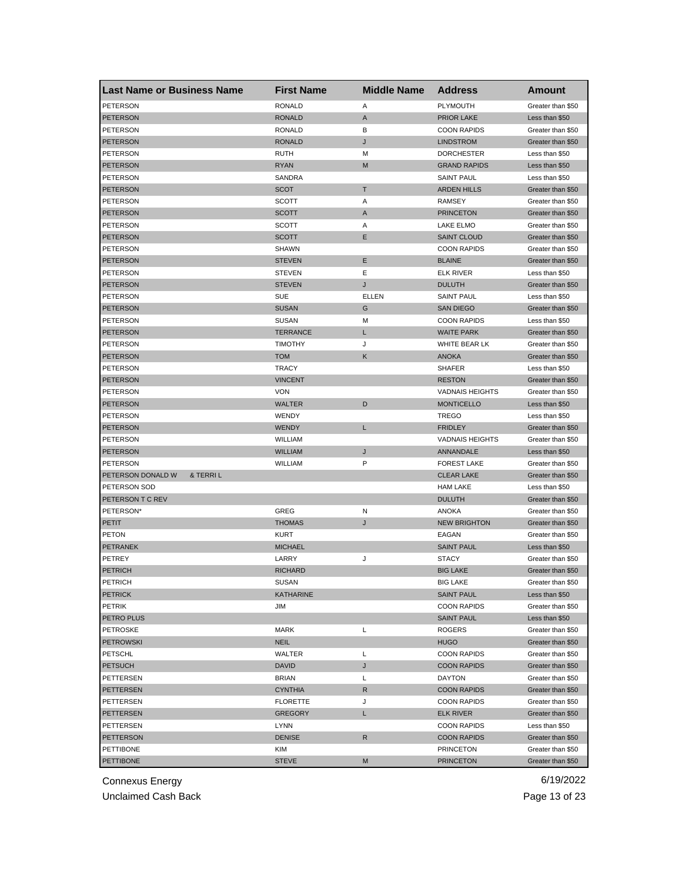| <b>Last Name or Business Name</b> | <b>First Name</b> | <b>Middle Name</b> | <b>Address</b>         | <b>Amount</b>                          |
|-----------------------------------|-------------------|--------------------|------------------------|----------------------------------------|
| <b>PETERSON</b>                   | <b>RONALD</b>     | Α                  | PLYMOUTH               | Greater than \$50                      |
| <b>PETERSON</b>                   | <b>RONALD</b>     | A                  | <b>PRIOR LAKE</b>      | Less than \$50                         |
| PETERSON                          | <b>RONALD</b>     | в                  | <b>COON RAPIDS</b>     | Greater than \$50                      |
| PETERSON                          | <b>RONALD</b>     | J                  | <b>LINDSTROM</b>       | Greater than \$50                      |
| <b>PETERSON</b>                   | RUTH              | М                  | <b>DORCHESTER</b>      | Less than \$50                         |
| <b>PETERSON</b>                   | <b>RYAN</b>       | M                  | <b>GRAND RAPIDS</b>    | Less than \$50                         |
| PETERSON                          | SANDRA            |                    | <b>SAINT PAUL</b>      | Less than \$50                         |
| <b>PETERSON</b>                   | <b>SCOT</b>       | Т                  | <b>ARDEN HILLS</b>     | Greater than \$50                      |
| PETERSON                          | SCOTT             | Α                  | <b>RAMSEY</b>          | Greater than \$50                      |
| <b>PETERSON</b>                   | <b>SCOTT</b>      | A                  | <b>PRINCETON</b>       | Greater than \$50                      |
| PETERSON                          | SCOTT             | Α                  | LAKE ELMO              | Greater than \$50                      |
| <b>PETERSON</b>                   | <b>SCOTT</b>      | Ε                  | <b>SAINT CLOUD</b>     | Greater than \$50                      |
| PETERSON                          | SHAWN             |                    | <b>COON RAPIDS</b>     | Greater than \$50                      |
| <b>PETERSON</b>                   | <b>STEVEN</b>     | E                  | <b>BLAINE</b>          | Greater than \$50                      |
| PETERSON                          | <b>STEVEN</b>     | Ε                  | <b>ELK RIVER</b>       | Less than \$50                         |
| PETERSON                          | <b>STEVEN</b>     | J                  | <b>DULUTH</b>          | Greater than \$50                      |
| PETERSON                          | <b>SUE</b>        | ELLEN              | <b>SAINT PAUL</b>      | Less than \$50                         |
| <b>PETERSON</b>                   | <b>SUSAN</b>      | G                  | <b>SAN DIEGO</b>       | Greater than \$50                      |
| PETERSON                          | <b>SUSAN</b>      | М                  | <b>COON RAPIDS</b>     | Less than \$50                         |
| <b>PETERSON</b>                   | <b>TERRANCE</b>   | L                  | <b>WAITE PARK</b>      | Greater than \$50                      |
| PETERSON                          | <b>TIMOTHY</b>    | J                  | WHITE BEAR LK          | Greater than \$50                      |
| <b>PETERSON</b>                   | <b>TOM</b>        | Κ                  | <b>ANOKA</b>           | Greater than \$50                      |
| PETERSON                          | <b>TRACY</b>      |                    | <b>SHAFER</b>          | Less than \$50                         |
| <b>PETERSON</b>                   | <b>VINCENT</b>    |                    | <b>RESTON</b>          | Greater than \$50                      |
| PETERSON                          | <b>VON</b>        |                    | <b>VADNAIS HEIGHTS</b> | Greater than \$50                      |
| PETERSON                          | <b>WALTER</b>     | D                  | <b>MONTICELLO</b>      | Less than \$50                         |
| PETERSON                          | WENDY             |                    | <b>TREGO</b>           | Less than \$50                         |
| <b>PETERSON</b>                   | <b>WENDY</b>      | L                  | <b>FRIDLEY</b>         | Greater than \$50                      |
| PETERSON                          | WILLIAM           |                    | <b>VADNAIS HEIGHTS</b> | Greater than \$50                      |
| <b>PETERSON</b>                   | <b>WILLIAM</b>    | J                  | ANNANDALE              | Less than \$50                         |
| <b>PETERSON</b>                   | <b>WILLIAM</b>    | P                  | <b>FOREST LAKE</b>     |                                        |
| PETERSON DONALD W<br>& TERRIL     |                   |                    | <b>CLEAR LAKE</b>      | Greater than \$50<br>Greater than \$50 |
|                                   |                   |                    |                        |                                        |
| PETERSON SOD                      |                   |                    | <b>HAM LAKE</b>        | Less than \$50                         |
| PETERSON T C REV                  |                   |                    | <b>DULUTH</b>          | Greater than \$50                      |
| PETERSON*                         | GREG              | N                  | <b>ANOKA</b>           | Greater than \$50                      |
| PETIT                             | <b>THOMAS</b>     | J                  | <b>NEW BRIGHTON</b>    | Greater than \$50                      |
| <b>PETON</b>                      | KURT              |                    | EAGAN                  | Greater than \$50                      |
| PETRANEK                          | <b>MICHAEL</b>    |                    | <b>SAINT PAUL</b>      | Less than \$50                         |
| PETREY                            | LARRY             | J                  | <b>STACY</b>           | Greater than \$50                      |
| <b>PETRICH</b>                    | <b>RICHARD</b>    |                    | <b>BIG LAKE</b>        | Greater than \$50                      |
| PETRICH                           | SUSAN             |                    | BIG LAKE               | Greater than \$50                      |
| <b>PETRICK</b>                    | <b>KATHARINE</b>  |                    | <b>SAINT PAUL</b>      | Less than \$50                         |
| PETRIK                            | JIM               |                    | <b>COON RAPIDS</b>     | Greater than \$50                      |
| PETRO PLUS                        |                   |                    | SAINT PAUL             | Less than \$50                         |
| <b>PETROSKE</b>                   | <b>MARK</b>       | L                  | <b>ROGERS</b>          | Greater than \$50                      |
| <b>PETROWSKI</b>                  | <b>NEIL</b>       |                    | <b>HUGO</b>            | Greater than \$50                      |
| <b>PETSCHL</b>                    | WALTER            | L                  | <b>COON RAPIDS</b>     | Greater than \$50                      |
| <b>PETSUCH</b>                    | <b>DAVID</b>      | J                  | <b>COON RAPIDS</b>     | Greater than \$50                      |
| PETTERSEN                         | <b>BRIAN</b>      | L                  | <b>DAYTON</b>          | Greater than \$50                      |
| PETTERSEN                         | <b>CYNTHIA</b>    | R                  | <b>COON RAPIDS</b>     | Greater than \$50                      |
| PETTERSEN                         | <b>FLORETTE</b>   | J                  | <b>COON RAPIDS</b>     | Greater than \$50                      |
| PETTERSEN                         | <b>GREGORY</b>    | L                  | <b>ELK RIVER</b>       | Greater than \$50                      |
| PETTERSEN                         | LYNN              |                    | <b>COON RAPIDS</b>     | Less than \$50                         |
| <b>PETTERSON</b>                  | <b>DENISE</b>     | R                  | <b>COON RAPIDS</b>     | Greater than \$50                      |
| PETTIBONE                         | KIM               |                    | <b>PRINCETON</b>       | Greater than \$50                      |
| <b>PETTIBONE</b>                  | <b>STEVE</b>      | M                  | <b>PRINCETON</b>       | Greater than \$50                      |

Unclaimed Cash Back **Page 13 of 23**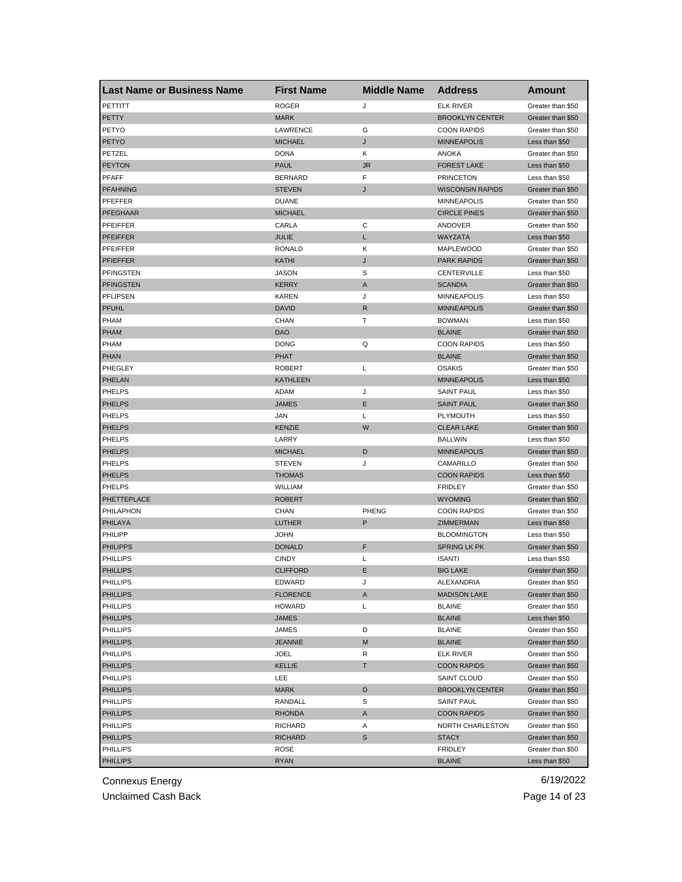| <b>Last Name or Business Name</b> | <b>First Name</b> | <b>Middle Name</b> | <b>Address</b>          | Amount            |
|-----------------------------------|-------------------|--------------------|-------------------------|-------------------|
| PETTITT                           | <b>ROGER</b>      | J                  | <b>ELK RIVER</b>        | Greater than \$50 |
| <b>PETTY</b>                      | <b>MARK</b>       |                    | <b>BROOKLYN CENTER</b>  | Greater than \$50 |
| PETYO                             | LAWRENCE          | G                  | <b>COON RAPIDS</b>      | Greater than \$50 |
| <b>PETYO</b>                      | <b>MICHAEL</b>    | J                  | <b>MINNEAPOLIS</b>      | Less than \$50    |
| PETZEL                            | <b>DONA</b>       | Κ                  | <b>ANOKA</b>            | Greater than \$50 |
| <b>PEYTON</b>                     | <b>PAUL</b>       | <b>JR</b>          | <b>FOREST LAKE</b>      | Less than \$50    |
| PFAFF                             | <b>BERNARD</b>    | F                  | <b>PRINCETON</b>        | Less than \$50    |
| <b>PFAHNING</b>                   | <b>STEVEN</b>     | J                  | <b>WISCONSIN RAPIDS</b> | Greater than \$50 |
| PFEFFER                           | <b>DUANE</b>      |                    | <b>MINNEAPOLIS</b>      | Greater than \$50 |
| <b>PFEGHAAR</b>                   | <b>MICHAEL</b>    |                    | <b>CIRCLE PINES</b>     | Greater than \$50 |
| PFEIFFER                          | CARLA             | С                  | ANDOVER                 | Greater than \$50 |
| <b>PFEIFFER</b>                   | JULIE             | L                  | WAYZATA                 | Less than \$50    |
| PFEIFFER                          | <b>RONALD</b>     | Κ                  | MAPLEWOOD               | Greater than \$50 |
| <b>PFIEFFER</b>                   | KATHI             | J                  | <b>PARK RAPIDS</b>      | Greater than \$50 |
| <b>PFINGSTEN</b>                  | <b>JASON</b>      | S                  | CENTERVILLE             | Less than \$50    |
| <b>PFINGSTEN</b>                  | <b>KERRY</b>      | A                  | <b>SCANDIA</b>          | Greater than \$50 |
| <b>PFLIPSEN</b>                   | <b>KAREN</b>      | J                  | <b>MINNEAPOLIS</b>      | Less than \$50    |
| <b>PFUHL</b>                      | DAVID             | R                  | <b>MINNEAPOLIS</b>      | Greater than \$50 |
| <b>PHAM</b>                       | CHAN              | Т                  | <b>BOWMAN</b>           | Less than \$50    |
| <b>PHAM</b>                       | DAO               |                    | <b>BLAINE</b>           | Greater than \$50 |
| <b>PHAM</b>                       | <b>DONG</b>       | Q                  | <b>COON RAPIDS</b>      | Less than \$50    |
| <b>PHAN</b>                       | PHAT              |                    | <b>BLAINE</b>           | Greater than \$50 |
| PHEGLEY                           | <b>ROBERT</b>     | Г                  | <b>OSAKIS</b>           | Greater than \$50 |
| PHELAN                            | KATHLEEN          |                    | <b>MINNEAPOLIS</b>      | Less than \$50    |
| PHELPS                            | ADAM              | J                  | <b>SAINT PAUL</b>       | Less than \$50    |
| <b>PHELPS</b>                     | <b>JAMES</b>      | Ε                  | <b>SAINT PAUL</b>       | Greater than \$50 |
| <b>PHELPS</b>                     | JAN               | Г                  | <b>PLYMOUTH</b>         | Less than \$50    |
| <b>PHELPS</b>                     | <b>KENZIE</b>     | W                  | <b>CLEAR LAKE</b>       | Greater than \$50 |
| <b>PHELPS</b>                     | LARRY             |                    | <b>BALLWIN</b>          | Less than \$50    |
| <b>PHELPS</b>                     | <b>MICHAEL</b>    | D                  | <b>MINNEAPOLIS</b>      | Greater than \$50 |
| <b>PHELPS</b>                     | <b>STEVEN</b>     | J                  | CAMARILLO               | Greater than \$50 |
| <b>PHELPS</b>                     | <b>THOMAS</b>     |                    | <b>COON RAPIDS</b>      | Less than \$50    |
| <b>PHELPS</b>                     | WILLIAM           |                    | <b>FRIDLEY</b>          | Greater than \$50 |
| PHETTEPLACE                       | <b>ROBERT</b>     |                    | <b>WYOMING</b>          | Greater than \$50 |
| PHILAPHON                         | CHAN              | <b>PHENG</b>       | <b>COON RAPIDS</b>      | Greater than \$50 |
| PHILAYA                           | LUTHER            | P                  | ZIMMERMAN               | Less than \$50    |
| PHILIPP                           | JOHN              |                    | <b>BLOOMINGTON</b>      | Less than \$50    |
| <b>PHILIPPS</b>                   | <b>DONALD</b>     | F                  | <b>SPRING LK PK</b>     | Greater than \$50 |
| <b>PHILLIPS</b>                   | <b>CINDY</b>      | Г                  | <b>ISANTI</b>           | Less than \$50    |
| <b>PHILLIPS</b>                   | <b>CLIFFORD</b>   | Ε                  | <b>BIG LAKE</b>         | Greater than \$50 |
| PHILLIPS                          | EDWARD            | J                  | ALEXANDRIA              | Greater than \$50 |
| <b>PHILLIPS</b>                   | <b>FLORENCE</b>   | A                  | <b>MADISON LAKE</b>     | Greater than \$50 |
| PHILLIPS                          | <b>HOWARD</b>     | Г                  | <b>BLAINE</b>           | Greater than \$50 |
| <b>PHILLIPS</b>                   | JAMES             |                    | <b>BLAINE</b>           | Less than \$50    |
| PHILLIPS                          | JAMES             | D                  | <b>BLAINE</b>           | Greater than \$50 |
| <b>PHILLIPS</b>                   | <b>JEANNIE</b>    | M                  | <b>BLAINE</b>           | Greater than \$50 |
| PHILLIPS                          | JOEL              | R                  | <b>ELK RIVER</b>        | Greater than \$50 |
| <b>PHILLIPS</b>                   | <b>KELLIE</b>     | T.                 | <b>COON RAPIDS</b>      | Greater than \$50 |
| PHILLIPS                          | LEE               |                    | <b>SAINT CLOUD</b>      | Greater than \$50 |
| <b>PHILLIPS</b>                   | MARK              | D                  | <b>BROOKLYN CENTER</b>  | Greater than \$50 |
| PHILLIPS                          | RANDALL           | S                  | SAINT PAUL              | Greater than \$50 |
| <b>PHILLIPS</b>                   | RHONDA            | A                  | <b>COON RAPIDS</b>      | Greater than \$50 |
| PHILLIPS                          | RICHARD           | Α                  | NORTH CHARLESTON        | Greater than \$50 |
| <b>PHILLIPS</b>                   | RICHARD           | S                  | <b>STACY</b>            | Greater than \$50 |
| <b>PHILLIPS</b>                   | ROSE              |                    | <b>FRIDLEY</b>          | Greater than \$50 |
|                                   |                   |                    |                         |                   |
| <b>PHILLIPS</b>                   | <b>RYAN</b>       |                    | <b>BLAINE</b>           | Less than \$50    |

Unclaimed Cash Back **Page 14 of 23**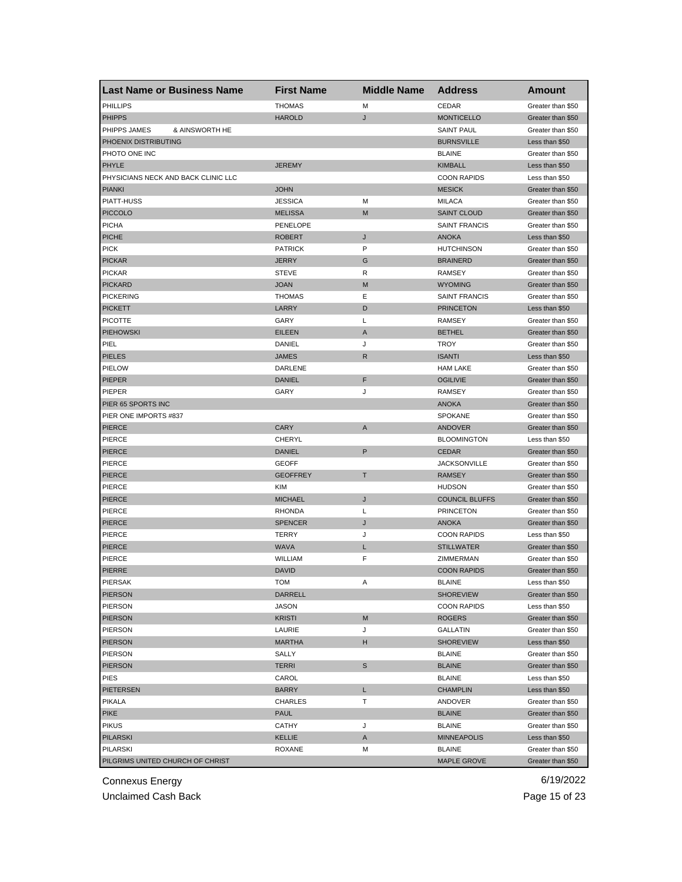| <b>Last Name or Business Name</b>   | <b>First Name</b> | <b>Middle Name</b> | <b>Address</b>        | Amount                              |
|-------------------------------------|-------------------|--------------------|-----------------------|-------------------------------------|
| PHILLIPS                            | <b>THOMAS</b>     | M                  | CEDAR                 | Greater than \$50                   |
| <b>PHIPPS</b>                       | <b>HAROLD</b>     | J                  | <b>MONTICELLO</b>     | Greater than \$50                   |
| PHIPPS JAMES<br>& AINSWORTH HE      |                   |                    | <b>SAINT PAUL</b>     | Greater than \$50                   |
| PHOENIX DISTRIBUTING                |                   |                    | <b>BURNSVILLE</b>     | Less than \$50                      |
| PHOTO ONE INC                       |                   |                    | <b>BLAINE</b>         | Greater than \$50                   |
| PHYLE                               | <b>JEREMY</b>     |                    | <b>KIMBALL</b>        | Less than \$50                      |
| PHYSICIANS NECK AND BACK CLINIC LLC |                   |                    | <b>COON RAPIDS</b>    | Less than \$50                      |
| <b>PIANKI</b>                       | <b>JOHN</b>       |                    | <b>MESICK</b>         | Greater than \$50                   |
| PIATT-HUSS                          | <b>JESSICA</b>    | M                  | <b>MILACA</b>         | Greater than \$50                   |
| <b>PICCOLO</b>                      | <b>MELISSA</b>    | M                  | <b>SAINT CLOUD</b>    | Greater than \$50                   |
| <b>PICHA</b>                        | PENELOPE          |                    | <b>SAINT FRANCIS</b>  | Greater than \$50                   |
| <b>PICHE</b>                        | <b>ROBERT</b>     | J                  | <b>ANOKA</b>          | Less than \$50                      |
| <b>PICK</b>                         | <b>PATRICK</b>    | P                  | <b>HUTCHINSON</b>     | Greater than \$50                   |
| <b>PICKAR</b>                       | <b>JERRY</b>      | G                  | <b>BRAINERD</b>       | Greater than \$50                   |
| <b>PICKAR</b>                       | <b>STEVE</b>      | R                  | <b>RAMSEY</b>         | Greater than \$50                   |
| <b>PICKARD</b>                      | <b>JOAN</b>       | M                  | <b>WYOMING</b>        | Greater than \$50                   |
| <b>PICKERING</b>                    | <b>THOMAS</b>     | Ε                  | <b>SAINT FRANCIS</b>  | Greater than \$50                   |
| <b>PICKETT</b>                      | LARRY             | D                  | <b>PRINCETON</b>      | Less than \$50                      |
| <b>PICOTTE</b>                      | GARY              | L                  | RAMSEY                | Greater than \$50                   |
| <b>PIEHOWSKI</b>                    | <b>EILEEN</b>     | Α                  | <b>BETHEL</b>         | Greater than \$50                   |
| PIEL                                | DANIEL            | J                  | <b>TROY</b>           | Greater than \$50                   |
| <b>PIELES</b>                       | <b>JAMES</b>      | R                  | <b>ISANTI</b>         | Less than \$50                      |
| PIELOW                              | DARLENE           |                    | <b>HAM LAKE</b>       | Greater than \$50                   |
| <b>PIEPER</b>                       | <b>DANIEL</b>     | F                  | <b>OGILIVIE</b>       | Greater than \$50                   |
| PIEPER                              | GARY              | J                  | <b>RAMSEY</b>         | Greater than \$50                   |
| PIER 65 SPORTS INC                  |                   |                    | <b>ANOKA</b>          | Greater than \$50                   |
| PIER ONE IMPORTS #837               |                   |                    | <b>SPOKANE</b>        | Greater than \$50                   |
| <b>PIERCE</b>                       | <b>CARY</b>       | A                  | ANDOVER               | Greater than \$50                   |
| <b>PIERCE</b>                       | <b>CHERYL</b>     |                    | <b>BLOOMINGTON</b>    | Less than \$50                      |
| <b>PIERCE</b>                       | <b>DANIEL</b>     | P                  | <b>CEDAR</b>          | Greater than \$50                   |
| <b>PIERCE</b>                       | <b>GEOFF</b>      |                    | <b>JACKSONVILLE</b>   | Greater than \$50                   |
| <b>PIERCE</b>                       | <b>GEOFFREY</b>   | T                  | <b>RAMSEY</b>         | Greater than \$50                   |
| <b>PIERCE</b>                       | KIM               |                    | <b>HUDSON</b>         | Greater than \$50                   |
| <b>PIERCE</b>                       | <b>MICHAEL</b>    | J                  | <b>COUNCIL BLUFFS</b> | Greater than \$50                   |
| PIERCE                              | <b>RHONDA</b>     | Г                  | <b>PRINCETON</b>      | Greater than \$50                   |
| PIERCE                              | <b>SPENCER</b>    | J                  | <b>ANOKA</b>          | Greater than \$50                   |
| PIERCE                              | <b>TERRY</b>      | J                  | <b>COON RAPIDS</b>    | Less than \$50                      |
| PIERCE                              | <b>WAVA</b>       | L                  | <b>STILLWATER</b>     | Greater than \$50                   |
| <b>PIERCE</b>                       | WILLIAM           | F                  | ZIMMERMAN             | Greater than \$50                   |
| <b>PIERRE</b>                       | <b>DAVID</b>      |                    | <b>COON RAPIDS</b>    | Greater than \$50                   |
|                                     |                   |                    | <b>BLAINE</b>         |                                     |
| PIERSAK<br><b>PIERSON</b>           | TOM<br>DARRELL    | Α                  | <b>SHOREVIEW</b>      | Less than \$50<br>Greater than \$50 |
| PIERSON                             | JASON             |                    | <b>COON RAPIDS</b>    | Less than \$50                      |
|                                     | <b>KRISTI</b>     | M                  |                       | Greater than \$50                   |
| <b>PIERSON</b><br><b>PIERSON</b>    |                   |                    | ROGERS                | Greater than \$50                   |
|                                     | LAURIE            | J<br>H             | GALLATIN              |                                     |
| <b>PIERSON</b>                      | <b>MARTHA</b>     |                    | <b>SHOREVIEW</b>      | Less than \$50                      |
| PIERSON                             | SALLY             |                    | <b>BLAINE</b>         | Greater than \$50                   |
| <b>PIERSON</b>                      | <b>TERRI</b>      | S                  | <b>BLAINE</b>         | Greater than \$50                   |
| PIES                                | CAROL             |                    | <b>BLAINE</b>         | Less than \$50                      |
| PIETERSEN                           | <b>BARRY</b>      | L.                 | <b>CHAMPLIN</b>       | Less than \$50                      |
| PIKALA                              | <b>CHARLES</b>    | т                  | ANDOVER               | Greater than \$50                   |
| <b>PIKE</b>                         | <b>PAUL</b>       |                    | <b>BLAINE</b>         | Greater than \$50                   |
| <b>PIKUS</b>                        | CATHY             | J                  | <b>BLAINE</b>         | Greater than \$50                   |
| <b>PILARSKI</b>                     | KELLIE            | A                  | <b>MINNEAPOLIS</b>    | Less than \$50                      |
| <b>PILARSKI</b>                     | ROXANE            | M                  | BLAINE                | Greater than \$50                   |
| PILGRIMS UNITED CHURCH OF CHRIST    |                   |                    | <b>MAPLE GROVE</b>    | Greater than \$50                   |

Unclaimed Cash Back **Page 15 of 23**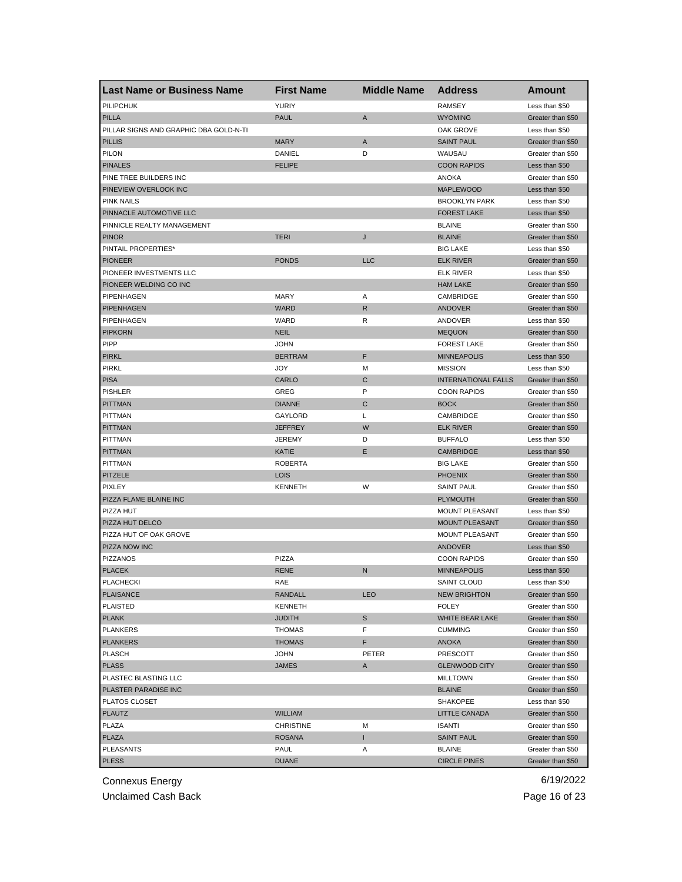| <b>Last Name or Business Name</b>      | <b>First Name</b>              | <b>Middle Name</b> | <b>Address</b>                 | Amount            |
|----------------------------------------|--------------------------------|--------------------|--------------------------------|-------------------|
| <b>PILIPCHUK</b>                       | <b>YURIY</b>                   |                    | <b>RAMSEY</b>                  | Less than \$50    |
| <b>PILLA</b>                           | <b>PAUL</b>                    | A                  | <b>WYOMING</b>                 | Greater than \$50 |
| PILLAR SIGNS AND GRAPHIC DBA GOLD-N-TI |                                |                    | OAK GROVE                      | Less than \$50    |
| <b>PILLIS</b>                          | <b>MARY</b>                    | A                  | <b>SAINT PAUL</b>              | Greater than \$50 |
| PILON                                  | DANIEL                         | D                  | WAUSAU                         | Greater than \$50 |
| <b>PINALES</b>                         | <b>FELIPE</b>                  |                    | <b>COON RAPIDS</b>             | Less than \$50    |
| PINE TREE BUILDERS INC                 |                                |                    | <b>ANOKA</b>                   | Greater than \$50 |
| PINEVIEW OVERLOOK INC                  |                                |                    | <b>MAPLEWOOD</b>               | Less than \$50    |
| <b>PINK NAILS</b>                      |                                |                    | <b>BROOKLYN PARK</b>           | Less than \$50    |
| PINNACLE AUTOMOTIVE LLC                |                                |                    | <b>FOREST LAKE</b>             | Less than \$50    |
| PINNICLE REALTY MANAGEMENT             |                                |                    | <b>BLAINE</b>                  | Greater than \$50 |
| <b>PINOR</b>                           | <b>TERI</b>                    | J                  | <b>BLAINE</b>                  | Greater than \$50 |
| PINTAIL PROPERTIES*                    |                                |                    | <b>BIG LAKE</b>                | Less than \$50    |
| <b>PIONEER</b>                         | <b>PONDS</b>                   | <b>LLC</b>         | <b>ELK RIVER</b>               | Greater than \$50 |
| PIONEER INVESTMENTS LLC                |                                |                    | <b>ELK RIVER</b>               | Less than \$50    |
| PIONEER WELDING CO INC                 |                                |                    | <b>HAM LAKE</b>                | Greater than \$50 |
| PIPENHAGEN                             | MARY                           | Α                  | CAMBRIDGE                      | Greater than \$50 |
| PIPENHAGEN                             | <b>WARD</b>                    | $\mathsf{R}$       | <b>ANDOVER</b>                 | Greater than \$50 |
| PIPENHAGEN                             | WARD                           | R                  | ANDOVER                        | Less than \$50    |
| <b>PIPKORN</b>                         | <b>NEIL</b>                    |                    | <b>MEQUON</b>                  | Greater than \$50 |
| <b>PIPP</b>                            | <b>JOHN</b>                    |                    | <b>FOREST LAKE</b>             | Greater than \$50 |
| <b>PIRKL</b>                           | <b>BERTRAM</b>                 | F                  | <b>MINNEAPOLIS</b>             | Less than \$50    |
| <b>PIRKL</b>                           | JOY                            | М                  | <b>MISSION</b>                 | Less than \$50    |
| <b>PISA</b>                            | CARLO                          | C                  | <b>INTERNATIONAL FALLS</b>     | Greater than \$50 |
| <b>PISHLER</b>                         | GREG                           | P                  | <b>COON RAPIDS</b>             | Greater than \$50 |
| <b>PITTMAN</b>                         | <b>DIANNE</b>                  | C                  | <b>BOCK</b>                    | Greater than \$50 |
| <b>PITTMAN</b>                         | GAYLORD                        | Г                  | CAMBRIDGE                      | Greater than \$50 |
| <b>PITTMAN</b>                         | <b>JEFFREY</b>                 | W                  | <b>ELK RIVER</b>               | Greater than \$50 |
| <b>PITTMAN</b>                         | JEREMY                         | D                  | <b>BUFFALO</b>                 | Less than \$50    |
| <b>PITTMAN</b>                         | KATIE                          | E                  | <b>CAMBRIDGE</b>               | Less than \$50    |
| <b>PITTMAN</b>                         | <b>ROBERTA</b>                 |                    | <b>BIG LAKE</b>                | Greater than \$50 |
| <b>PITZELE</b>                         | <b>LOIS</b>                    |                    | <b>PHOENIX</b>                 | Greater than \$50 |
| <b>PIXLEY</b>                          | <b>KENNETH</b>                 | W                  | <b>SAINT PAUL</b>              | Greater than \$50 |
| PIZZA FLAME BLAINE INC                 |                                |                    | <b>PLYMOUTH</b>                | Greater than \$50 |
| PIZZA HUT                              |                                |                    | <b>MOUNT PLEASANT</b>          | Less than \$50    |
| PIZZA HUT DELCO                        |                                |                    | <b>MOUNT PLEASANT</b>          | Greater than \$50 |
| PIZZA HUT OF OAK GROVE                 |                                |                    | MOUNT PLEASANT                 | Greater than \$50 |
| PIZZA NOW INC                          |                                |                    | <b>ANDOVER</b>                 | Less than \$50    |
| <b>PIZZANOS</b>                        | PIZZA                          |                    | <b>COON RAPIDS</b>             | Greater than \$50 |
| <b>PLACEK</b>                          | <b>RENE</b>                    | N                  | <b>MINNEAPOLIS</b>             | Less than \$50    |
|                                        |                                |                    | SAINT CLOUD                    | Less than \$50    |
| <b>PLACHECKI</b><br><b>PLAISANCE</b>   | RAE<br>RANDALL                 | <b>LEO</b>         | <b>NEW BRIGHTON</b>            | Greater than \$50 |
| <b>PLAISTED</b>                        | KENNETH                        |                    | <b>FOLEY</b>                   | Greater than \$50 |
| <b>PLANK</b>                           | <b>JUDITH</b>                  | S                  | <b>WHITE BEAR LAKE</b>         | Greater than \$50 |
| <b>PLANKERS</b>                        |                                |                    |                                |                   |
|                                        | <b>THOMAS</b><br><b>THOMAS</b> | F<br>F.            | <b>CUMMING</b><br><b>ANOKA</b> | Greater than \$50 |
| <b>PLANKERS</b>                        |                                |                    |                                | Greater than \$50 |
| <b>PLASCH</b>                          | JOHN                           | PETER              | PRESCOTT                       | Greater than \$50 |
| <b>PLASS</b>                           | <b>JAMES</b>                   | A                  | <b>GLENWOOD CITY</b>           | Greater than \$50 |
| PLASTEC BLASTING LLC                   |                                |                    | <b>MILLTOWN</b>                | Greater than \$50 |
| PLASTER PARADISE INC                   |                                |                    | <b>BLAINE</b>                  | Greater than \$50 |
| PLATOS CLOSET                          |                                |                    | <b>SHAKOPEE</b>                | Less than \$50    |
| <b>PLAUTZ</b>                          | WILLIAM                        |                    | LITTLE CANADA                  | Greater than \$50 |
| PLAZA                                  | <b>CHRISTINE</b>               | М                  | <b>ISANTI</b>                  | Greater than \$50 |
| <b>PLAZA</b>                           | <b>ROSANA</b>                  | I                  | <b>SAINT PAUL</b>              | Greater than \$50 |
| <b>PLEASANTS</b>                       | PAUL                           | Α                  | <b>BLAINE</b>                  | Greater than \$50 |
| <b>PLESS</b>                           | <b>DUANE</b>                   |                    | <b>CIRCLE PINES</b>            | Greater than \$50 |

Unclaimed Cash Back **Page 16 of 23**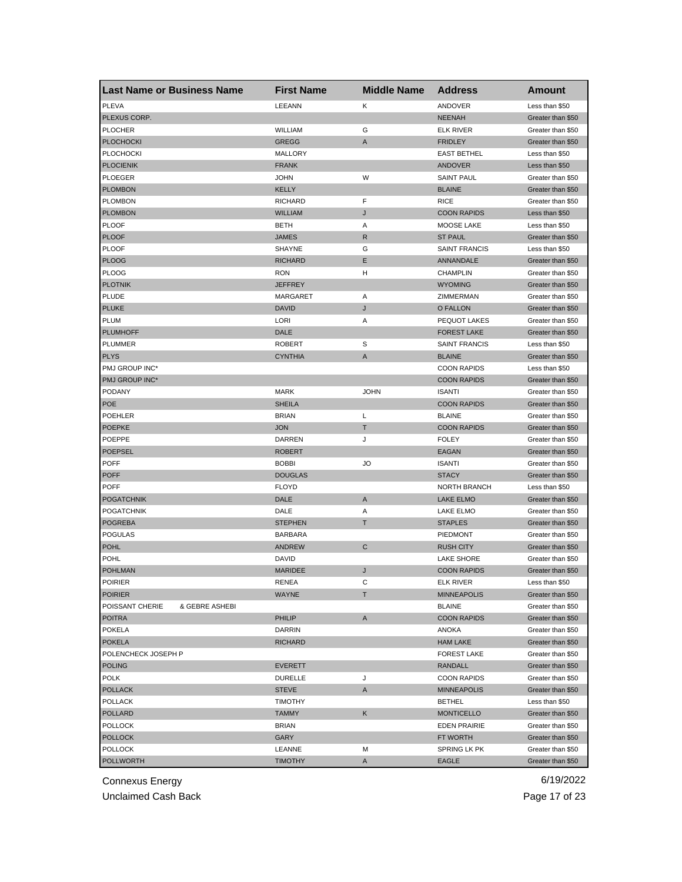| <b>Last Name or Business Name</b> | <b>First Name</b> | <b>Middle Name</b> | <b>Address</b>                | <b>Amount</b>     |
|-----------------------------------|-------------------|--------------------|-------------------------------|-------------------|
| <b>PLEVA</b>                      | LEEANN            | Κ                  | ANDOVER                       | Less than \$50    |
| PLEXUS CORP.                      |                   |                    | <b>NEENAH</b>                 | Greater than \$50 |
| <b>PLOCHER</b>                    | WILLIAM           | G                  | <b>ELK RIVER</b>              | Greater than \$50 |
| <b>PLOCHOCKI</b>                  | <b>GREGG</b>      | A                  | <b>FRIDLEY</b>                | Greater than \$50 |
| <b>PLOCHOCKI</b>                  | MALLORY           |                    | <b>EAST BETHEL</b>            | Less than \$50    |
| <b>PLOCIENIK</b>                  | <b>FRANK</b>      |                    | <b>ANDOVER</b>                | Less than \$50    |
| <b>PLOEGER</b>                    | <b>JOHN</b>       | W                  | <b>SAINT PAUL</b>             | Greater than \$50 |
| <b>PLOMBON</b>                    | <b>KELLY</b>      |                    | <b>BLAINE</b>                 | Greater than \$50 |
| <b>PLOMBON</b>                    | <b>RICHARD</b>    | F                  | <b>RICE</b>                   | Greater than \$50 |
| <b>PLOMBON</b>                    | <b>WILLIAM</b>    | J                  | <b>COON RAPIDS</b>            | Less than \$50    |
| <b>PLOOF</b>                      | <b>BETH</b>       | Α                  | MOOSE LAKE                    | Less than \$50    |
| <b>PLOOF</b>                      | <b>JAMES</b>      | R                  | <b>ST PAUL</b>                | Greater than \$50 |
| <b>PLOOF</b>                      | <b>SHAYNE</b>     | G                  | <b>SAINT FRANCIS</b>          | Less than \$50    |
| <b>PLOOG</b>                      | <b>RICHARD</b>    | Е                  | ANNANDALE                     | Greater than \$50 |
| <b>PLOOG</b>                      | <b>RON</b>        | н                  | <b>CHAMPLIN</b>               | Greater than \$50 |
| <b>PLOTNIK</b>                    | <b>JEFFREY</b>    |                    | <b>WYOMING</b>                | Greater than \$50 |
| PLUDE                             | <b>MARGARET</b>   | Α                  | ZIMMERMAN                     | Greater than \$50 |
| <b>PLUKE</b>                      | <b>DAVID</b>      | J                  | O FALLON                      | Greater than \$50 |
| <b>PLUM</b>                       | LORI              | Α                  | PEQUOT LAKES                  | Greater than \$50 |
| <b>PLUMHOFF</b>                   | DALE              |                    | <b>FOREST LAKE</b>            | Greater than \$50 |
| PLUMMER                           | <b>ROBERT</b>     | S                  | <b>SAINT FRANCIS</b>          | Less than \$50    |
| <b>PLYS</b>                       | <b>CYNTHIA</b>    | Α                  | <b>BLAINE</b>                 | Greater than \$50 |
| PMJ GROUP INC*                    |                   |                    | <b>COON RAPIDS</b>            | Less than \$50    |
| PMJ GROUP INC*                    |                   |                    | <b>COON RAPIDS</b>            | Greater than \$50 |
| PODANY                            | <b>MARK</b>       | <b>JOHN</b>        | <b>ISANTI</b>                 | Greater than \$50 |
| <b>POE</b>                        | <b>SHEILA</b>     |                    | <b>COON RAPIDS</b>            | Greater than \$50 |
| POEHLER                           | <b>BRIAN</b>      | Г                  | <b>BLAINE</b>                 | Greater than \$50 |
| <b>POEPKE</b>                     | <b>JON</b>        | Т                  | <b>COON RAPIDS</b>            | Greater than \$50 |
| POEPPE                            | DARREN            | J                  | <b>FOLEY</b>                  | Greater than \$50 |
| <b>POEPSEL</b>                    | <b>ROBERT</b>     |                    | <b>EAGAN</b>                  | Greater than \$50 |
| <b>POFF</b>                       | <b>BOBBI</b>      | JO                 | <b>ISANTI</b>                 | Greater than \$50 |
| <b>POFF</b>                       | <b>DOUGLAS</b>    |                    | <b>STACY</b>                  | Greater than \$50 |
| <b>POFF</b>                       | <b>FLOYD</b>      |                    | <b>NORTH BRANCH</b>           | Less than \$50    |
| <b>POGATCHNIK</b>                 | DALE              | A                  | <b>LAKE ELMO</b>              | Greater than \$50 |
| <b>POGATCHNIK</b>                 | DALE              | Α                  | <b>LAKE ELMO</b>              | Greater than \$50 |
| <b>POGREBA</b>                    | <b>STEPHEN</b>    | Τ                  | <b>STAPLES</b>                | Greater than \$50 |
| <b>POGULAS</b>                    | <b>BARBARA</b>    |                    | <b>PIEDMONT</b>               | Greater than \$50 |
| <b>POHL</b>                       | <b>ANDREW</b>     | С                  | <b>RUSH CITY</b>              | Greater than \$50 |
| <b>POHL</b>                       | <b>DAVID</b>      |                    | LAKE SHORE                    | Greater than \$50 |
| <b>POHLMAN</b>                    | <b>MARIDEE</b>    | J                  | <b>COON RAPIDS</b>            | Greater than \$50 |
| <b>POIRIER</b>                    |                   | C                  | <b>ELK RIVER</b>              | Less than \$50    |
| <b>POIRIER</b>                    | RENEA<br>WAYNE    | т                  | <b>MINNEAPOLIS</b>            | Greater than \$50 |
| POISSANT CHERIE<br>& GEBRE ASHEBI |                   |                    | <b>BLAINE</b>                 | Greater than \$50 |
| <b>POITRA</b>                     | PHILIP            | Α                  | <b>COON RAPIDS</b>            | Greater than \$50 |
|                                   | <b>DARRIN</b>     |                    | ANOKA                         | Greater than \$50 |
| <b>POKELA</b><br><b>POKELA</b>    | <b>RICHARD</b>    |                    | <b>HAM LAKE</b>               | Greater than \$50 |
|                                   |                   |                    |                               | Greater than \$50 |
| POLENCHECK JOSEPH P               |                   |                    | <b>FOREST LAKE</b>            |                   |
| <b>POLING</b>                     | <b>EVERETT</b>    |                    | RANDALL<br><b>COON RAPIDS</b> | Greater than \$50 |
| <b>POLK</b>                       | <b>DURELLE</b>    | J                  |                               | Greater than \$50 |
| <b>POLLACK</b>                    | <b>STEVE</b>      | A                  | <b>MINNEAPOLIS</b>            | Greater than \$50 |
| <b>POLLACK</b>                    | <b>TIMOTHY</b>    |                    | <b>BETHEL</b>                 | Less than \$50    |
| <b>POLLARD</b>                    | <b>TAMMY</b>      | Κ                  | <b>MONTICELLO</b>             | Greater than \$50 |
| <b>POLLOCK</b>                    | <b>BRIAN</b>      |                    | <b>EDEN PRAIRIE</b>           | Greater than \$50 |
| <b>POLLOCK</b>                    | GARY              |                    | FT WORTH                      | Greater than \$50 |
| <b>POLLOCK</b>                    | LEANNE            | М                  | SPRING LK PK                  | Greater than \$50 |
| <b>POLLWORTH</b>                  | <b>TIMOTHY</b>    | A                  | <b>EAGLE</b>                  | Greater than \$50 |

Unclaimed Cash Back **Page 17 of 23**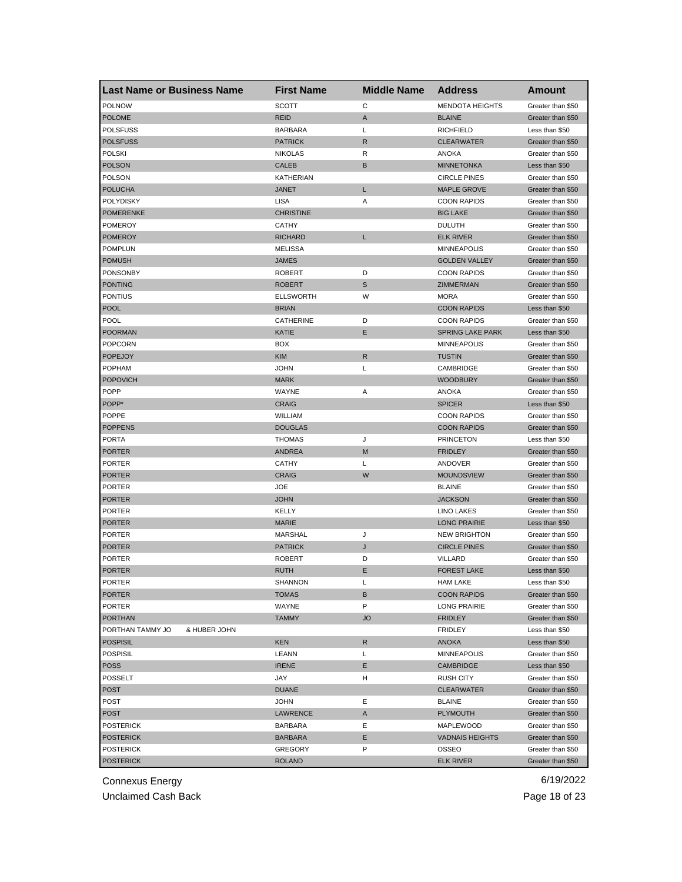| <b>Last Name or Business Name</b> | <b>First Name</b> | <b>Middle Name</b> | <b>Address</b>          | Amount            |
|-----------------------------------|-------------------|--------------------|-------------------------|-------------------|
| <b>POLNOW</b>                     | <b>SCOTT</b>      | C                  | <b>MENDOTA HEIGHTS</b>  | Greater than \$50 |
| <b>POLOME</b>                     | <b>REID</b>       | A                  | <b>BLAINE</b>           | Greater than \$50 |
| <b>POLSFUSS</b>                   | <b>BARBARA</b>    | L                  | <b>RICHFIELD</b>        | Less than \$50    |
| <b>POLSFUSS</b>                   | <b>PATRICK</b>    | R                  | <b>CLEARWATER</b>       | Greater than \$50 |
| <b>POLSKI</b>                     | <b>NIKOLAS</b>    | R                  | <b>ANOKA</b>            | Greater than \$50 |
| <b>POLSON</b>                     | <b>CALEB</b>      | В                  | <b>MINNETONKA</b>       | Less than \$50    |
| POLSON                            | <b>KATHERIAN</b>  |                    | <b>CIRCLE PINES</b>     | Greater than \$50 |
| <b>POLUCHA</b>                    | <b>JANET</b>      | L                  | <b>MAPLE GROVE</b>      | Greater than \$50 |
| <b>POLYDISKY</b>                  | LISA              | Α                  | <b>COON RAPIDS</b>      | Greater than \$50 |
| <b>POMERENKE</b>                  | <b>CHRISTINE</b>  |                    | <b>BIG LAKE</b>         | Greater than \$50 |
| <b>POMEROY</b>                    | CATHY             |                    | <b>DULUTH</b>           | Greater than \$50 |
| <b>POMEROY</b>                    | <b>RICHARD</b>    | L                  | <b>ELK RIVER</b>        | Greater than \$50 |
| <b>POMPLUN</b>                    | <b>MELISSA</b>    |                    | <b>MINNEAPOLIS</b>      | Greater than \$50 |
| <b>POMUSH</b>                     | <b>JAMES</b>      |                    | <b>GOLDEN VALLEY</b>    | Greater than \$50 |
| <b>PONSONBY</b>                   | <b>ROBERT</b>     | D                  | <b>COON RAPIDS</b>      | Greater than \$50 |
| <b>PONTING</b>                    | <b>ROBERT</b>     | $\mathbb S$        | ZIMMERMAN               | Greater than \$50 |
| <b>PONTIUS</b>                    | <b>ELLSWORTH</b>  | W                  | <b>MORA</b>             | Greater than \$50 |
| <b>POOL</b>                       | <b>BRIAN</b>      |                    | <b>COON RAPIDS</b>      | Less than \$50    |
| <b>POOL</b>                       | CATHERINE         | D                  | <b>COON RAPIDS</b>      | Greater than \$50 |
| <b>POORMAN</b>                    | KATIE             | E                  | <b>SPRING LAKE PARK</b> | Less than \$50    |
| <b>POPCORN</b>                    | <b>BOX</b>        |                    | <b>MINNEAPOLIS</b>      | Greater than \$50 |
| <b>POPEJOY</b>                    | <b>KIM</b>        | R                  | <b>TUSTIN</b>           | Greater than \$50 |
| <b>POPHAM</b>                     | <b>JOHN</b>       | Г                  | CAMBRIDGE               | Greater than \$50 |
| <b>POPOVICH</b>                   | <b>MARK</b>       |                    | <b>WOODBURY</b>         | Greater than \$50 |
| <b>POPP</b>                       | WAYNE             | Α                  | <b>ANOKA</b>            | Greater than \$50 |
| POPP*                             | <b>CRAIG</b>      |                    | <b>SPICER</b>           | Less than \$50    |
| <b>POPPE</b>                      | WILLIAM           |                    | <b>COON RAPIDS</b>      | Greater than \$50 |
| <b>POPPENS</b>                    | <b>DOUGLAS</b>    |                    | <b>COON RAPIDS</b>      | Greater than \$50 |
| <b>PORTA</b>                      | <b>THOMAS</b>     | J                  | <b>PRINCETON</b>        | Less than \$50    |
| <b>PORTER</b>                     | <b>ANDREA</b>     | M                  | <b>FRIDLEY</b>          | Greater than \$50 |
| <b>PORTER</b>                     | <b>CATHY</b>      | L                  | ANDOVER                 | Greater than \$50 |
| <b>PORTER</b>                     | <b>CRAIG</b>      | W                  | <b>MOUNDSVIEW</b>       | Greater than \$50 |
| <b>PORTER</b>                     | <b>JOE</b>        |                    | <b>BLAINE</b>           | Greater than \$50 |
| <b>PORTER</b>                     | <b>JOHN</b>       |                    | <b>JACKSON</b>          | Greater than \$50 |
| <b>PORTER</b>                     | KELLY             |                    | <b>LINO LAKES</b>       | Greater than \$50 |
| <b>PORTER</b>                     | <b>MARIE</b>      |                    | <b>LONG PRAIRIE</b>     | Less than \$50    |
| <b>PORTER</b>                     | <b>MARSHAL</b>    | J                  | <b>NEW BRIGHTON</b>     | Greater than \$50 |
| <b>PORTER</b>                     | <b>PATRICK</b>    | J                  | <b>CIRCLE PINES</b>     | Greater than \$50 |
| <b>PORTER</b>                     | <b>ROBERT</b>     | D                  | VILLARD                 | Greater than \$50 |
| <b>PORTER</b>                     | <b>RUTH</b>       | Е                  | <b>FOREST LAKE</b>      | Less than \$50    |
| PORTER                            | SHANNON           | L                  | HAM LAKE                | Less than \$50    |
| <b>PORTER</b>                     | TOMAS             | B                  | <b>COON RAPIDS</b>      | Greater than \$50 |
| <b>PORTER</b>                     | WAYNE             | P                  | <b>LONG PRAIRIE</b>     | Greater than \$50 |
| <b>PORTHAN</b>                    | <b>TAMMY</b>      | <b>JO</b>          | <b>FRIDLEY</b>          | Greater than \$50 |
| PORTHAN TAMMY JO<br>& HUBER JOHN  |                   |                    | <b>FRIDLEY</b>          | Less than \$50    |
| <b>POSPISIL</b>                   | <b>KEN</b>        | $\mathsf{R}$       | <b>ANOKA</b>            | Less than \$50    |
| <b>POSPISIL</b>                   | LEANN             | L                  | <b>MINNEAPOLIS</b>      | Greater than \$50 |
| <b>POSS</b>                       | <b>IRENE</b>      | Е                  | CAMBRIDGE               | Less than \$50    |
| <b>POSSELT</b>                    | JAY               | н                  | <b>RUSH CITY</b>        | Greater than \$50 |
| <b>POST</b>                       | <b>DUANE</b>      |                    | <b>CLEARWATER</b>       | Greater than \$50 |
| <b>POST</b>                       | <b>JOHN</b>       | Е                  | <b>BLAINE</b>           | Greater than \$50 |
| <b>POST</b>                       | <b>LAWRENCE</b>   | A                  | PLYMOUTH                | Greater than \$50 |
| <b>POSTERICK</b>                  | BARBARA           | Ε                  | MAPLEWOOD               | Greater than \$50 |
|                                   | <b>BARBARA</b>    |                    |                         | Greater than \$50 |
| <b>POSTERICK</b>                  |                   | Ε<br>P             | <b>VADNAIS HEIGHTS</b>  |                   |
| <b>POSTERICK</b>                  | GREGORY           |                    | OSSEO                   | Greater than \$50 |
| <b>POSTERICK</b>                  | <b>ROLAND</b>     |                    | <b>ELK RIVER</b>        | Greater than \$50 |

Unclaimed Cash Back **Page 18 of 23**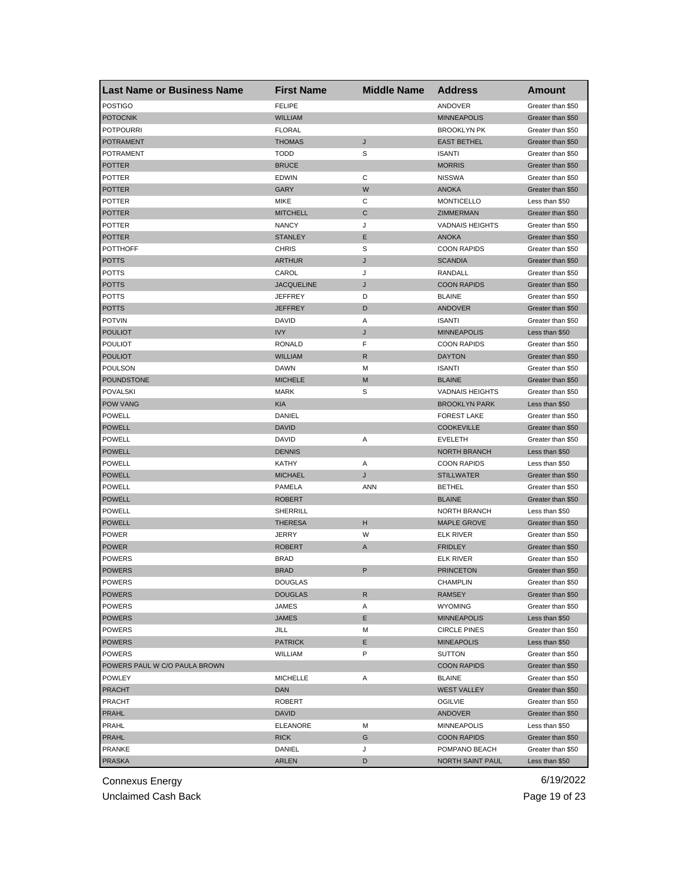| <b>FELIPE</b><br><b>POSTIGO</b><br>ANDOVER<br>Greater than \$50<br><b>POTOCNIK</b><br><b>WILLIAM</b><br><b>MINNEAPOLIS</b><br>Greater than \$50<br><b>POTPOURRI</b><br><b>FLORAL</b><br><b>BROOKLYN PK</b><br>Greater than \$50<br>J<br><b>THOMAS</b><br><b>EAST BETHEL</b><br><b>POTRAMENT</b><br>Greater than \$50<br><b>TODD</b><br>S<br>POTRAMENT<br><b>ISANTI</b><br>Greater than \$50<br><b>POTTER</b><br><b>BRUCE</b><br><b>MORRIS</b><br>Greater than \$50<br><b>POTTER</b><br><b>EDWIN</b><br>С<br><b>NISSWA</b><br>Greater than \$50<br><b>POTTER</b><br>GARY<br>W<br><b>ANOKA</b><br>Greater than \$50<br><b>POTTER</b><br>MIKE<br>С<br><b>MONTICELLO</b><br>Less than \$50<br><b>MITCHELL</b><br><b>POTTER</b><br>C<br>ZIMMERMAN<br>Greater than \$50<br>POTTER<br><b>NANCY</b><br>J<br><b>VADNAIS HEIGHTS</b><br>Greater than \$50<br><b>STANLEY</b><br>Е<br><b>POTTER</b><br><b>ANOKA</b><br>Greater than \$50<br>S<br><b>CHRIS</b><br><b>COON RAPIDS</b><br><b>POTTHOFF</b><br>Greater than \$50<br><b>POTTS</b><br><b>ARTHUR</b><br>J<br><b>SCANDIA</b><br>Greater than \$50<br>POTTS<br>CAROL<br>J<br>RANDALL<br>Greater than \$50<br><b>COON RAPIDS</b><br><b>POTTS</b><br><b>JACQUELINE</b><br>J<br>Greater than \$50<br>POTTS<br>D<br><b>BLAINE</b><br>JEFFREY<br>Greater than \$50<br>D<br><b>POTTS</b><br>JEFFREY<br><b>ANDOVER</b><br>Greater than \$50<br><b>POTVIN</b><br>Α<br>DAVID<br><b>ISANTI</b><br>Greater than \$50<br><b>IVY</b><br><b>POULIOT</b><br>J<br><b>MINNEAPOLIS</b><br>Less than \$50<br>F<br><b>POULIOT</b><br><b>COON RAPIDS</b><br>RONALD<br>Greater than \$50<br><b>POULIOT</b><br><b>WILLIAM</b><br>R<br><b>DAYTON</b><br>Greater than \$50<br><b>POULSON</b><br><b>DAWN</b><br>M<br><b>ISANTI</b><br>Greater than \$50<br><b>POUNDSTONE</b><br><b>MICHELE</b><br>M<br><b>BLAINE</b><br>Greater than \$50<br>POVALSKI<br><b>MARK</b><br>S<br><b>VADNAIS HEIGHTS</b><br>Greater than \$50<br><b>POW VANG</b><br><b>KIA</b><br><b>BROOKLYN PARK</b><br>Less than \$50<br>POWELL<br>DANIEL<br><b>FOREST LAKE</b><br>Greater than \$50<br><b>POWELL</b><br><b>DAVID</b><br><b>COOKEVILLE</b><br>Greater than \$50<br>POWELL<br>DAVID<br>Α<br><b>EVELETH</b><br>Greater than \$50<br><b>POWELL</b><br><b>DENNIS</b><br><b>NORTH BRANCH</b><br>Less than \$50<br><b>POWELL</b><br>KATHY<br>Α<br><b>COON RAPIDS</b><br>Less than \$50<br><b>POWELL</b><br><b>MICHAEL</b><br>J<br><b>STILLWATER</b><br>Greater than \$50<br><b>POWELL</b><br>PAMELA<br><b>ANN</b><br><b>BETHEL</b><br>Greater than \$50<br><b>POWELL</b><br><b>ROBERT</b><br><b>BLAINE</b><br>Greater than \$50<br>POWELL<br>SHERRILL<br>NORTH BRANCH<br>Less than \$50<br>н<br><b>POWELL</b><br><b>THERESA</b><br><b>MAPLE GROVE</b><br>Greater than \$50<br><b>POWER</b><br>JERRY<br>W<br><b>ELK RIVER</b><br>Greater than \$50<br><b>POWER</b><br><b>ROBERT</b><br><b>FRIDLEY</b><br>Greater than \$50<br>A<br><b>POWERS</b><br><b>BRAD</b><br>Greater than \$50<br>ELK RIVER<br>P<br><b>POWERS</b><br><b>BRAD</b><br><b>PRINCETON</b><br>Greater than \$50<br><b>POWERS</b><br>DOUGLAS<br>CHAMPLIN<br>Greater than \$50<br><b>POWERS</b><br><b>DOUGLAS</b><br>R<br><b>RAMSEY</b><br>Greater than \$50<br><b>POWERS</b><br><b>WYOMING</b><br>JAMES<br>Greater than \$50<br>Α<br><b>POWERS</b><br>JAMES<br>Е<br><b>MINNEAPOLIS</b><br>Less than \$50<br>POWERS<br>JILL<br>М<br><b>CIRCLE PINES</b><br>Greater than \$50<br>E<br><b>POWERS</b><br><b>PATRICK</b><br><b>MINEAPOLIS</b><br>Less than \$50<br>P<br><b>POWERS</b><br>WILLIAM<br><b>SUTTON</b><br>Greater than \$50<br>POWERS PAUL W C/O PAULA BROWN<br><b>COON RAPIDS</b><br>Greater than \$50<br><b>POWLEY</b><br><b>MICHELLE</b><br>Α<br><b>BLAINE</b><br>Greater than \$50<br><b>PRACHT</b><br>DAN<br><b>WEST VALLEY</b><br>Greater than \$50<br><b>PRACHT</b><br>Greater than \$50<br>ROBERT<br><b>OGILVIE</b><br>PRAHL<br>DAVID<br><b>ANDOVER</b><br>Greater than \$50<br>PRAHL<br>ELEANORE<br>М<br><b>MINNEAPOLIS</b><br>Less than \$50<br>PRAHL<br><b>RICK</b><br>G<br><b>COON RAPIDS</b><br>Greater than \$50<br><b>PRANKE</b><br>DANIEL<br>J<br>POMPANO BEACH<br>Greater than \$50<br><b>PRASKA</b><br><b>ARLEN</b><br>D<br>NORTH SAINT PAUL<br>Less than \$50 | <b>Last Name or Business Name</b> | <b>First Name</b> | <b>Middle Name</b> | <b>Address</b> | Amount |
|----------------------------------------------------------------------------------------------------------------------------------------------------------------------------------------------------------------------------------------------------------------------------------------------------------------------------------------------------------------------------------------------------------------------------------------------------------------------------------------------------------------------------------------------------------------------------------------------------------------------------------------------------------------------------------------------------------------------------------------------------------------------------------------------------------------------------------------------------------------------------------------------------------------------------------------------------------------------------------------------------------------------------------------------------------------------------------------------------------------------------------------------------------------------------------------------------------------------------------------------------------------------------------------------------------------------------------------------------------------------------------------------------------------------------------------------------------------------------------------------------------------------------------------------------------------------------------------------------------------------------------------------------------------------------------------------------------------------------------------------------------------------------------------------------------------------------------------------------------------------------------------------------------------------------------------------------------------------------------------------------------------------------------------------------------------------------------------------------------------------------------------------------------------------------------------------------------------------------------------------------------------------------------------------------------------------------------------------------------------------------------------------------------------------------------------------------------------------------------------------------------------------------------------------------------------------------------------------------------------------------------------------------------------------------------------------------------------------------------------------------------------------------------------------------------------------------------------------------------------------------------------------------------------------------------------------------------------------------------------------------------------------------------------------------------------------------------------------------------------------------------------------------------------------------------------------------------------------------------------------------------------------------------------------------------------------------------------------------------------------------------------------------------------------------------------------------------------------------------------------------------------------------------------------------------------------------------------------------------------------------------------------------------------------------------------------------------------------------------------------------------------------------------------------------------------------------------------------------------------------------------------------------------------------------------------------------------------------------------------------------------------------------------------------------------------------------------------------------------------------------------------------------------------------------------------------------------------------------------------------|-----------------------------------|-------------------|--------------------|----------------|--------|
|                                                                                                                                                                                                                                                                                                                                                                                                                                                                                                                                                                                                                                                                                                                                                                                                                                                                                                                                                                                                                                                                                                                                                                                                                                                                                                                                                                                                                                                                                                                                                                                                                                                                                                                                                                                                                                                                                                                                                                                                                                                                                                                                                                                                                                                                                                                                                                                                                                                                                                                                                                                                                                                                                                                                                                                                                                                                                                                                                                                                                                                                                                                                                                                                                                                                                                                                                                                                                                                                                                                                                                                                                                                                                                                                                                                                                                                                                                                                                                                                                                                                                                                                                                                                                                              |                                   |                   |                    |                |        |
|                                                                                                                                                                                                                                                                                                                                                                                                                                                                                                                                                                                                                                                                                                                                                                                                                                                                                                                                                                                                                                                                                                                                                                                                                                                                                                                                                                                                                                                                                                                                                                                                                                                                                                                                                                                                                                                                                                                                                                                                                                                                                                                                                                                                                                                                                                                                                                                                                                                                                                                                                                                                                                                                                                                                                                                                                                                                                                                                                                                                                                                                                                                                                                                                                                                                                                                                                                                                                                                                                                                                                                                                                                                                                                                                                                                                                                                                                                                                                                                                                                                                                                                                                                                                                                              |                                   |                   |                    |                |        |
|                                                                                                                                                                                                                                                                                                                                                                                                                                                                                                                                                                                                                                                                                                                                                                                                                                                                                                                                                                                                                                                                                                                                                                                                                                                                                                                                                                                                                                                                                                                                                                                                                                                                                                                                                                                                                                                                                                                                                                                                                                                                                                                                                                                                                                                                                                                                                                                                                                                                                                                                                                                                                                                                                                                                                                                                                                                                                                                                                                                                                                                                                                                                                                                                                                                                                                                                                                                                                                                                                                                                                                                                                                                                                                                                                                                                                                                                                                                                                                                                                                                                                                                                                                                                                                              |                                   |                   |                    |                |        |
|                                                                                                                                                                                                                                                                                                                                                                                                                                                                                                                                                                                                                                                                                                                                                                                                                                                                                                                                                                                                                                                                                                                                                                                                                                                                                                                                                                                                                                                                                                                                                                                                                                                                                                                                                                                                                                                                                                                                                                                                                                                                                                                                                                                                                                                                                                                                                                                                                                                                                                                                                                                                                                                                                                                                                                                                                                                                                                                                                                                                                                                                                                                                                                                                                                                                                                                                                                                                                                                                                                                                                                                                                                                                                                                                                                                                                                                                                                                                                                                                                                                                                                                                                                                                                                              |                                   |                   |                    |                |        |
|                                                                                                                                                                                                                                                                                                                                                                                                                                                                                                                                                                                                                                                                                                                                                                                                                                                                                                                                                                                                                                                                                                                                                                                                                                                                                                                                                                                                                                                                                                                                                                                                                                                                                                                                                                                                                                                                                                                                                                                                                                                                                                                                                                                                                                                                                                                                                                                                                                                                                                                                                                                                                                                                                                                                                                                                                                                                                                                                                                                                                                                                                                                                                                                                                                                                                                                                                                                                                                                                                                                                                                                                                                                                                                                                                                                                                                                                                                                                                                                                                                                                                                                                                                                                                                              |                                   |                   |                    |                |        |
|                                                                                                                                                                                                                                                                                                                                                                                                                                                                                                                                                                                                                                                                                                                                                                                                                                                                                                                                                                                                                                                                                                                                                                                                                                                                                                                                                                                                                                                                                                                                                                                                                                                                                                                                                                                                                                                                                                                                                                                                                                                                                                                                                                                                                                                                                                                                                                                                                                                                                                                                                                                                                                                                                                                                                                                                                                                                                                                                                                                                                                                                                                                                                                                                                                                                                                                                                                                                                                                                                                                                                                                                                                                                                                                                                                                                                                                                                                                                                                                                                                                                                                                                                                                                                                              |                                   |                   |                    |                |        |
|                                                                                                                                                                                                                                                                                                                                                                                                                                                                                                                                                                                                                                                                                                                                                                                                                                                                                                                                                                                                                                                                                                                                                                                                                                                                                                                                                                                                                                                                                                                                                                                                                                                                                                                                                                                                                                                                                                                                                                                                                                                                                                                                                                                                                                                                                                                                                                                                                                                                                                                                                                                                                                                                                                                                                                                                                                                                                                                                                                                                                                                                                                                                                                                                                                                                                                                                                                                                                                                                                                                                                                                                                                                                                                                                                                                                                                                                                                                                                                                                                                                                                                                                                                                                                                              |                                   |                   |                    |                |        |
|                                                                                                                                                                                                                                                                                                                                                                                                                                                                                                                                                                                                                                                                                                                                                                                                                                                                                                                                                                                                                                                                                                                                                                                                                                                                                                                                                                                                                                                                                                                                                                                                                                                                                                                                                                                                                                                                                                                                                                                                                                                                                                                                                                                                                                                                                                                                                                                                                                                                                                                                                                                                                                                                                                                                                                                                                                                                                                                                                                                                                                                                                                                                                                                                                                                                                                                                                                                                                                                                                                                                                                                                                                                                                                                                                                                                                                                                                                                                                                                                                                                                                                                                                                                                                                              |                                   |                   |                    |                |        |
|                                                                                                                                                                                                                                                                                                                                                                                                                                                                                                                                                                                                                                                                                                                                                                                                                                                                                                                                                                                                                                                                                                                                                                                                                                                                                                                                                                                                                                                                                                                                                                                                                                                                                                                                                                                                                                                                                                                                                                                                                                                                                                                                                                                                                                                                                                                                                                                                                                                                                                                                                                                                                                                                                                                                                                                                                                                                                                                                                                                                                                                                                                                                                                                                                                                                                                                                                                                                                                                                                                                                                                                                                                                                                                                                                                                                                                                                                                                                                                                                                                                                                                                                                                                                                                              |                                   |                   |                    |                |        |
|                                                                                                                                                                                                                                                                                                                                                                                                                                                                                                                                                                                                                                                                                                                                                                                                                                                                                                                                                                                                                                                                                                                                                                                                                                                                                                                                                                                                                                                                                                                                                                                                                                                                                                                                                                                                                                                                                                                                                                                                                                                                                                                                                                                                                                                                                                                                                                                                                                                                                                                                                                                                                                                                                                                                                                                                                                                                                                                                                                                                                                                                                                                                                                                                                                                                                                                                                                                                                                                                                                                                                                                                                                                                                                                                                                                                                                                                                                                                                                                                                                                                                                                                                                                                                                              |                                   |                   |                    |                |        |
|                                                                                                                                                                                                                                                                                                                                                                                                                                                                                                                                                                                                                                                                                                                                                                                                                                                                                                                                                                                                                                                                                                                                                                                                                                                                                                                                                                                                                                                                                                                                                                                                                                                                                                                                                                                                                                                                                                                                                                                                                                                                                                                                                                                                                                                                                                                                                                                                                                                                                                                                                                                                                                                                                                                                                                                                                                                                                                                                                                                                                                                                                                                                                                                                                                                                                                                                                                                                                                                                                                                                                                                                                                                                                                                                                                                                                                                                                                                                                                                                                                                                                                                                                                                                                                              |                                   |                   |                    |                |        |
|                                                                                                                                                                                                                                                                                                                                                                                                                                                                                                                                                                                                                                                                                                                                                                                                                                                                                                                                                                                                                                                                                                                                                                                                                                                                                                                                                                                                                                                                                                                                                                                                                                                                                                                                                                                                                                                                                                                                                                                                                                                                                                                                                                                                                                                                                                                                                                                                                                                                                                                                                                                                                                                                                                                                                                                                                                                                                                                                                                                                                                                                                                                                                                                                                                                                                                                                                                                                                                                                                                                                                                                                                                                                                                                                                                                                                                                                                                                                                                                                                                                                                                                                                                                                                                              |                                   |                   |                    |                |        |
|                                                                                                                                                                                                                                                                                                                                                                                                                                                                                                                                                                                                                                                                                                                                                                                                                                                                                                                                                                                                                                                                                                                                                                                                                                                                                                                                                                                                                                                                                                                                                                                                                                                                                                                                                                                                                                                                                                                                                                                                                                                                                                                                                                                                                                                                                                                                                                                                                                                                                                                                                                                                                                                                                                                                                                                                                                                                                                                                                                                                                                                                                                                                                                                                                                                                                                                                                                                                                                                                                                                                                                                                                                                                                                                                                                                                                                                                                                                                                                                                                                                                                                                                                                                                                                              |                                   |                   |                    |                |        |
|                                                                                                                                                                                                                                                                                                                                                                                                                                                                                                                                                                                                                                                                                                                                                                                                                                                                                                                                                                                                                                                                                                                                                                                                                                                                                                                                                                                                                                                                                                                                                                                                                                                                                                                                                                                                                                                                                                                                                                                                                                                                                                                                                                                                                                                                                                                                                                                                                                                                                                                                                                                                                                                                                                                                                                                                                                                                                                                                                                                                                                                                                                                                                                                                                                                                                                                                                                                                                                                                                                                                                                                                                                                                                                                                                                                                                                                                                                                                                                                                                                                                                                                                                                                                                                              |                                   |                   |                    |                |        |
|                                                                                                                                                                                                                                                                                                                                                                                                                                                                                                                                                                                                                                                                                                                                                                                                                                                                                                                                                                                                                                                                                                                                                                                                                                                                                                                                                                                                                                                                                                                                                                                                                                                                                                                                                                                                                                                                                                                                                                                                                                                                                                                                                                                                                                                                                                                                                                                                                                                                                                                                                                                                                                                                                                                                                                                                                                                                                                                                                                                                                                                                                                                                                                                                                                                                                                                                                                                                                                                                                                                                                                                                                                                                                                                                                                                                                                                                                                                                                                                                                                                                                                                                                                                                                                              |                                   |                   |                    |                |        |
|                                                                                                                                                                                                                                                                                                                                                                                                                                                                                                                                                                                                                                                                                                                                                                                                                                                                                                                                                                                                                                                                                                                                                                                                                                                                                                                                                                                                                                                                                                                                                                                                                                                                                                                                                                                                                                                                                                                                                                                                                                                                                                                                                                                                                                                                                                                                                                                                                                                                                                                                                                                                                                                                                                                                                                                                                                                                                                                                                                                                                                                                                                                                                                                                                                                                                                                                                                                                                                                                                                                                                                                                                                                                                                                                                                                                                                                                                                                                                                                                                                                                                                                                                                                                                                              |                                   |                   |                    |                |        |
|                                                                                                                                                                                                                                                                                                                                                                                                                                                                                                                                                                                                                                                                                                                                                                                                                                                                                                                                                                                                                                                                                                                                                                                                                                                                                                                                                                                                                                                                                                                                                                                                                                                                                                                                                                                                                                                                                                                                                                                                                                                                                                                                                                                                                                                                                                                                                                                                                                                                                                                                                                                                                                                                                                                                                                                                                                                                                                                                                                                                                                                                                                                                                                                                                                                                                                                                                                                                                                                                                                                                                                                                                                                                                                                                                                                                                                                                                                                                                                                                                                                                                                                                                                                                                                              |                                   |                   |                    |                |        |
|                                                                                                                                                                                                                                                                                                                                                                                                                                                                                                                                                                                                                                                                                                                                                                                                                                                                                                                                                                                                                                                                                                                                                                                                                                                                                                                                                                                                                                                                                                                                                                                                                                                                                                                                                                                                                                                                                                                                                                                                                                                                                                                                                                                                                                                                                                                                                                                                                                                                                                                                                                                                                                                                                                                                                                                                                                                                                                                                                                                                                                                                                                                                                                                                                                                                                                                                                                                                                                                                                                                                                                                                                                                                                                                                                                                                                                                                                                                                                                                                                                                                                                                                                                                                                                              |                                   |                   |                    |                |        |
|                                                                                                                                                                                                                                                                                                                                                                                                                                                                                                                                                                                                                                                                                                                                                                                                                                                                                                                                                                                                                                                                                                                                                                                                                                                                                                                                                                                                                                                                                                                                                                                                                                                                                                                                                                                                                                                                                                                                                                                                                                                                                                                                                                                                                                                                                                                                                                                                                                                                                                                                                                                                                                                                                                                                                                                                                                                                                                                                                                                                                                                                                                                                                                                                                                                                                                                                                                                                                                                                                                                                                                                                                                                                                                                                                                                                                                                                                                                                                                                                                                                                                                                                                                                                                                              |                                   |                   |                    |                |        |
|                                                                                                                                                                                                                                                                                                                                                                                                                                                                                                                                                                                                                                                                                                                                                                                                                                                                                                                                                                                                                                                                                                                                                                                                                                                                                                                                                                                                                                                                                                                                                                                                                                                                                                                                                                                                                                                                                                                                                                                                                                                                                                                                                                                                                                                                                                                                                                                                                                                                                                                                                                                                                                                                                                                                                                                                                                                                                                                                                                                                                                                                                                                                                                                                                                                                                                                                                                                                                                                                                                                                                                                                                                                                                                                                                                                                                                                                                                                                                                                                                                                                                                                                                                                                                                              |                                   |                   |                    |                |        |
|                                                                                                                                                                                                                                                                                                                                                                                                                                                                                                                                                                                                                                                                                                                                                                                                                                                                                                                                                                                                                                                                                                                                                                                                                                                                                                                                                                                                                                                                                                                                                                                                                                                                                                                                                                                                                                                                                                                                                                                                                                                                                                                                                                                                                                                                                                                                                                                                                                                                                                                                                                                                                                                                                                                                                                                                                                                                                                                                                                                                                                                                                                                                                                                                                                                                                                                                                                                                                                                                                                                                                                                                                                                                                                                                                                                                                                                                                                                                                                                                                                                                                                                                                                                                                                              |                                   |                   |                    |                |        |
|                                                                                                                                                                                                                                                                                                                                                                                                                                                                                                                                                                                                                                                                                                                                                                                                                                                                                                                                                                                                                                                                                                                                                                                                                                                                                                                                                                                                                                                                                                                                                                                                                                                                                                                                                                                                                                                                                                                                                                                                                                                                                                                                                                                                                                                                                                                                                                                                                                                                                                                                                                                                                                                                                                                                                                                                                                                                                                                                                                                                                                                                                                                                                                                                                                                                                                                                                                                                                                                                                                                                                                                                                                                                                                                                                                                                                                                                                                                                                                                                                                                                                                                                                                                                                                              |                                   |                   |                    |                |        |
|                                                                                                                                                                                                                                                                                                                                                                                                                                                                                                                                                                                                                                                                                                                                                                                                                                                                                                                                                                                                                                                                                                                                                                                                                                                                                                                                                                                                                                                                                                                                                                                                                                                                                                                                                                                                                                                                                                                                                                                                                                                                                                                                                                                                                                                                                                                                                                                                                                                                                                                                                                                                                                                                                                                                                                                                                                                                                                                                                                                                                                                                                                                                                                                                                                                                                                                                                                                                                                                                                                                                                                                                                                                                                                                                                                                                                                                                                                                                                                                                                                                                                                                                                                                                                                              |                                   |                   |                    |                |        |
|                                                                                                                                                                                                                                                                                                                                                                                                                                                                                                                                                                                                                                                                                                                                                                                                                                                                                                                                                                                                                                                                                                                                                                                                                                                                                                                                                                                                                                                                                                                                                                                                                                                                                                                                                                                                                                                                                                                                                                                                                                                                                                                                                                                                                                                                                                                                                                                                                                                                                                                                                                                                                                                                                                                                                                                                                                                                                                                                                                                                                                                                                                                                                                                                                                                                                                                                                                                                                                                                                                                                                                                                                                                                                                                                                                                                                                                                                                                                                                                                                                                                                                                                                                                                                                              |                                   |                   |                    |                |        |
|                                                                                                                                                                                                                                                                                                                                                                                                                                                                                                                                                                                                                                                                                                                                                                                                                                                                                                                                                                                                                                                                                                                                                                                                                                                                                                                                                                                                                                                                                                                                                                                                                                                                                                                                                                                                                                                                                                                                                                                                                                                                                                                                                                                                                                                                                                                                                                                                                                                                                                                                                                                                                                                                                                                                                                                                                                                                                                                                                                                                                                                                                                                                                                                                                                                                                                                                                                                                                                                                                                                                                                                                                                                                                                                                                                                                                                                                                                                                                                                                                                                                                                                                                                                                                                              |                                   |                   |                    |                |        |
|                                                                                                                                                                                                                                                                                                                                                                                                                                                                                                                                                                                                                                                                                                                                                                                                                                                                                                                                                                                                                                                                                                                                                                                                                                                                                                                                                                                                                                                                                                                                                                                                                                                                                                                                                                                                                                                                                                                                                                                                                                                                                                                                                                                                                                                                                                                                                                                                                                                                                                                                                                                                                                                                                                                                                                                                                                                                                                                                                                                                                                                                                                                                                                                                                                                                                                                                                                                                                                                                                                                                                                                                                                                                                                                                                                                                                                                                                                                                                                                                                                                                                                                                                                                                                                              |                                   |                   |                    |                |        |
|                                                                                                                                                                                                                                                                                                                                                                                                                                                                                                                                                                                                                                                                                                                                                                                                                                                                                                                                                                                                                                                                                                                                                                                                                                                                                                                                                                                                                                                                                                                                                                                                                                                                                                                                                                                                                                                                                                                                                                                                                                                                                                                                                                                                                                                                                                                                                                                                                                                                                                                                                                                                                                                                                                                                                                                                                                                                                                                                                                                                                                                                                                                                                                                                                                                                                                                                                                                                                                                                                                                                                                                                                                                                                                                                                                                                                                                                                                                                                                                                                                                                                                                                                                                                                                              |                                   |                   |                    |                |        |
|                                                                                                                                                                                                                                                                                                                                                                                                                                                                                                                                                                                                                                                                                                                                                                                                                                                                                                                                                                                                                                                                                                                                                                                                                                                                                                                                                                                                                                                                                                                                                                                                                                                                                                                                                                                                                                                                                                                                                                                                                                                                                                                                                                                                                                                                                                                                                                                                                                                                                                                                                                                                                                                                                                                                                                                                                                                                                                                                                                                                                                                                                                                                                                                                                                                                                                                                                                                                                                                                                                                                                                                                                                                                                                                                                                                                                                                                                                                                                                                                                                                                                                                                                                                                                                              |                                   |                   |                    |                |        |
|                                                                                                                                                                                                                                                                                                                                                                                                                                                                                                                                                                                                                                                                                                                                                                                                                                                                                                                                                                                                                                                                                                                                                                                                                                                                                                                                                                                                                                                                                                                                                                                                                                                                                                                                                                                                                                                                                                                                                                                                                                                                                                                                                                                                                                                                                                                                                                                                                                                                                                                                                                                                                                                                                                                                                                                                                                                                                                                                                                                                                                                                                                                                                                                                                                                                                                                                                                                                                                                                                                                                                                                                                                                                                                                                                                                                                                                                                                                                                                                                                                                                                                                                                                                                                                              |                                   |                   |                    |                |        |
|                                                                                                                                                                                                                                                                                                                                                                                                                                                                                                                                                                                                                                                                                                                                                                                                                                                                                                                                                                                                                                                                                                                                                                                                                                                                                                                                                                                                                                                                                                                                                                                                                                                                                                                                                                                                                                                                                                                                                                                                                                                                                                                                                                                                                                                                                                                                                                                                                                                                                                                                                                                                                                                                                                                                                                                                                                                                                                                                                                                                                                                                                                                                                                                                                                                                                                                                                                                                                                                                                                                                                                                                                                                                                                                                                                                                                                                                                                                                                                                                                                                                                                                                                                                                                                              |                                   |                   |                    |                |        |
|                                                                                                                                                                                                                                                                                                                                                                                                                                                                                                                                                                                                                                                                                                                                                                                                                                                                                                                                                                                                                                                                                                                                                                                                                                                                                                                                                                                                                                                                                                                                                                                                                                                                                                                                                                                                                                                                                                                                                                                                                                                                                                                                                                                                                                                                                                                                                                                                                                                                                                                                                                                                                                                                                                                                                                                                                                                                                                                                                                                                                                                                                                                                                                                                                                                                                                                                                                                                                                                                                                                                                                                                                                                                                                                                                                                                                                                                                                                                                                                                                                                                                                                                                                                                                                              |                                   |                   |                    |                |        |
|                                                                                                                                                                                                                                                                                                                                                                                                                                                                                                                                                                                                                                                                                                                                                                                                                                                                                                                                                                                                                                                                                                                                                                                                                                                                                                                                                                                                                                                                                                                                                                                                                                                                                                                                                                                                                                                                                                                                                                                                                                                                                                                                                                                                                                                                                                                                                                                                                                                                                                                                                                                                                                                                                                                                                                                                                                                                                                                                                                                                                                                                                                                                                                                                                                                                                                                                                                                                                                                                                                                                                                                                                                                                                                                                                                                                                                                                                                                                                                                                                                                                                                                                                                                                                                              |                                   |                   |                    |                |        |
|                                                                                                                                                                                                                                                                                                                                                                                                                                                                                                                                                                                                                                                                                                                                                                                                                                                                                                                                                                                                                                                                                                                                                                                                                                                                                                                                                                                                                                                                                                                                                                                                                                                                                                                                                                                                                                                                                                                                                                                                                                                                                                                                                                                                                                                                                                                                                                                                                                                                                                                                                                                                                                                                                                                                                                                                                                                                                                                                                                                                                                                                                                                                                                                                                                                                                                                                                                                                                                                                                                                                                                                                                                                                                                                                                                                                                                                                                                                                                                                                                                                                                                                                                                                                                                              |                                   |                   |                    |                |        |
|                                                                                                                                                                                                                                                                                                                                                                                                                                                                                                                                                                                                                                                                                                                                                                                                                                                                                                                                                                                                                                                                                                                                                                                                                                                                                                                                                                                                                                                                                                                                                                                                                                                                                                                                                                                                                                                                                                                                                                                                                                                                                                                                                                                                                                                                                                                                                                                                                                                                                                                                                                                                                                                                                                                                                                                                                                                                                                                                                                                                                                                                                                                                                                                                                                                                                                                                                                                                                                                                                                                                                                                                                                                                                                                                                                                                                                                                                                                                                                                                                                                                                                                                                                                                                                              |                                   |                   |                    |                |        |
|                                                                                                                                                                                                                                                                                                                                                                                                                                                                                                                                                                                                                                                                                                                                                                                                                                                                                                                                                                                                                                                                                                                                                                                                                                                                                                                                                                                                                                                                                                                                                                                                                                                                                                                                                                                                                                                                                                                                                                                                                                                                                                                                                                                                                                                                                                                                                                                                                                                                                                                                                                                                                                                                                                                                                                                                                                                                                                                                                                                                                                                                                                                                                                                                                                                                                                                                                                                                                                                                                                                                                                                                                                                                                                                                                                                                                                                                                                                                                                                                                                                                                                                                                                                                                                              |                                   |                   |                    |                |        |
|                                                                                                                                                                                                                                                                                                                                                                                                                                                                                                                                                                                                                                                                                                                                                                                                                                                                                                                                                                                                                                                                                                                                                                                                                                                                                                                                                                                                                                                                                                                                                                                                                                                                                                                                                                                                                                                                                                                                                                                                                                                                                                                                                                                                                                                                                                                                                                                                                                                                                                                                                                                                                                                                                                                                                                                                                                                                                                                                                                                                                                                                                                                                                                                                                                                                                                                                                                                                                                                                                                                                                                                                                                                                                                                                                                                                                                                                                                                                                                                                                                                                                                                                                                                                                                              |                                   |                   |                    |                |        |
|                                                                                                                                                                                                                                                                                                                                                                                                                                                                                                                                                                                                                                                                                                                                                                                                                                                                                                                                                                                                                                                                                                                                                                                                                                                                                                                                                                                                                                                                                                                                                                                                                                                                                                                                                                                                                                                                                                                                                                                                                                                                                                                                                                                                                                                                                                                                                                                                                                                                                                                                                                                                                                                                                                                                                                                                                                                                                                                                                                                                                                                                                                                                                                                                                                                                                                                                                                                                                                                                                                                                                                                                                                                                                                                                                                                                                                                                                                                                                                                                                                                                                                                                                                                                                                              |                                   |                   |                    |                |        |
|                                                                                                                                                                                                                                                                                                                                                                                                                                                                                                                                                                                                                                                                                                                                                                                                                                                                                                                                                                                                                                                                                                                                                                                                                                                                                                                                                                                                                                                                                                                                                                                                                                                                                                                                                                                                                                                                                                                                                                                                                                                                                                                                                                                                                                                                                                                                                                                                                                                                                                                                                                                                                                                                                                                                                                                                                                                                                                                                                                                                                                                                                                                                                                                                                                                                                                                                                                                                                                                                                                                                                                                                                                                                                                                                                                                                                                                                                                                                                                                                                                                                                                                                                                                                                                              |                                   |                   |                    |                |        |
|                                                                                                                                                                                                                                                                                                                                                                                                                                                                                                                                                                                                                                                                                                                                                                                                                                                                                                                                                                                                                                                                                                                                                                                                                                                                                                                                                                                                                                                                                                                                                                                                                                                                                                                                                                                                                                                                                                                                                                                                                                                                                                                                                                                                                                                                                                                                                                                                                                                                                                                                                                                                                                                                                                                                                                                                                                                                                                                                                                                                                                                                                                                                                                                                                                                                                                                                                                                                                                                                                                                                                                                                                                                                                                                                                                                                                                                                                                                                                                                                                                                                                                                                                                                                                                              |                                   |                   |                    |                |        |
|                                                                                                                                                                                                                                                                                                                                                                                                                                                                                                                                                                                                                                                                                                                                                                                                                                                                                                                                                                                                                                                                                                                                                                                                                                                                                                                                                                                                                                                                                                                                                                                                                                                                                                                                                                                                                                                                                                                                                                                                                                                                                                                                                                                                                                                                                                                                                                                                                                                                                                                                                                                                                                                                                                                                                                                                                                                                                                                                                                                                                                                                                                                                                                                                                                                                                                                                                                                                                                                                                                                                                                                                                                                                                                                                                                                                                                                                                                                                                                                                                                                                                                                                                                                                                                              |                                   |                   |                    |                |        |
|                                                                                                                                                                                                                                                                                                                                                                                                                                                                                                                                                                                                                                                                                                                                                                                                                                                                                                                                                                                                                                                                                                                                                                                                                                                                                                                                                                                                                                                                                                                                                                                                                                                                                                                                                                                                                                                                                                                                                                                                                                                                                                                                                                                                                                                                                                                                                                                                                                                                                                                                                                                                                                                                                                                                                                                                                                                                                                                                                                                                                                                                                                                                                                                                                                                                                                                                                                                                                                                                                                                                                                                                                                                                                                                                                                                                                                                                                                                                                                                                                                                                                                                                                                                                                                              |                                   |                   |                    |                |        |
|                                                                                                                                                                                                                                                                                                                                                                                                                                                                                                                                                                                                                                                                                                                                                                                                                                                                                                                                                                                                                                                                                                                                                                                                                                                                                                                                                                                                                                                                                                                                                                                                                                                                                                                                                                                                                                                                                                                                                                                                                                                                                                                                                                                                                                                                                                                                                                                                                                                                                                                                                                                                                                                                                                                                                                                                                                                                                                                                                                                                                                                                                                                                                                                                                                                                                                                                                                                                                                                                                                                                                                                                                                                                                                                                                                                                                                                                                                                                                                                                                                                                                                                                                                                                                                              |                                   |                   |                    |                |        |
|                                                                                                                                                                                                                                                                                                                                                                                                                                                                                                                                                                                                                                                                                                                                                                                                                                                                                                                                                                                                                                                                                                                                                                                                                                                                                                                                                                                                                                                                                                                                                                                                                                                                                                                                                                                                                                                                                                                                                                                                                                                                                                                                                                                                                                                                                                                                                                                                                                                                                                                                                                                                                                                                                                                                                                                                                                                                                                                                                                                                                                                                                                                                                                                                                                                                                                                                                                                                                                                                                                                                                                                                                                                                                                                                                                                                                                                                                                                                                                                                                                                                                                                                                                                                                                              |                                   |                   |                    |                |        |
|                                                                                                                                                                                                                                                                                                                                                                                                                                                                                                                                                                                                                                                                                                                                                                                                                                                                                                                                                                                                                                                                                                                                                                                                                                                                                                                                                                                                                                                                                                                                                                                                                                                                                                                                                                                                                                                                                                                                                                                                                                                                                                                                                                                                                                                                                                                                                                                                                                                                                                                                                                                                                                                                                                                                                                                                                                                                                                                                                                                                                                                                                                                                                                                                                                                                                                                                                                                                                                                                                                                                                                                                                                                                                                                                                                                                                                                                                                                                                                                                                                                                                                                                                                                                                                              |                                   |                   |                    |                |        |
|                                                                                                                                                                                                                                                                                                                                                                                                                                                                                                                                                                                                                                                                                                                                                                                                                                                                                                                                                                                                                                                                                                                                                                                                                                                                                                                                                                                                                                                                                                                                                                                                                                                                                                                                                                                                                                                                                                                                                                                                                                                                                                                                                                                                                                                                                                                                                                                                                                                                                                                                                                                                                                                                                                                                                                                                                                                                                                                                                                                                                                                                                                                                                                                                                                                                                                                                                                                                                                                                                                                                                                                                                                                                                                                                                                                                                                                                                                                                                                                                                                                                                                                                                                                                                                              |                                   |                   |                    |                |        |
|                                                                                                                                                                                                                                                                                                                                                                                                                                                                                                                                                                                                                                                                                                                                                                                                                                                                                                                                                                                                                                                                                                                                                                                                                                                                                                                                                                                                                                                                                                                                                                                                                                                                                                                                                                                                                                                                                                                                                                                                                                                                                                                                                                                                                                                                                                                                                                                                                                                                                                                                                                                                                                                                                                                                                                                                                                                                                                                                                                                                                                                                                                                                                                                                                                                                                                                                                                                                                                                                                                                                                                                                                                                                                                                                                                                                                                                                                                                                                                                                                                                                                                                                                                                                                                              |                                   |                   |                    |                |        |
|                                                                                                                                                                                                                                                                                                                                                                                                                                                                                                                                                                                                                                                                                                                                                                                                                                                                                                                                                                                                                                                                                                                                                                                                                                                                                                                                                                                                                                                                                                                                                                                                                                                                                                                                                                                                                                                                                                                                                                                                                                                                                                                                                                                                                                                                                                                                                                                                                                                                                                                                                                                                                                                                                                                                                                                                                                                                                                                                                                                                                                                                                                                                                                                                                                                                                                                                                                                                                                                                                                                                                                                                                                                                                                                                                                                                                                                                                                                                                                                                                                                                                                                                                                                                                                              |                                   |                   |                    |                |        |
|                                                                                                                                                                                                                                                                                                                                                                                                                                                                                                                                                                                                                                                                                                                                                                                                                                                                                                                                                                                                                                                                                                                                                                                                                                                                                                                                                                                                                                                                                                                                                                                                                                                                                                                                                                                                                                                                                                                                                                                                                                                                                                                                                                                                                                                                                                                                                                                                                                                                                                                                                                                                                                                                                                                                                                                                                                                                                                                                                                                                                                                                                                                                                                                                                                                                                                                                                                                                                                                                                                                                                                                                                                                                                                                                                                                                                                                                                                                                                                                                                                                                                                                                                                                                                                              |                                   |                   |                    |                |        |
|                                                                                                                                                                                                                                                                                                                                                                                                                                                                                                                                                                                                                                                                                                                                                                                                                                                                                                                                                                                                                                                                                                                                                                                                                                                                                                                                                                                                                                                                                                                                                                                                                                                                                                                                                                                                                                                                                                                                                                                                                                                                                                                                                                                                                                                                                                                                                                                                                                                                                                                                                                                                                                                                                                                                                                                                                                                                                                                                                                                                                                                                                                                                                                                                                                                                                                                                                                                                                                                                                                                                                                                                                                                                                                                                                                                                                                                                                                                                                                                                                                                                                                                                                                                                                                              |                                   |                   |                    |                |        |
|                                                                                                                                                                                                                                                                                                                                                                                                                                                                                                                                                                                                                                                                                                                                                                                                                                                                                                                                                                                                                                                                                                                                                                                                                                                                                                                                                                                                                                                                                                                                                                                                                                                                                                                                                                                                                                                                                                                                                                                                                                                                                                                                                                                                                                                                                                                                                                                                                                                                                                                                                                                                                                                                                                                                                                                                                                                                                                                                                                                                                                                                                                                                                                                                                                                                                                                                                                                                                                                                                                                                                                                                                                                                                                                                                                                                                                                                                                                                                                                                                                                                                                                                                                                                                                              |                                   |                   |                    |                |        |
|                                                                                                                                                                                                                                                                                                                                                                                                                                                                                                                                                                                                                                                                                                                                                                                                                                                                                                                                                                                                                                                                                                                                                                                                                                                                                                                                                                                                                                                                                                                                                                                                                                                                                                                                                                                                                                                                                                                                                                                                                                                                                                                                                                                                                                                                                                                                                                                                                                                                                                                                                                                                                                                                                                                                                                                                                                                                                                                                                                                                                                                                                                                                                                                                                                                                                                                                                                                                                                                                                                                                                                                                                                                                                                                                                                                                                                                                                                                                                                                                                                                                                                                                                                                                                                              |                                   |                   |                    |                |        |
|                                                                                                                                                                                                                                                                                                                                                                                                                                                                                                                                                                                                                                                                                                                                                                                                                                                                                                                                                                                                                                                                                                                                                                                                                                                                                                                                                                                                                                                                                                                                                                                                                                                                                                                                                                                                                                                                                                                                                                                                                                                                                                                                                                                                                                                                                                                                                                                                                                                                                                                                                                                                                                                                                                                                                                                                                                                                                                                                                                                                                                                                                                                                                                                                                                                                                                                                                                                                                                                                                                                                                                                                                                                                                                                                                                                                                                                                                                                                                                                                                                                                                                                                                                                                                                              |                                   |                   |                    |                |        |
|                                                                                                                                                                                                                                                                                                                                                                                                                                                                                                                                                                                                                                                                                                                                                                                                                                                                                                                                                                                                                                                                                                                                                                                                                                                                                                                                                                                                                                                                                                                                                                                                                                                                                                                                                                                                                                                                                                                                                                                                                                                                                                                                                                                                                                                                                                                                                                                                                                                                                                                                                                                                                                                                                                                                                                                                                                                                                                                                                                                                                                                                                                                                                                                                                                                                                                                                                                                                                                                                                                                                                                                                                                                                                                                                                                                                                                                                                                                                                                                                                                                                                                                                                                                                                                              |                                   |                   |                    |                |        |
|                                                                                                                                                                                                                                                                                                                                                                                                                                                                                                                                                                                                                                                                                                                                                                                                                                                                                                                                                                                                                                                                                                                                                                                                                                                                                                                                                                                                                                                                                                                                                                                                                                                                                                                                                                                                                                                                                                                                                                                                                                                                                                                                                                                                                                                                                                                                                                                                                                                                                                                                                                                                                                                                                                                                                                                                                                                                                                                                                                                                                                                                                                                                                                                                                                                                                                                                                                                                                                                                                                                                                                                                                                                                                                                                                                                                                                                                                                                                                                                                                                                                                                                                                                                                                                              |                                   |                   |                    |                |        |
|                                                                                                                                                                                                                                                                                                                                                                                                                                                                                                                                                                                                                                                                                                                                                                                                                                                                                                                                                                                                                                                                                                                                                                                                                                                                                                                                                                                                                                                                                                                                                                                                                                                                                                                                                                                                                                                                                                                                                                                                                                                                                                                                                                                                                                                                                                                                                                                                                                                                                                                                                                                                                                                                                                                                                                                                                                                                                                                                                                                                                                                                                                                                                                                                                                                                                                                                                                                                                                                                                                                                                                                                                                                                                                                                                                                                                                                                                                                                                                                                                                                                                                                                                                                                                                              |                                   |                   |                    |                |        |
|                                                                                                                                                                                                                                                                                                                                                                                                                                                                                                                                                                                                                                                                                                                                                                                                                                                                                                                                                                                                                                                                                                                                                                                                                                                                                                                                                                                                                                                                                                                                                                                                                                                                                                                                                                                                                                                                                                                                                                                                                                                                                                                                                                                                                                                                                                                                                                                                                                                                                                                                                                                                                                                                                                                                                                                                                                                                                                                                                                                                                                                                                                                                                                                                                                                                                                                                                                                                                                                                                                                                                                                                                                                                                                                                                                                                                                                                                                                                                                                                                                                                                                                                                                                                                                              |                                   |                   |                    |                |        |

Unclaimed Cash Back **Page 19 of 23**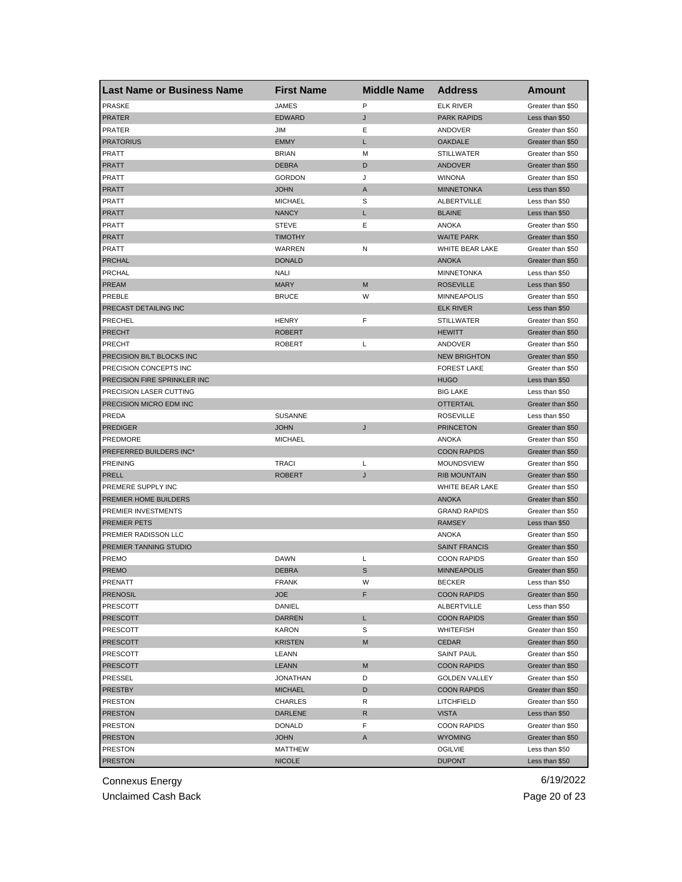| <b>Last Name or Business Name</b> | <b>First Name</b> | <b>Middle Name</b> | <b>Address</b>       | Amount            |
|-----------------------------------|-------------------|--------------------|----------------------|-------------------|
| <b>PRASKE</b>                     | <b>JAMES</b>      | P                  | <b>ELK RIVER</b>     | Greater than \$50 |
| <b>PRATER</b>                     | <b>EDWARD</b>     | J                  | <b>PARK RAPIDS</b>   | Less than \$50    |
| <b>PRATER</b>                     | <b>JIM</b>        | Ε                  | ANDOVER              | Greater than \$50 |
| <b>PRATORIUS</b>                  | <b>EMMY</b>       | Г                  | <b>OAKDALE</b>       | Greater than \$50 |
| PRATT                             | <b>BRIAN</b>      | M                  | <b>STILLWATER</b>    | Greater than \$50 |
| <b>PRATT</b>                      | <b>DEBRA</b>      | D                  | <b>ANDOVER</b>       | Greater than \$50 |
| PRATT                             | <b>GORDON</b>     | J                  | <b>WINONA</b>        | Greater than \$50 |
| <b>PRATT</b>                      | <b>JOHN</b>       | A                  | <b>MINNETONKA</b>    | Less than \$50    |
| PRATT                             | <b>MICHAEL</b>    | S                  | ALBERTVILLE          | Less than \$50    |
| PRATT                             | <b>NANCY</b>      | Г                  | <b>BLAINE</b>        | Less than \$50    |
| PRATT                             | <b>STEVE</b>      | Ε                  | ANOKA                | Greater than \$50 |
| <b>PRATT</b>                      | <b>TIMOTHY</b>    |                    | <b>WAITE PARK</b>    | Greater than \$50 |
| PRATT                             | WARREN            | N                  | WHITE BEAR LAKE      | Greater than \$50 |
| <b>PRCHAL</b>                     | <b>DONALD</b>     |                    | <b>ANOKA</b>         | Greater than \$50 |
| PRCHAL                            | <b>NALI</b>       |                    | <b>MINNETONKA</b>    | Less than \$50    |
| <b>PREAM</b>                      | <b>MARY</b>       | M                  | <b>ROSEVILLE</b>     | Less than \$50    |
| PREBLE                            | <b>BRUCE</b>      | W                  | <b>MINNEAPOLIS</b>   | Greater than \$50 |
| PRECAST DETAILING INC             |                   |                    | <b>ELK RIVER</b>     | Less than \$50    |
| PRECHEL                           | <b>HENRY</b>      | F                  | <b>STILLWATER</b>    | Greater than \$50 |
| <b>PRECHT</b>                     | <b>ROBERT</b>     |                    | <b>HEWITT</b>        | Greater than \$50 |
| <b>PRECHT</b>                     | <b>ROBERT</b>     | L                  | ANDOVER              | Greater than \$50 |
| PRECISION BILT BLOCKS INC         |                   |                    | <b>NEW BRIGHTON</b>  | Greater than \$50 |
| PRECISION CONCEPTS INC            |                   |                    | <b>FOREST LAKE</b>   | Greater than \$50 |
| PRECISION FIRE SPRINKLER INC      |                   |                    | <b>HUGO</b>          | Less than \$50    |
| PRECISION LASER CUTTING           |                   |                    | <b>BIG LAKE</b>      | Less than \$50    |
| PRECISION MICRO EDM INC           |                   |                    | <b>OTTERTAIL</b>     | Greater than \$50 |
| PREDA                             | <b>SUSANNE</b>    |                    | <b>ROSEVILLE</b>     | Less than \$50    |
| <b>PREDIGER</b>                   | <b>JOHN</b>       | J                  | <b>PRINCETON</b>     | Greater than \$50 |
| PREDMORE                          | <b>MICHAEL</b>    |                    | ANOKA                | Greater than \$50 |
| PREFERRED BUILDERS INC*           |                   |                    | <b>COON RAPIDS</b>   | Greater than \$50 |
| <b>PREINING</b>                   | <b>TRACI</b>      | L                  | <b>MOUNDSVIEW</b>    | Greater than \$50 |
| <b>PRELL</b>                      | <b>ROBERT</b>     | J                  | <b>RIB MOUNTAIN</b>  | Greater than \$50 |
| PREMERE SUPPLY INC                |                   |                    | WHITE BEAR LAKE      | Greater than \$50 |
| PREMIER HOME BUILDERS             |                   |                    | <b>ANOKA</b>         | Greater than \$50 |
| PREMIER INVESTMENTS               |                   |                    | <b>GRAND RAPIDS</b>  | Greater than \$50 |
| <b>PREMIER PETS</b>               |                   |                    | <b>RAMSEY</b>        | Less than \$50    |
| PREMIER RADISSON LLC              |                   |                    | ANOKA                | Greater than \$50 |
| PREMIER TANNING STUDIO            |                   |                    | <b>SAINT FRANCIS</b> | Greater than \$50 |
| PREMO                             | <b>DAWN</b>       | L                  | <b>COON RAPIDS</b>   | Greater than \$50 |
| <b>PREMO</b>                      | <b>DEBRA</b>      | S                  | <b>MINNEAPOLIS</b>   | Greater than \$50 |
| PRENATT                           | <b>FRANK</b>      | w                  | <b>BECKER</b>        | Less than \$50    |
| <b>PRENOSIL</b>                   | <b>JOE</b>        | F                  | <b>COON RAPIDS</b>   | Greater than \$50 |
| PRESCOTT                          | DANIEL            |                    | ALBERTVILLE          | Less than \$50    |
| <b>PRESCOTT</b>                   | DARREN            | L                  | <b>COON RAPIDS</b>   | Greater than \$50 |
| PRESCOTT                          | KARON             | S                  | WHITEFISH            | Greater than \$50 |
|                                   |                   | М                  |                      | Greater than \$50 |
| <b>PRESCOTT</b>                   | <b>KRISTEN</b>    |                    | CEDAR                |                   |
| PRESCOTT                          | LEANN             |                    | <b>SAINT PAUL</b>    | Greater than \$50 |
| <b>PRESCOTT</b>                   | <b>LEANN</b>      | M                  | <b>COON RAPIDS</b>   | Greater than \$50 |
| PRESSEL                           | <b>JONATHAN</b>   | D                  | <b>GOLDEN VALLEY</b> | Greater than \$50 |
| <b>PRESTBY</b>                    | <b>MICHAEL</b>    | D                  | <b>COON RAPIDS</b>   | Greater than \$50 |
| <b>PRESTON</b>                    | CHARLES           | R                  | LITCHFIELD           | Greater than \$50 |
| <b>PRESTON</b>                    | DARLENE           | R                  | <b>VISTA</b>         | Less than \$50    |
| PRESTON                           | DONALD            | F                  | <b>COON RAPIDS</b>   | Greater than \$50 |
| <b>PRESTON</b>                    | <b>JOHN</b>       | A                  | <b>WYOMING</b>       | Greater than \$50 |
| PRESTON                           | MATTHEW           |                    | OGILVIE              | Less than \$50    |
| <b>PRESTON</b>                    | <b>NICOLE</b>     |                    | <b>DUPONT</b>        | Less than \$50    |

Unclaimed Cash Back **Page 20 of 23**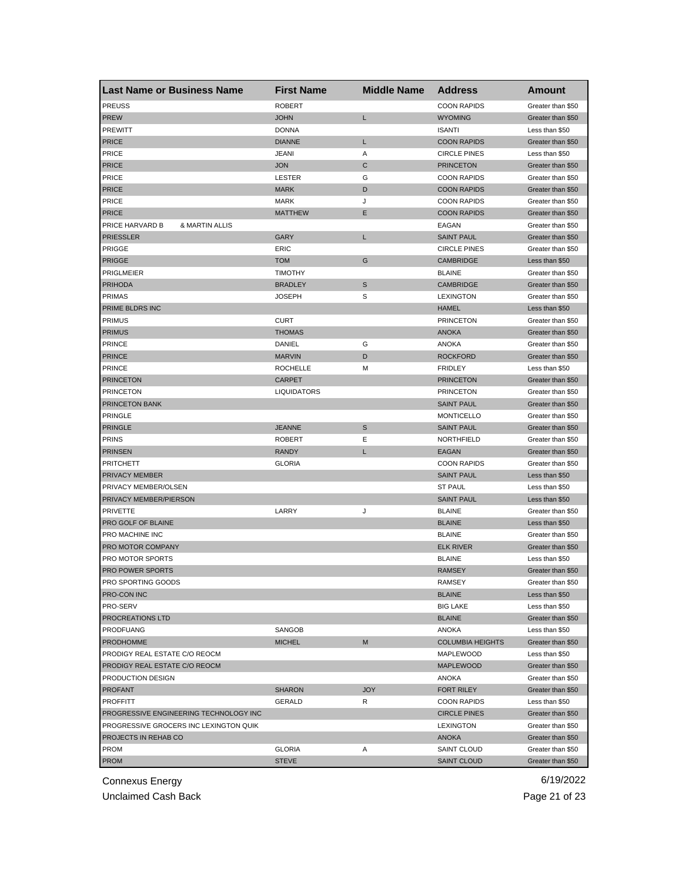| Last Name or Business Name             | <b>First Name</b>  | <b>Middle Name</b> | <b>Address</b>                   | Amount            |
|----------------------------------------|--------------------|--------------------|----------------------------------|-------------------|
| <b>PREUSS</b>                          | <b>ROBERT</b>      |                    | <b>COON RAPIDS</b>               | Greater than \$50 |
| <b>PREW</b>                            | <b>JOHN</b>        | Г                  | <b>WYOMING</b>                   | Greater than \$50 |
| <b>PREWITT</b>                         | <b>DONNA</b>       |                    | <b>ISANTI</b>                    | Less than \$50    |
| <b>PRICE</b>                           | <b>DIANNE</b>      | L                  | <b>COON RAPIDS</b>               | Greater than \$50 |
| <b>PRICE</b>                           | <b>JEANI</b>       | Α                  | <b>CIRCLE PINES</b>              | Less than \$50    |
| <b>PRICE</b>                           | <b>JON</b>         | C                  | <b>PRINCETON</b>                 | Greater than \$50 |
| <b>PRICE</b>                           | LESTER             | G                  | <b>COON RAPIDS</b>               | Greater than \$50 |
| <b>PRICE</b>                           | <b>MARK</b>        | D                  | <b>COON RAPIDS</b>               | Greater than \$50 |
| <b>PRICE</b>                           | <b>MARK</b>        | J                  | <b>COON RAPIDS</b>               | Greater than \$50 |
| <b>PRICE</b>                           | <b>MATTHEW</b>     | Е                  | <b>COON RAPIDS</b>               | Greater than \$50 |
| PRICE HARVARD B<br>& MARTIN ALLIS      |                    |                    | EAGAN                            | Greater than \$50 |
| <b>PRIESSLER</b>                       | <b>GARY</b>        | L                  | <b>SAINT PAUL</b>                | Greater than \$50 |
| PRIGGE                                 | ERIC               |                    | <b>CIRCLE PINES</b>              | Greater than \$50 |
| <b>PRIGGE</b>                          | <b>TOM</b>         | G                  | <b>CAMBRIDGE</b>                 | Less than \$50    |
| <b>PRIGLMEIER</b>                      | <b>TIMOTHY</b>     |                    | <b>BLAINE</b>                    | Greater than \$50 |
| <b>PRIHODA</b>                         | <b>BRADLEY</b>     | S                  | CAMBRIDGE                        | Greater than \$50 |
| <b>PRIMAS</b>                          | <b>JOSEPH</b>      | S                  | <b>LEXINGTON</b>                 | Greater than \$50 |
| PRIME BLDRS INC                        |                    |                    | <b>HAMEL</b>                     | Less than \$50    |
| <b>PRIMUS</b>                          | <b>CURT</b>        |                    | <b>PRINCETON</b>                 | Greater than \$50 |
| <b>PRIMUS</b>                          | <b>THOMAS</b>      |                    | <b>ANOKA</b>                     | Greater than \$50 |
| <b>PRINCE</b>                          | DANIEL             | G                  | ANOKA                            | Greater than \$50 |
| <b>PRINCE</b>                          | <b>MARVIN</b>      | D                  | <b>ROCKFORD</b>                  | Greater than \$50 |
| <b>PRINCE</b>                          | <b>ROCHELLE</b>    | М                  | <b>FRIDLEY</b>                   | Less than \$50    |
| <b>PRINCETON</b>                       | <b>CARPET</b>      |                    | <b>PRINCETON</b>                 | Greater than \$50 |
| <b>PRINCETON</b>                       | <b>LIQUIDATORS</b> |                    | <b>PRINCETON</b>                 | Greater than \$50 |
| PRINCETON BANK                         |                    |                    | <b>SAINT PAUL</b>                | Greater than \$50 |
| <b>PRINGLE</b>                         |                    |                    | <b>MONTICELLO</b>                | Greater than \$50 |
| <b>PRINGLE</b>                         | <b>JEANNE</b>      | S                  | <b>SAINT PAUL</b>                | Greater than \$50 |
| <b>PRINS</b>                           | <b>ROBERT</b>      | Ε                  | NORTHFIELD                       | Greater than \$50 |
| <b>PRINSEN</b>                         | <b>RANDY</b>       | L                  | <b>EAGAN</b>                     | Greater than \$50 |
| <b>PRITCHETT</b>                       | <b>GLORIA</b>      |                    | <b>COON RAPIDS</b>               | Greater than \$50 |
| PRIVACY MEMBER                         |                    |                    | <b>SAINT PAUL</b>                | Less than \$50    |
| PRIVACY MEMBER/OLSEN                   |                    |                    | <b>ST PAUL</b>                   | Less than \$50    |
| PRIVACY MEMBER/PIERSON                 |                    |                    | <b>SAINT PAUL</b>                | Less than \$50    |
| <b>PRIVETTE</b>                        | LARRY              | J                  | <b>BLAINE</b>                    | Greater than \$50 |
| PRO GOLF OF BLAINE                     |                    |                    | <b>BLAINE</b>                    | Less than \$50    |
| PRO MACHINE INC                        |                    |                    | <b>BLAINE</b>                    | Greater than \$50 |
| PRO MOTOR COMPANY                      |                    |                    | <b>ELK RIVER</b>                 | Greater than \$50 |
| PRO MOTOR SPORTS                       |                    |                    | <b>BLAINE</b>                    | Less than \$50    |
| <b>PRO POWER SPORTS</b>                |                    |                    | <b>RAMSEY</b>                    | Greater than \$50 |
| <b>PRO SPORTING GOODS</b>              |                    |                    | RAMSEY                           | Greater than \$50 |
| <b>PRO-CON INC</b>                     |                    |                    | <b>BLAINE</b>                    | Less than \$50    |
| PRO-SERV                               |                    |                    | <b>BIG LAKE</b>                  | Less than \$50    |
| <b>PROCREATIONS LTD</b>                |                    |                    | <b>BLAINE</b>                    | Greater than \$50 |
| <b>PRODFUANG</b>                       | SANGOB             |                    | ANOKA                            | Less than \$50    |
| <b>PRODHOMME</b>                       | <b>MICHEL</b>      | M                  | <b>COLUMBIA HEIGHTS</b>          | Greater than \$50 |
| PRODIGY REAL ESTATE C/O REOCM          |                    |                    | MAPLEWOOD                        | Less than \$50    |
| PRODIGY REAL ESTATE C/O REOCM          |                    |                    | <b>MAPLEWOOD</b>                 | Greater than \$50 |
| PRODUCTION DESIGN                      |                    |                    | ANOKA                            | Greater than \$50 |
| <b>PROFANT</b>                         | <b>SHARON</b>      | <b>JOY</b>         | <b>FORT RILEY</b>                | Greater than \$50 |
| <b>PROFFITT</b>                        | GERALD             | R                  | <b>COON RAPIDS</b>               | Less than \$50    |
| PROGRESSIVE ENGINEERING TECHNOLOGY INC |                    |                    |                                  | Greater than \$50 |
| PROGRESSIVE GROCERS INC LEXINGTON QUIK |                    |                    | <b>CIRCLE PINES</b><br>LEXINGTON | Greater than \$50 |
|                                        |                    |                    |                                  |                   |
| PROJECTS IN REHAB CO<br><b>PROM</b>    |                    | Α                  | <b>ANOKA</b><br>SAINT CLOUD      | Greater than \$50 |
|                                        | <b>GLORIA</b>      |                    |                                  | Greater than \$50 |
| <b>PROM</b>                            | <b>STEVE</b>       |                    | <b>SAINT CLOUD</b>               | Greater than \$50 |

Unclaimed Cash Back **Page 21 of 23**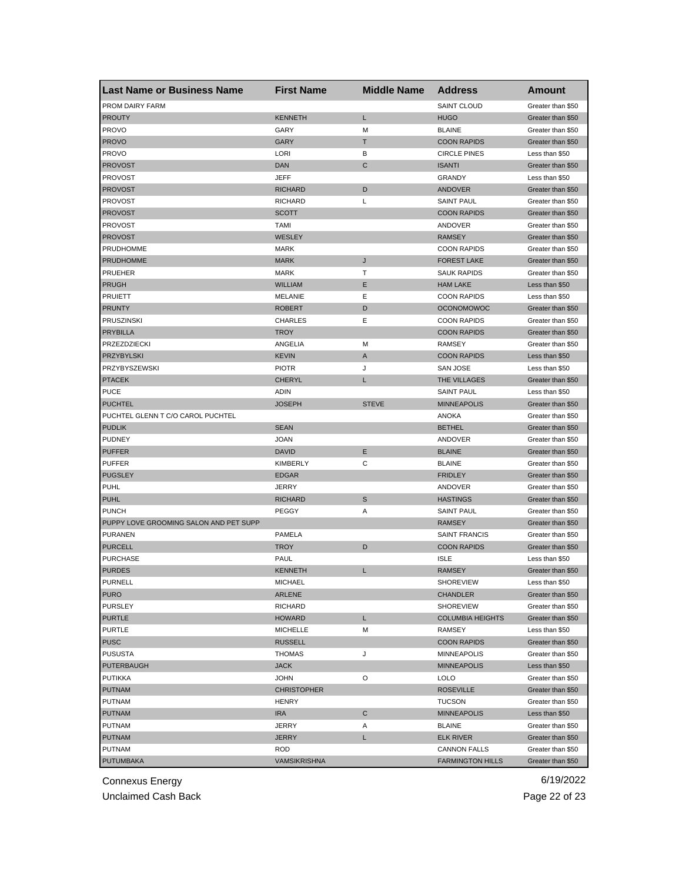| Last Name or Business Name             | <b>First Name</b>   | <b>Middle Name</b> | <b>Address</b>          | <b>Amount</b>     |
|----------------------------------------|---------------------|--------------------|-------------------------|-------------------|
| PROM DAIRY FARM                        |                     |                    | <b>SAINT CLOUD</b>      | Greater than \$50 |
| <b>PROUTY</b>                          | <b>KENNETH</b>      | L                  | <b>HUGO</b>             | Greater than \$50 |
| <b>PROVO</b>                           | GARY                | M                  | <b>BLAINE</b>           | Greater than \$50 |
| <b>PROVO</b>                           | <b>GARY</b>         | Т                  | <b>COON RAPIDS</b>      | Greater than \$50 |
| <b>PROVO</b>                           | <b>LORI</b>         | в                  | <b>CIRCLE PINES</b>     | Less than \$50    |
| <b>PROVOST</b>                         | <b>DAN</b>          | C                  | <b>ISANTI</b>           | Greater than \$50 |
| PROVOST                                | JEFF                |                    | <b>GRANDY</b>           | Less than \$50    |
| <b>PROVOST</b>                         | <b>RICHARD</b>      | D                  | <b>ANDOVER</b>          | Greater than \$50 |
| <b>PROVOST</b>                         | <b>RICHARD</b>      | L                  | <b>SAINT PAUL</b>       | Greater than \$50 |
| <b>PROVOST</b>                         | <b>SCOTT</b>        |                    | <b>COON RAPIDS</b>      | Greater than \$50 |
| <b>PROVOST</b>                         | <b>TAMI</b>         |                    | ANDOVER                 | Greater than \$50 |
| <b>PROVOST</b>                         | WESLEY              |                    | <b>RAMSEY</b>           | Greater than \$50 |
| PRUDHOMME                              | <b>MARK</b>         |                    | <b>COON RAPIDS</b>      | Greater than \$50 |
| <b>PRUDHOMME</b>                       | <b>MARK</b>         | J                  | <b>FOREST LAKE</b>      | Greater than \$50 |
| PRUEHER                                | <b>MARK</b>         | Т                  | <b>SAUK RAPIDS</b>      | Greater than \$50 |
| <b>PRUGH</b>                           | <b>WILLIAM</b>      | Ε                  | <b>HAM LAKE</b>         | Less than \$50    |
| <b>PRUIETT</b>                         | MELANIE             | Ε                  | <b>COON RAPIDS</b>      | Less than \$50    |
| <b>PRUNTY</b>                          | <b>ROBERT</b>       | D                  | <b>OCONOMOWOC</b>       | Greater than \$50 |
| <b>PRUSZINSKI</b>                      | <b>CHARLES</b>      | Е                  | <b>COON RAPIDS</b>      | Greater than \$50 |
| <b>PRYBILLA</b>                        | <b>TROY</b>         |                    | <b>COON RAPIDS</b>      | Greater than \$50 |
| PRZEZDZIECKI                           | ANGELIA             | M                  | <b>RAMSEY</b>           | Greater than \$50 |
| <b>PRZYBYLSKI</b>                      | <b>KEVIN</b>        | A                  | <b>COON RAPIDS</b>      | Less than \$50    |
| PRZYBYSZEWSKI                          | <b>PIOTR</b>        | J                  | SAN JOSE                | Less than \$50    |
| <b>PTACEK</b>                          | <b>CHERYL</b>       | L                  | THE VILLAGES            | Greater than \$50 |
| <b>PUCE</b>                            | ADIN                |                    | <b>SAINT PAUL</b>       | Less than \$50    |
| <b>PUCHTEL</b>                         | <b>JOSEPH</b>       | <b>STEVE</b>       | <b>MINNEAPOLIS</b>      | Greater than \$50 |
| PUCHTEL GLENN T C/O CAROL PUCHTEL      |                     |                    | ANOKA                   | Greater than \$50 |
| <b>PUDLIK</b>                          | <b>SEAN</b>         |                    | <b>BETHEL</b>           | Greater than \$50 |
| <b>PUDNEY</b>                          | <b>JOAN</b>         |                    | ANDOVER                 | Greater than \$50 |
| <b>PUFFER</b>                          | <b>DAVID</b>        | Ε                  | <b>BLAINE</b>           |                   |
|                                        | <b>KIMBERLY</b>     | C                  |                         | Greater than \$50 |
| <b>PUFFER</b>                          |                     |                    | <b>BLAINE</b>           | Greater than \$50 |
| <b>PUGSLEY</b>                         | <b>EDGAR</b>        |                    | <b>FRIDLEY</b>          | Greater than \$50 |
| <b>PUHL</b>                            | <b>JERRY</b>        |                    | ANDOVER                 | Greater than \$50 |
| <b>PUHL</b>                            | <b>RICHARD</b>      | S                  | <b>HASTINGS</b>         | Greater than \$50 |
| <b>PUNCH</b>                           | PEGGY               | Α                  | <b>SAINT PAUL</b>       | Greater than \$50 |
| PUPPY LOVE GROOMING SALON AND PET SUPP |                     |                    | <b>RAMSEY</b>           | Greater than \$50 |
| <b>PURANEN</b>                         | PAMELA              |                    | <b>SAINT FRANCIS</b>    | Greater than \$50 |
| <b>PURCELL</b>                         | <b>TROY</b>         | D                  | <b>COON RAPIDS</b>      | Greater than \$50 |
| <b>PURCHASE</b>                        | PAUL                |                    | <b>ISLE</b>             | Less than \$50    |
| <b>PURDES</b>                          | <b>KENNETH</b>      | L                  | <b>RAMSEY</b>           | Greater than \$50 |
| PURNELL                                | <b>MICHAEL</b>      |                    | <b>SHOREVIEW</b>        | Less than \$50    |
| <b>PURO</b>                            | ARLENE              |                    | CHANDLER                | Greater than \$50 |
| <b>PURSLEY</b>                         | <b>RICHARD</b>      |                    | <b>SHOREVIEW</b>        | Greater than \$50 |
| <b>PURTLE</b>                          | <b>HOWARD</b>       | Г                  | <b>COLUMBIA HEIGHTS</b> | Greater than \$50 |
| <b>PURTLE</b>                          | <b>MICHELLE</b>     | М                  | RAMSEY                  | Less than \$50    |
| <b>PUSC</b>                            | <b>RUSSELL</b>      |                    | <b>COON RAPIDS</b>      | Greater than \$50 |
| <b>PUSUSTA</b>                         | <b>THOMAS</b>       | J                  | <b>MINNEAPOLIS</b>      | Greater than \$50 |
| <b>PUTERBAUGH</b>                      | <b>JACK</b>         |                    | <b>MINNEAPOLIS</b>      | Less than \$50    |
| PUTIKKA                                | <b>JOHN</b>         | O                  | <b>LOLO</b>             | Greater than \$50 |
| <b>PUTNAM</b>                          | <b>CHRISTOPHER</b>  |                    | <b>ROSEVILLE</b>        | Greater than \$50 |
| PUTNAM                                 | <b>HENRY</b>        |                    | <b>TUCSON</b>           | Greater than \$50 |
| <b>PUTNAM</b>                          | <b>IRA</b>          | С                  | <b>MINNEAPOLIS</b>      | Less than \$50    |
| PUTNAM                                 | <b>JERRY</b>        | Α                  | <b>BLAINE</b>           | Greater than \$50 |
| <b>PUTNAM</b>                          | <b>JERRY</b>        | L                  | <b>ELK RIVER</b>        | Greater than \$50 |
| <b>PUTNAM</b>                          | <b>ROD</b>          |                    | CANNON FALLS            | Greater than \$50 |
| <b>PUTUMBAKA</b>                       | <b>VAMSIKRISHNA</b> |                    | <b>FARMINGTON HILLS</b> | Greater than \$50 |

Unclaimed Cash Back **Page 22 of 23**